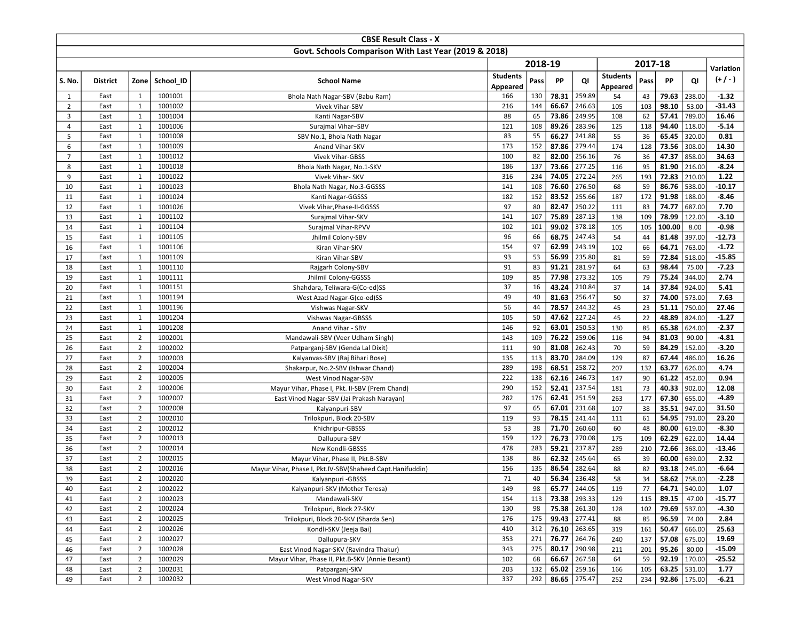|                |                 |                |                    | <b>CBSE Result Class - X</b>                              |                 |          |                |                  |                 |          |                 |                 |                     |
|----------------|-----------------|----------------|--------------------|-----------------------------------------------------------|-----------------|----------|----------------|------------------|-----------------|----------|-----------------|-----------------|---------------------|
|                |                 |                |                    | Govt. Schools Comparison With Last Year (2019 & 2018)     |                 |          |                |                  |                 |          |                 |                 |                     |
|                |                 |                |                    |                                                           |                 | 2018-19  |                |                  |                 | 2017-18  |                 |                 | Variation           |
|                |                 |                |                    |                                                           | <b>Students</b> |          | PP             |                  | <b>Students</b> |          | PP              |                 | $(+/-)$             |
| S. No.         | <b>District</b> | Zone           | School ID          | <b>School Name</b>                                        | Appeared        | Pass     |                | QI               | Appeared        | Pass     |                 | QI              |                     |
| $\mathbf{1}$   | East            | 1              | 1001001            | Bhola Nath Nagar-SBV (Babu Ram)                           | 166             | 130      | 78.31          | 259.89           | 54              | 43       | 79.63           | 238.00          | $-1.32$             |
| $\overline{2}$ | East            | 1              | 1001002            | Vivek Vihar-SBV                                           | 216             | 144      | 66.67          | 246.63           | 105             | 103      | 98.10           | 53.00           | $-31.43$            |
| $\overline{3}$ | East            | $\mathbf{1}$   | 1001004            | Kanti Nagar-SBV                                           | 88              | 65       | 73.86          | 249.95           | 108             | 62       | 57.41           | 789.00          | 16.46               |
| $\overline{4}$ | East            | 1              | 1001006            | Surajmal Vihar-SBV                                        | 121             | 108      | 89.26          | 283.96           | 125             | 118      | 94.40           | 118.00          | $-5.14$             |
| 5              | East            | $\mathbf{1}$   | 1001008            | SBV No.1, Bhola Nath Nagar                                | 83              | 55       | 66.27          | 241.88           | 55              | 36       | 65.45           | 320.00          | 0.81                |
| 6              | East            | 1              | 1001009            | Anand Vihar-SKV                                           | 173             | 152      | 87.86          | 279.44           | 174             | 128      | 73.56           | 308.00          | 14.30               |
| $\overline{7}$ | East            | $\mathbf{1}$   | 1001012            | <b>Vivek Vihar-GBSS</b>                                   | 100             | 82       | 82.00          | 256.16           | 76              | 36       | 47.37           | 858.00          | 34.63               |
| 8              | East            | $\mathbf{1}$   | 1001018            | Bhola Nath Nagar, No.1-SKV                                | 186             | 137      | 73.66          | 277.25           | 116             | 95       | 81.90           | 216.00          | $-8.24$             |
| 9              | East            | 1              | 1001022            | Vivek Vihar- SKV                                          | 316             | 234      | 74.05          | 272.24           | 265             | 193      | 72.83           | 210.00          | 1.22                |
| 10             | East            | $\mathbf{1}$   | 1001023            | Bhola Nath Nagar, No.3-GGSSS                              | 141             | 108      | 76.60          | 276.50           | 68              | 59       | 86.76           | 538.00          | $-10.17$            |
| 11             | East            | 1              | 1001024            | Kanti Nagar-GGSSS                                         | 182             | 152      | 83.52          | 255.66           | 187             | 172      | 91.98           | 188.00          | $-8.46$             |
| 12             | East            | 1              | 1001026            | Vivek Vihar, Phase-II-GGSSS                               | 97              | 80       | 82.47          | 250.22           | 111             | 83       | 74.77           | 687.00          | 7.70                |
| 13             | East            | $\mathbf{1}$   | 1001102            | Surajmal Vihar-SKV                                        | 141             | 107      | 75.89          | 287.13           | 138             | 109      | 78.99           | 122.00          | $-3.10$             |
| 14             | East            | 1              | 1001104            | Surajmal Vihar-RPVV                                       | 102             | 101      | 99.02          | 378.18           | 105             | 105      | 100.00          | 8.00            | $-0.98$             |
| 15             | East            | 1              | 1001105            | Jhilmil Colony-SBV                                        | 96              | 66       | 68.75          | 247.43           | 54              | 44       | 81.48           | 397.00          | $-12.73$            |
| 16             | East            | $\mathbf{1}$   | 1001106            | Kiran Vihar-SKV                                           | 154             | 97       | 62.99          | 243.19           | 102             | 66       | 64.71           | 763.00          | $-1.72$             |
| 17             | East<br>East    | 1<br>1         | 1001109<br>1001110 | Kiran Vihar-SBV                                           | 93<br>91        | 53<br>83 | 56.99<br>91.21 | 235.80<br>281.97 | 81<br>64        | 59       | 72.84<br>98.44  | 518.00          | $-15.85$<br>$-7.23$ |
| 18             |                 | $\mathbf{1}$   | 1001111            | Rajgarh Colony-SBV                                        | 109             | 85       | 77.98          | 273.32           |                 | 63<br>79 | 75.24           | 75.00<br>344.00 | 2.74                |
| 19<br>20       | East<br>East    | $\mathbf{1}$   | 1001151            | Jhilmil Colony-GGSSS                                      | 37              | 16       | 43.24          | 210.84           | 105<br>37       | 14       | 37.84           | 924.00          | 5.41                |
| 21             | East            | $\mathbf{1}$   | 1001194            | Shahdara, Teliwara-G(Co-ed)SS                             | 49              | 40       | 81.63          | 256.47           | 50              | 37       | 74.00           | 573.00          | 7.63                |
| 22             | East            | $\mathbf{1}$   | 1001196            | West Azad Nagar-G(co-ed)SS                                | 56              | 44       | 78.57          | 244.32           | 45              | 23       | 51.11           | 750.00          | 27.46               |
| 23             | East            | 1              | 1001204            | Vishwas Nagar-SKV<br>Vishwas Nagar-GBSSS                  | 105             | 50       | 47.62          | 227.24           | 45              | 22       | 48.89           | 824.00          | $-1.27$             |
| 24             | East            | $\mathbf{1}$   | 1001208            | Anand Vihar - SBV                                         | 146             | 92       | 63.01          | 250.53           | 130             | 85       | 65.38           | 624.00          | $-2.37$             |
| 25             | East            | $\overline{2}$ | 1002001            | Mandawali-SBV (Veer Udham Singh)                          | 143             | 109      | 76.22          | 259.06           | 116             | 94       | 81.03           | 90.00           | $-4.81$             |
| 26             | East            | $\overline{2}$ | 1002002            | Patparganj-SBV (Genda Lal Dixit)                          | 111             | 90       | 81.08          | 262.43           | 70              | 59       | 84.29           | 152.00          | $-3.20$             |
| 27             | East            | $\overline{2}$ | 1002003            | Kalyanvas-SBV (Raj Bihari Bose)                           | 135             | 113      | 83.70          | 284.09           | 129             | 87       | 67.44           | 486.00          | 16.26               |
| 28             | East            | $\overline{2}$ | 1002004            | Shakarpur, No.2-SBV (Ishwar Chand)                        | 289             | 198      | 68.51          | 258.72           | 207             | 132      | 63.77           | 626.00          | 4.74                |
| 29             | East            | $\overline{2}$ | 1002005            | West Vinod Nagar-SBV                                      | 222             | 138      | 62.16          | 246.73           | 147             | 90       | 61.22           | 452.00          | 0.94                |
| 30             | East            | $\overline{2}$ | 1002006            | Mayur Vihar, Phase I, Pkt. II-SBV (Prem Chand)            | 290             | 152      | 52.41          | 237.54           | 181             | 73       | 40.33           | 902.00          | 12.08               |
| 31             | East            | $\overline{2}$ | 1002007            | East Vinod Nagar-SBV (Jai Prakash Narayan)                | 282             | 176      | 62.41          | 251.59           | 263             | 177      | 67.30           | 655.00          | $-4.89$             |
| 32             | East            | $\overline{2}$ | 1002008            | Kalyanpuri-SBV                                            | 97              | 65       | 67.01          | 231.68           | 107             | 38       | 35.51           | 947.00          | 31.50               |
| 33             | East            | $\overline{2}$ | 1002010            | Trilokpuri, Block 20-SBV                                  | 119             | 93       | 78.15          | 241.44           | 111             | 61       | 54.95           | 791.00          | 23.20               |
| 34             | East            | $\overline{2}$ | 1002012            | Khichripur-GBSSS                                          | 53              | 38       | 71.70          | 260.60           | 60              | 48       | 80.00           | 619.00          | $-8.30$             |
| 35             | East            | $\overline{2}$ | 1002013            | Dallupura-SBV                                             | 159             | 122      | 76.73          | 270.08           | 175             | 109      | 62.29           | 622.00          | 14.44               |
| 36             | East            | $\overline{2}$ | 1002014            | New Kondli-GBSSS                                          | 478             | 283      | 59.21          | 237.87           | 289             | 210      | 72.66           | 368.00          | $-13.46$            |
| 37             | East            | $\overline{2}$ | 1002015            | Mayur Vihar, Phase II, Pkt.B-SBV                          | 138             | 86       | 62.32          | 245.64           | 65              | 39       | 60.00           | 639.00          | 2.32                |
| 38             | East            | $\overline{2}$ | 1002016            | Mayur Vihar, Phase I, Pkt.IV-SBV(Shaheed Capt.Hanifuddin) | 156             | 135      | 86.54          | 282.64           | 88              | 82       | 93.18           | 245.00          | $-6.64$             |
| 39             | East            | $\overline{2}$ | 1002020            | Kalyanpuri - GBSSS                                        | 71              | 40       | 56.34          | 236.48           | 58              | 34       | 58.62           | 758.00          | $-2.28$             |
| 40             | East            | $\overline{2}$ | 1002022            | Kalyanpuri-SKV (Mother Teresa)                            | 149             | 98       |                | 65.77 244.05     | 119             | 77       |                 | 64.71 540.00    | 1.07                |
| 41             | East            | $\overline{2}$ | 1002023            | Mandawali-SKV                                             | 154             | 113      | 73.38 293.33   |                  | 129             | 115      | 89.15 $  47.00$ |                 | $-15.77$            |
| 42             | East            | $\overline{2}$ | 1002024            | Trilokpuri, Block 27-SKV                                  | 130             | 98       |                | 75.38 261.30     | 128             | 102      |                 | 79.69 537.00    | $-4.30$             |
| 43             | East            | $\overline{2}$ | 1002025            | Trilokpuri, Block 20-SKV (Sharda Sen)                     | 176             | 175      | 99.43 277.41   |                  | 88              | 85       | $96.59$ 74.00   |                 | 2.84                |
| 44             | East            | $\overline{2}$ | 1002026            | Kondli-SKV (Jeeja Bai)                                    | 410             | 312      | 76.10 263.65   |                  | 319             | 161      | 50.47           | 666.00          | 25.63               |
| 45             | East            | $\overline{2}$ | 1002027            | Dallupura-SKV                                             | 353             | 271      | 76.77 264.76   |                  | 240             | 137      |                 | 57.08 675.00    | 19.69               |
| 46             | East            | $\overline{2}$ | 1002028            | East Vinod Nagar-SKV (Ravindra Thakur)                    | 343             | 275      |                | 80.17 290.98     | 211             | 201      | $95.26$ 80.00   |                 | $-15.09$            |
| 47             | East            | $\overline{2}$ | 1002029            | Mayur Vihar, Phase II, Pkt.B-SKV (Annie Besant)           | 102             | 68       |                | 66.67 267.58     | 64              | 59       |                 | 92.19 170.00    | $-25.52$            |
| 48             | East            | $\overline{2}$ | 1002031            | Patparganj-SKV                                            | 203             | 132      |                | 65.02 259.16     | 166             | 105      |                 | 63.25 531.00    | 1.77                |
| 49             | East            | $\overline{2}$ | 1002032            | West Vinod Nagar-SKV                                      | 337             | 292      | 86.65 275.47   |                  | 252             | 234      |                 | 92.86   175.00  | $-6.21$             |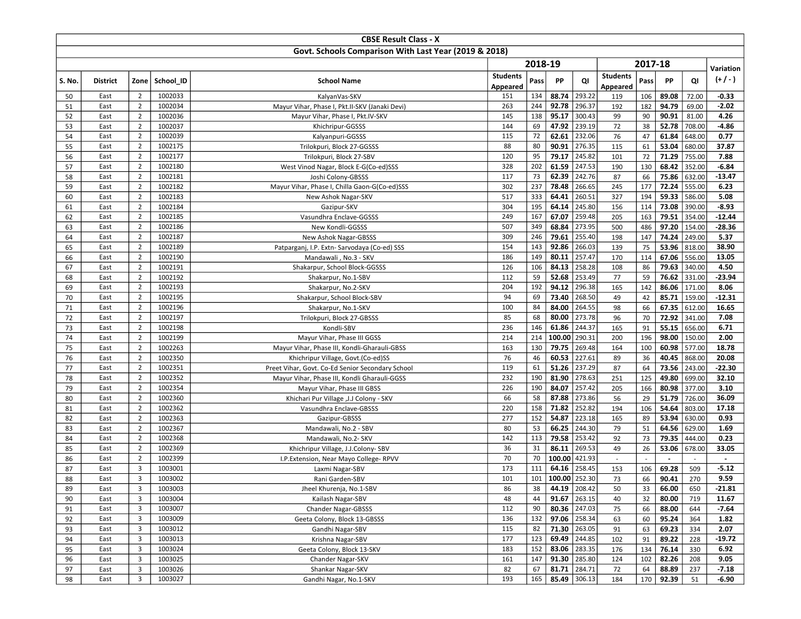| Govt. Schools Comparison With Last Year (2019 & 2018)<br>2018-19<br>2017-18<br>Variation<br><b>Students</b><br><b>Students</b><br>$(+/-)$<br>Zone School ID<br><b>School Name</b><br>PP<br>QI<br>PP<br>QI<br>S. No.<br><b>District</b><br>Pass<br>Pass<br>Appeared<br>Appeared<br>88.74<br>293.22<br>$-0.33$<br>$\overline{2}$<br>1002033<br>50<br>East<br>KalyanVas-SKV<br>151<br>134<br>106<br>89.08<br>72.00<br>119<br>296.37<br>$\overline{2}$<br>1002034<br>263<br>244<br>92.78<br>94.79<br>$-2.02$<br>51<br>East<br>192<br>182<br>69.00<br>Mayur Vihar, Phase I, Pkt.II-SKV (Janaki Devi)<br>95.17<br>1002036<br>145<br>138<br>300.43<br>99<br>90<br>90.91<br>4.26<br>52<br>East<br>$\overline{2}$<br>Mayur Vihar, Phase I, Pkt.IV-SKV<br>81.00<br>47.92<br>239.19<br>52.78<br>708.00<br>$-4.86$<br>53<br>$\overline{2}$<br>1002037<br>144<br>69<br>72<br>38<br>East<br>Khichripur-GGSSS<br>62.61<br>232.06<br>$\overline{2}$<br>1002039<br>115<br>72<br>76<br>47<br>61.84<br>648.00<br>0.77<br>54<br>East<br>Kalyanpuri-GGSSS<br>276.35<br>37.87<br>$\overline{2}$<br>88<br>80<br>90.91<br>53.04<br>680.00<br>55<br>1002175<br>115<br>61<br>East<br>Trilokpuri, Block 27-GGSSS<br>71.29<br>56<br>$\overline{2}$<br>1002177<br>120<br>95<br>79.17<br>245.82<br>101<br>72<br>755.00<br>7.88<br>East<br>Trilokpuri, Block 27-SBV<br>61.59<br>$-6.84$<br>202<br>247.53<br>$\overline{2}$<br>1002180<br>328<br>190<br>68.42<br>352.00<br>57<br>East<br>130<br>West Vinod Nagar, Block E-G(Co-ed)SSS<br>73<br>242.76<br>$\overline{2}$<br>1002181<br>117<br>62.39<br>87<br>66<br>75.86<br>632.00<br>58<br>East<br>Joshi Colony-GBSSS<br>72.24<br>$\overline{2}$<br>1002182<br>302<br>237<br>78.48<br>266.65<br>555.00<br>6.23<br>59<br>245<br>177<br>East<br>Mayur Vihar, Phase I, Chilla Gaon-G(Co-ed)SSS<br>64.41<br>260.51<br>59.33<br>$\overline{2}$<br>1002183<br>517<br>333<br>327<br>586.00<br>5.08<br>60<br>East<br>New Ashok Nagar-SKV<br>194<br>245.80<br>$\overline{2}$<br>1002184<br>304<br>195<br>64.14<br>156<br>73.08<br>390.00<br>$-8.93$<br>61<br>East<br>114<br>Gazipur-SKV<br>67.07<br>259.48<br>$\overline{2}$<br>1002185<br>249<br>167<br>205<br>163<br>79.51<br>354.00<br>62<br>East<br>Vasundhra Enclave-GGSSS<br>$\overline{2}$<br>507<br>349<br>68.84<br>273.95<br>97.20<br>154.00<br>1002186<br>500<br>486<br>63<br>East<br>New Kondli-GGSSS<br>79.61<br>255.40<br>74.24<br>5.37<br>$\overline{2}$<br>1002187<br>309<br>246<br>198<br>147<br>249.00<br>64<br>East<br>New Ashok Nagar-GBSSS<br>53.96<br>$\overline{2}$<br>1002189<br>154<br>143<br>92.86<br>266.03<br>75<br>818.00<br>38.90<br>65<br>East<br>Patparganj, I.P. Extn- Sarvodaya (Co-ed) SSS<br>139<br>80.11<br>257.47<br>13.05<br>$\overline{2}$<br>149<br>67.06<br>556.00<br>66<br>1002190<br>186<br>170<br>114<br>East<br>Mandawali, No.3 - SKV<br>$\overline{2}$<br>1002191<br>126<br>106<br>84.13<br>258.28<br>108<br>86<br>79.63<br>340.00<br>4.50<br>67<br>East<br>Shakarpur, School Block-GGSSS<br>59<br>52.68<br>1002192<br>112<br>253.49<br>77<br>59<br>76.62<br>331.00<br>$-23.94$<br>68<br>East<br>$\overline{2}$<br>Shakarpur, No.1-SBV<br>296.38<br>$\overline{2}$<br>204<br>192<br>94.12<br>165<br>142<br>86.06<br>171.00<br>8.06<br>69<br>East<br>1002193<br>Shakarpur, No.2-SKV<br>268.50<br>$\overline{2}$<br>1002195<br>94<br>69<br>73.40<br>42<br>85.71<br>159.00<br>$-12.31$<br>70<br>East<br>49<br>Shakarpur, School Block-SBV<br>84.00<br>264.55<br>16.65<br>1002196<br>100<br>84<br>98<br>67.35<br>612.00<br>71<br>East<br>$\overline{2}$<br>66<br>Shakarpur, No.1-SKV<br>68<br>273.78<br>72<br>$\overline{2}$<br>1002197<br>85<br>80.00<br>96<br>70<br>72.92<br>341.00<br>7.08<br>East<br>Trilokpuri, Block 27-GBSSS<br>146<br>61.86<br>244.37<br>6.71<br>73<br>$\overline{2}$<br>1002198<br>236<br>165<br>55.15<br>656.00<br>East<br>Kondli-SBV<br>91<br>290.31<br>1002199<br>214<br>214<br>100.00<br>196<br>98.00<br>150.00<br>2.00<br>74<br>$\overline{2}$<br>Mayur Vihar, Phase III GGSS<br>200<br>East<br>$\overline{2}$<br>79.75<br>269.48<br>18.78<br>75<br>1002263<br>163<br>130<br>164<br>100<br>60.98<br>577.00<br>East<br>Mayur Vihar, Phase III, Kondli-Gharauli-GBSS<br>227.61<br>$\overline{2}$<br>1002350<br>76<br>46<br>60.53<br>89<br>40.45<br>868.00<br>20.08<br>76<br>East<br>36<br>Khichripur Village, Govt.(Co-ed)SS<br>51.26<br>237.29<br>1002351<br>119<br>61<br>73.56<br>243.00<br>77<br>East<br>$\overline{2}$<br>87<br>64<br>$-22.30$<br>Preet Vihar, Govt. Co-Ed Senior Secondary School<br>$\overline{2}$<br>81.90<br>278.63<br>251<br>125<br>49.80<br>699.00<br>32.10<br>78<br>1002352<br>232<br>190<br>East<br>Mayur Vihar, Phase III, Kondli Gharauli-GGSS<br>84.07<br>257.42<br>80.98<br>3.10<br>79<br>$\overline{2}$<br>1002354<br>226<br>190<br>205<br>166<br>377.00<br>East<br>Mayur Vihar, Phase III GBSS<br>87.88<br>36.09<br>66<br>58<br>273.86<br>29<br>51.79<br>726.00<br>80<br>$\overline{2}$<br>1002360<br>56<br>East<br>Khichari Pur Village , J.J Colony - SKV<br>71.82<br>$\overline{2}$<br>1002362<br>220<br>158<br>252.82<br>106<br>54.64<br>803.00<br>17.18<br>81<br>East<br>194<br>Vasundhra Enclave-GBSSS<br>54.87<br>152<br>223.18<br>53.94<br>0.93<br>$\overline{2}$<br>1002363<br>277<br>165<br>89<br>630.00<br>82<br>East<br>Gazipur-GBSSS<br>244.30<br>$\overline{2}$<br>1002367<br>80<br>53<br>66.25<br>79<br>64.56<br>629.00<br>83<br>East<br>51<br>1.69<br>Mandawali, No.2 - SBV<br>$\overline{2}$<br>1002368<br>142<br>113<br>79.58<br>253.42<br>92<br>73<br>79.35<br>84<br>East<br>444.00<br>0.23<br>Mandawali, No.2- SKV<br>86.11<br>269.53<br>$\overline{2}$<br>1002369<br>36<br>31<br>49<br>53.06<br>33.05<br>85<br>East<br>26<br>678.00<br>Khichripur Village, J.J.Colony-SBV<br>100.00<br>$\overline{2}$<br>1002399<br>70<br>70<br>421.93<br>86<br>East<br>I.P.Extension, Near Mayo College-RPVV<br>$\sim$<br>$\sim$<br>J.<br>$\sim$<br>$\blacksquare$<br>64.16<br>258.45<br>$-5.12$<br>3<br>1003001<br>173<br>111<br>69.28<br>87<br>East<br>153<br>106<br>509<br>Laxmi Nagar-SBV<br>3<br>101<br>100.00<br>252.30<br>90.41<br>1003002<br>101<br>73<br>66<br>270<br>9.59<br>88<br>East<br>Rani Garden-SBV<br>89<br>East<br>3<br>1003003<br>Jheel Khurenja, No.1-SBV<br>86<br>38<br>44.19 208.42<br>50<br>33<br>66.00<br>650<br>-21.81<br>3<br>1003004<br>48<br>44<br>91.67<br>263.15<br>32<br>90<br>East<br>40<br>80.00<br>719<br>11.67<br>Kailash Nagar-SBV<br>80.36 247.03<br>$\overline{\mathbf{3}}$<br>90<br>88.00<br>$-7.64$<br>1003007<br>Chander Nagar-GBSSS<br>112<br>66<br>644<br>91<br>East<br>75<br>$\mathbf{3}$<br>1003009<br>136<br>132<br>97.06 258.34<br>92<br>East<br>Geeta Colony, Block 13-GBSSS<br>63<br>60<br>95.24<br>364<br>1.82<br>71.30<br>3<br>1003012<br>82<br>263.05<br>69.23<br>93<br>East<br>Gandhi Nagar-SBV<br>115<br>91<br>63<br>334<br>2.07<br>69.49<br>$\mathbf{3}$<br>244.85<br>89.22<br>1003013<br>Krishna Nagar-SBV<br>177<br>123<br>102<br>91<br>94<br>East<br>228<br>$\overline{3}$<br>1003024<br>Geeta Colony, Block 13-SKV<br>183<br>152<br>83.06<br>283.35<br>176<br>134<br>76.14<br>6.92<br>95<br>East<br>330 |    |      |   |         | <b>CBSE Result Class - X</b> |     |     |       |        |     |     |       |     |          |
|------------------------------------------------------------------------------------------------------------------------------------------------------------------------------------------------------------------------------------------------------------------------------------------------------------------------------------------------------------------------------------------------------------------------------------------------------------------------------------------------------------------------------------------------------------------------------------------------------------------------------------------------------------------------------------------------------------------------------------------------------------------------------------------------------------------------------------------------------------------------------------------------------------------------------------------------------------------------------------------------------------------------------------------------------------------------------------------------------------------------------------------------------------------------------------------------------------------------------------------------------------------------------------------------------------------------------------------------------------------------------------------------------------------------------------------------------------------------------------------------------------------------------------------------------------------------------------------------------------------------------------------------------------------------------------------------------------------------------------------------------------------------------------------------------------------------------------------------------------------------------------------------------------------------------------------------------------------------------------------------------------------------------------------------------------------------------------------------------------------------------------------------------------------------------------------------------------------------------------------------------------------------------------------------------------------------------------------------------------------------------------------------------------------------------------------------------------------------------------------------------------------------------------------------------------------------------------------------------------------------------------------------------------------------------------------------------------------------------------------------------------------------------------------------------------------------------------------------------------------------------------------------------------------------------------------------------------------------------------------------------------------------------------------------------------------------------------------------------------------------------------------------------------------------------------------------------------------------------------------------------------------------------------------------------------------------------------------------------------------------------------------------------------------------------------------------------------------------------------------------------------------------------------------------------------------------------------------------------------------------------------------------------------------------------------------------------------------------------------------------------------------------------------------------------------------------------------------------------------------------------------------------------------------------------------------------------------------------------------------------------------------------------------------------------------------------------------------------------------------------------------------------------------------------------------------------------------------------------------------------------------------------------------------------------------------------------------------------------------------------------------------------------------------------------------------------------------------------------------------------------------------------------------------------------------------------------------------------------------------------------------------------------------------------------------------------------------------------------------------------------------------------------------------------------------------------------------------------------------------------------------------------------------------------------------------------------------------------------------------------------------------------------------------------------------------------------------------------------------------------------------------------------------------------------------------------------------------------------------------------------------------------------------------------------------------------------------------------------------------------------------------------------------------------------------------------------------------------------------------------------------------------------------------------------------------------------------------------------------------------------------------------------------------------------------------------------------------------------------------------------------------------------------------------------------------------------------------------------------------------------------------------------------------------------------------------------------------------------------------------------------------------------------------------------------------------------------------------------------------------------------------------------------------------------------------------------------------------------------------------------------------------------------------------------------------------------------------------------------------------------------------------------------------------------------------------------------------------------------------------------------------------------------------------------------------------------------------------------------------------------------------------------------------------------------------------------------------------------------------------------------------------------------------------------------------------------------------------------------------------------------------------------------------------------------------------------------------------------------------------------------------------------------------------------------------------------------------------------------------------------------------|----|------|---|---------|------------------------------|-----|-----|-------|--------|-----|-----|-------|-----|----------|
|                                                                                                                                                                                                                                                                                                                                                                                                                                                                                                                                                                                                                                                                                                                                                                                                                                                                                                                                                                                                                                                                                                                                                                                                                                                                                                                                                                                                                                                                                                                                                                                                                                                                                                                                                                                                                                                                                                                                                                                                                                                                                                                                                                                                                                                                                                                                                                                                                                                                                                                                                                                                                                                                                                                                                                                                                                                                                                                                                                                                                                                                                                                                                                                                                                                                                                                                                                                                                                                                                                                                                                                                                                                                                                                                                                                                                                                                                                                                                                                                                                                                                                                                                                                                                                                                                                                                                                                                                                                                                                                                                                                                                                                                                                                                                                                                                                                                                                                                                                                                                                                                                                                                                                                                                                                                                                                                                                                                                                                                                                                                                                                                                                                                                                                                                                                                                                                                                                                                                                                                                                                                                                                                                                                                                                                                                                                                                                                                                                                                                                                                                                                                                                                                                                                                                                                                                                                                                                                                                                                                                                                                                                                                          |    |      |   |         |                              |     |     |       |        |     |     |       |     |          |
|                                                                                                                                                                                                                                                                                                                                                                                                                                                                                                                                                                                                                                                                                                                                                                                                                                                                                                                                                                                                                                                                                                                                                                                                                                                                                                                                                                                                                                                                                                                                                                                                                                                                                                                                                                                                                                                                                                                                                                                                                                                                                                                                                                                                                                                                                                                                                                                                                                                                                                                                                                                                                                                                                                                                                                                                                                                                                                                                                                                                                                                                                                                                                                                                                                                                                                                                                                                                                                                                                                                                                                                                                                                                                                                                                                                                                                                                                                                                                                                                                                                                                                                                                                                                                                                                                                                                                                                                                                                                                                                                                                                                                                                                                                                                                                                                                                                                                                                                                                                                                                                                                                                                                                                                                                                                                                                                                                                                                                                                                                                                                                                                                                                                                                                                                                                                                                                                                                                                                                                                                                                                                                                                                                                                                                                                                                                                                                                                                                                                                                                                                                                                                                                                                                                                                                                                                                                                                                                                                                                                                                                                                                                                          |    |      |   |         |                              |     |     |       |        |     |     |       |     |          |
|                                                                                                                                                                                                                                                                                                                                                                                                                                                                                                                                                                                                                                                                                                                                                                                                                                                                                                                                                                                                                                                                                                                                                                                                                                                                                                                                                                                                                                                                                                                                                                                                                                                                                                                                                                                                                                                                                                                                                                                                                                                                                                                                                                                                                                                                                                                                                                                                                                                                                                                                                                                                                                                                                                                                                                                                                                                                                                                                                                                                                                                                                                                                                                                                                                                                                                                                                                                                                                                                                                                                                                                                                                                                                                                                                                                                                                                                                                                                                                                                                                                                                                                                                                                                                                                                                                                                                                                                                                                                                                                                                                                                                                                                                                                                                                                                                                                                                                                                                                                                                                                                                                                                                                                                                                                                                                                                                                                                                                                                                                                                                                                                                                                                                                                                                                                                                                                                                                                                                                                                                                                                                                                                                                                                                                                                                                                                                                                                                                                                                                                                                                                                                                                                                                                                                                                                                                                                                                                                                                                                                                                                                                                                          |    |      |   |         |                              |     |     |       |        |     |     |       |     |          |
|                                                                                                                                                                                                                                                                                                                                                                                                                                                                                                                                                                                                                                                                                                                                                                                                                                                                                                                                                                                                                                                                                                                                                                                                                                                                                                                                                                                                                                                                                                                                                                                                                                                                                                                                                                                                                                                                                                                                                                                                                                                                                                                                                                                                                                                                                                                                                                                                                                                                                                                                                                                                                                                                                                                                                                                                                                                                                                                                                                                                                                                                                                                                                                                                                                                                                                                                                                                                                                                                                                                                                                                                                                                                                                                                                                                                                                                                                                                                                                                                                                                                                                                                                                                                                                                                                                                                                                                                                                                                                                                                                                                                                                                                                                                                                                                                                                                                                                                                                                                                                                                                                                                                                                                                                                                                                                                                                                                                                                                                                                                                                                                                                                                                                                                                                                                                                                                                                                                                                                                                                                                                                                                                                                                                                                                                                                                                                                                                                                                                                                                                                                                                                                                                                                                                                                                                                                                                                                                                                                                                                                                                                                                                          |    |      |   |         |                              |     |     |       |        |     |     |       |     |          |
|                                                                                                                                                                                                                                                                                                                                                                                                                                                                                                                                                                                                                                                                                                                                                                                                                                                                                                                                                                                                                                                                                                                                                                                                                                                                                                                                                                                                                                                                                                                                                                                                                                                                                                                                                                                                                                                                                                                                                                                                                                                                                                                                                                                                                                                                                                                                                                                                                                                                                                                                                                                                                                                                                                                                                                                                                                                                                                                                                                                                                                                                                                                                                                                                                                                                                                                                                                                                                                                                                                                                                                                                                                                                                                                                                                                                                                                                                                                                                                                                                                                                                                                                                                                                                                                                                                                                                                                                                                                                                                                                                                                                                                                                                                                                                                                                                                                                                                                                                                                                                                                                                                                                                                                                                                                                                                                                                                                                                                                                                                                                                                                                                                                                                                                                                                                                                                                                                                                                                                                                                                                                                                                                                                                                                                                                                                                                                                                                                                                                                                                                                                                                                                                                                                                                                                                                                                                                                                                                                                                                                                                                                                                                          |    |      |   |         |                              |     |     |       |        |     |     |       |     |          |
|                                                                                                                                                                                                                                                                                                                                                                                                                                                                                                                                                                                                                                                                                                                                                                                                                                                                                                                                                                                                                                                                                                                                                                                                                                                                                                                                                                                                                                                                                                                                                                                                                                                                                                                                                                                                                                                                                                                                                                                                                                                                                                                                                                                                                                                                                                                                                                                                                                                                                                                                                                                                                                                                                                                                                                                                                                                                                                                                                                                                                                                                                                                                                                                                                                                                                                                                                                                                                                                                                                                                                                                                                                                                                                                                                                                                                                                                                                                                                                                                                                                                                                                                                                                                                                                                                                                                                                                                                                                                                                                                                                                                                                                                                                                                                                                                                                                                                                                                                                                                                                                                                                                                                                                                                                                                                                                                                                                                                                                                                                                                                                                                                                                                                                                                                                                                                                                                                                                                                                                                                                                                                                                                                                                                                                                                                                                                                                                                                                                                                                                                                                                                                                                                                                                                                                                                                                                                                                                                                                                                                                                                                                                                          |    |      |   |         |                              |     |     |       |        |     |     |       |     |          |
|                                                                                                                                                                                                                                                                                                                                                                                                                                                                                                                                                                                                                                                                                                                                                                                                                                                                                                                                                                                                                                                                                                                                                                                                                                                                                                                                                                                                                                                                                                                                                                                                                                                                                                                                                                                                                                                                                                                                                                                                                                                                                                                                                                                                                                                                                                                                                                                                                                                                                                                                                                                                                                                                                                                                                                                                                                                                                                                                                                                                                                                                                                                                                                                                                                                                                                                                                                                                                                                                                                                                                                                                                                                                                                                                                                                                                                                                                                                                                                                                                                                                                                                                                                                                                                                                                                                                                                                                                                                                                                                                                                                                                                                                                                                                                                                                                                                                                                                                                                                                                                                                                                                                                                                                                                                                                                                                                                                                                                                                                                                                                                                                                                                                                                                                                                                                                                                                                                                                                                                                                                                                                                                                                                                                                                                                                                                                                                                                                                                                                                                                                                                                                                                                                                                                                                                                                                                                                                                                                                                                                                                                                                                                          |    |      |   |         |                              |     |     |       |        |     |     |       |     |          |
|                                                                                                                                                                                                                                                                                                                                                                                                                                                                                                                                                                                                                                                                                                                                                                                                                                                                                                                                                                                                                                                                                                                                                                                                                                                                                                                                                                                                                                                                                                                                                                                                                                                                                                                                                                                                                                                                                                                                                                                                                                                                                                                                                                                                                                                                                                                                                                                                                                                                                                                                                                                                                                                                                                                                                                                                                                                                                                                                                                                                                                                                                                                                                                                                                                                                                                                                                                                                                                                                                                                                                                                                                                                                                                                                                                                                                                                                                                                                                                                                                                                                                                                                                                                                                                                                                                                                                                                                                                                                                                                                                                                                                                                                                                                                                                                                                                                                                                                                                                                                                                                                                                                                                                                                                                                                                                                                                                                                                                                                                                                                                                                                                                                                                                                                                                                                                                                                                                                                                                                                                                                                                                                                                                                                                                                                                                                                                                                                                                                                                                                                                                                                                                                                                                                                                                                                                                                                                                                                                                                                                                                                                                                                          |    |      |   |         |                              |     |     |       |        |     |     |       |     |          |
|                                                                                                                                                                                                                                                                                                                                                                                                                                                                                                                                                                                                                                                                                                                                                                                                                                                                                                                                                                                                                                                                                                                                                                                                                                                                                                                                                                                                                                                                                                                                                                                                                                                                                                                                                                                                                                                                                                                                                                                                                                                                                                                                                                                                                                                                                                                                                                                                                                                                                                                                                                                                                                                                                                                                                                                                                                                                                                                                                                                                                                                                                                                                                                                                                                                                                                                                                                                                                                                                                                                                                                                                                                                                                                                                                                                                                                                                                                                                                                                                                                                                                                                                                                                                                                                                                                                                                                                                                                                                                                                                                                                                                                                                                                                                                                                                                                                                                                                                                                                                                                                                                                                                                                                                                                                                                                                                                                                                                                                                                                                                                                                                                                                                                                                                                                                                                                                                                                                                                                                                                                                                                                                                                                                                                                                                                                                                                                                                                                                                                                                                                                                                                                                                                                                                                                                                                                                                                                                                                                                                                                                                                                                                          |    |      |   |         |                              |     |     |       |        |     |     |       |     |          |
|                                                                                                                                                                                                                                                                                                                                                                                                                                                                                                                                                                                                                                                                                                                                                                                                                                                                                                                                                                                                                                                                                                                                                                                                                                                                                                                                                                                                                                                                                                                                                                                                                                                                                                                                                                                                                                                                                                                                                                                                                                                                                                                                                                                                                                                                                                                                                                                                                                                                                                                                                                                                                                                                                                                                                                                                                                                                                                                                                                                                                                                                                                                                                                                                                                                                                                                                                                                                                                                                                                                                                                                                                                                                                                                                                                                                                                                                                                                                                                                                                                                                                                                                                                                                                                                                                                                                                                                                                                                                                                                                                                                                                                                                                                                                                                                                                                                                                                                                                                                                                                                                                                                                                                                                                                                                                                                                                                                                                                                                                                                                                                                                                                                                                                                                                                                                                                                                                                                                                                                                                                                                                                                                                                                                                                                                                                                                                                                                                                                                                                                                                                                                                                                                                                                                                                                                                                                                                                                                                                                                                                                                                                                                          |    |      |   |         |                              |     |     |       |        |     |     |       |     |          |
|                                                                                                                                                                                                                                                                                                                                                                                                                                                                                                                                                                                                                                                                                                                                                                                                                                                                                                                                                                                                                                                                                                                                                                                                                                                                                                                                                                                                                                                                                                                                                                                                                                                                                                                                                                                                                                                                                                                                                                                                                                                                                                                                                                                                                                                                                                                                                                                                                                                                                                                                                                                                                                                                                                                                                                                                                                                                                                                                                                                                                                                                                                                                                                                                                                                                                                                                                                                                                                                                                                                                                                                                                                                                                                                                                                                                                                                                                                                                                                                                                                                                                                                                                                                                                                                                                                                                                                                                                                                                                                                                                                                                                                                                                                                                                                                                                                                                                                                                                                                                                                                                                                                                                                                                                                                                                                                                                                                                                                                                                                                                                                                                                                                                                                                                                                                                                                                                                                                                                                                                                                                                                                                                                                                                                                                                                                                                                                                                                                                                                                                                                                                                                                                                                                                                                                                                                                                                                                                                                                                                                                                                                                                                          |    |      |   |         |                              |     |     |       |        |     |     |       |     |          |
|                                                                                                                                                                                                                                                                                                                                                                                                                                                                                                                                                                                                                                                                                                                                                                                                                                                                                                                                                                                                                                                                                                                                                                                                                                                                                                                                                                                                                                                                                                                                                                                                                                                                                                                                                                                                                                                                                                                                                                                                                                                                                                                                                                                                                                                                                                                                                                                                                                                                                                                                                                                                                                                                                                                                                                                                                                                                                                                                                                                                                                                                                                                                                                                                                                                                                                                                                                                                                                                                                                                                                                                                                                                                                                                                                                                                                                                                                                                                                                                                                                                                                                                                                                                                                                                                                                                                                                                                                                                                                                                                                                                                                                                                                                                                                                                                                                                                                                                                                                                                                                                                                                                                                                                                                                                                                                                                                                                                                                                                                                                                                                                                                                                                                                                                                                                                                                                                                                                                                                                                                                                                                                                                                                                                                                                                                                                                                                                                                                                                                                                                                                                                                                                                                                                                                                                                                                                                                                                                                                                                                                                                                                                                          |    |      |   |         |                              |     |     |       |        |     |     |       |     |          |
|                                                                                                                                                                                                                                                                                                                                                                                                                                                                                                                                                                                                                                                                                                                                                                                                                                                                                                                                                                                                                                                                                                                                                                                                                                                                                                                                                                                                                                                                                                                                                                                                                                                                                                                                                                                                                                                                                                                                                                                                                                                                                                                                                                                                                                                                                                                                                                                                                                                                                                                                                                                                                                                                                                                                                                                                                                                                                                                                                                                                                                                                                                                                                                                                                                                                                                                                                                                                                                                                                                                                                                                                                                                                                                                                                                                                                                                                                                                                                                                                                                                                                                                                                                                                                                                                                                                                                                                                                                                                                                                                                                                                                                                                                                                                                                                                                                                                                                                                                                                                                                                                                                                                                                                                                                                                                                                                                                                                                                                                                                                                                                                                                                                                                                                                                                                                                                                                                                                                                                                                                                                                                                                                                                                                                                                                                                                                                                                                                                                                                                                                                                                                                                                                                                                                                                                                                                                                                                                                                                                                                                                                                                                                          |    |      |   |         |                              |     |     |       |        |     |     |       |     | $-13.47$ |
|                                                                                                                                                                                                                                                                                                                                                                                                                                                                                                                                                                                                                                                                                                                                                                                                                                                                                                                                                                                                                                                                                                                                                                                                                                                                                                                                                                                                                                                                                                                                                                                                                                                                                                                                                                                                                                                                                                                                                                                                                                                                                                                                                                                                                                                                                                                                                                                                                                                                                                                                                                                                                                                                                                                                                                                                                                                                                                                                                                                                                                                                                                                                                                                                                                                                                                                                                                                                                                                                                                                                                                                                                                                                                                                                                                                                                                                                                                                                                                                                                                                                                                                                                                                                                                                                                                                                                                                                                                                                                                                                                                                                                                                                                                                                                                                                                                                                                                                                                                                                                                                                                                                                                                                                                                                                                                                                                                                                                                                                                                                                                                                                                                                                                                                                                                                                                                                                                                                                                                                                                                                                                                                                                                                                                                                                                                                                                                                                                                                                                                                                                                                                                                                                                                                                                                                                                                                                                                                                                                                                                                                                                                                                          |    |      |   |         |                              |     |     |       |        |     |     |       |     |          |
|                                                                                                                                                                                                                                                                                                                                                                                                                                                                                                                                                                                                                                                                                                                                                                                                                                                                                                                                                                                                                                                                                                                                                                                                                                                                                                                                                                                                                                                                                                                                                                                                                                                                                                                                                                                                                                                                                                                                                                                                                                                                                                                                                                                                                                                                                                                                                                                                                                                                                                                                                                                                                                                                                                                                                                                                                                                                                                                                                                                                                                                                                                                                                                                                                                                                                                                                                                                                                                                                                                                                                                                                                                                                                                                                                                                                                                                                                                                                                                                                                                                                                                                                                                                                                                                                                                                                                                                                                                                                                                                                                                                                                                                                                                                                                                                                                                                                                                                                                                                                                                                                                                                                                                                                                                                                                                                                                                                                                                                                                                                                                                                                                                                                                                                                                                                                                                                                                                                                                                                                                                                                                                                                                                                                                                                                                                                                                                                                                                                                                                                                                                                                                                                                                                                                                                                                                                                                                                                                                                                                                                                                                                                                          |    |      |   |         |                              |     |     |       |        |     |     |       |     |          |
|                                                                                                                                                                                                                                                                                                                                                                                                                                                                                                                                                                                                                                                                                                                                                                                                                                                                                                                                                                                                                                                                                                                                                                                                                                                                                                                                                                                                                                                                                                                                                                                                                                                                                                                                                                                                                                                                                                                                                                                                                                                                                                                                                                                                                                                                                                                                                                                                                                                                                                                                                                                                                                                                                                                                                                                                                                                                                                                                                                                                                                                                                                                                                                                                                                                                                                                                                                                                                                                                                                                                                                                                                                                                                                                                                                                                                                                                                                                                                                                                                                                                                                                                                                                                                                                                                                                                                                                                                                                                                                                                                                                                                                                                                                                                                                                                                                                                                                                                                                                                                                                                                                                                                                                                                                                                                                                                                                                                                                                                                                                                                                                                                                                                                                                                                                                                                                                                                                                                                                                                                                                                                                                                                                                                                                                                                                                                                                                                                                                                                                                                                                                                                                                                                                                                                                                                                                                                                                                                                                                                                                                                                                                                          |    |      |   |         |                              |     |     |       |        |     |     |       |     |          |
|                                                                                                                                                                                                                                                                                                                                                                                                                                                                                                                                                                                                                                                                                                                                                                                                                                                                                                                                                                                                                                                                                                                                                                                                                                                                                                                                                                                                                                                                                                                                                                                                                                                                                                                                                                                                                                                                                                                                                                                                                                                                                                                                                                                                                                                                                                                                                                                                                                                                                                                                                                                                                                                                                                                                                                                                                                                                                                                                                                                                                                                                                                                                                                                                                                                                                                                                                                                                                                                                                                                                                                                                                                                                                                                                                                                                                                                                                                                                                                                                                                                                                                                                                                                                                                                                                                                                                                                                                                                                                                                                                                                                                                                                                                                                                                                                                                                                                                                                                                                                                                                                                                                                                                                                                                                                                                                                                                                                                                                                                                                                                                                                                                                                                                                                                                                                                                                                                                                                                                                                                                                                                                                                                                                                                                                                                                                                                                                                                                                                                                                                                                                                                                                                                                                                                                                                                                                                                                                                                                                                                                                                                                                                          |    |      |   |         |                              |     |     |       |        |     |     |       |     | $-12.44$ |
|                                                                                                                                                                                                                                                                                                                                                                                                                                                                                                                                                                                                                                                                                                                                                                                                                                                                                                                                                                                                                                                                                                                                                                                                                                                                                                                                                                                                                                                                                                                                                                                                                                                                                                                                                                                                                                                                                                                                                                                                                                                                                                                                                                                                                                                                                                                                                                                                                                                                                                                                                                                                                                                                                                                                                                                                                                                                                                                                                                                                                                                                                                                                                                                                                                                                                                                                                                                                                                                                                                                                                                                                                                                                                                                                                                                                                                                                                                                                                                                                                                                                                                                                                                                                                                                                                                                                                                                                                                                                                                                                                                                                                                                                                                                                                                                                                                                                                                                                                                                                                                                                                                                                                                                                                                                                                                                                                                                                                                                                                                                                                                                                                                                                                                                                                                                                                                                                                                                                                                                                                                                                                                                                                                                                                                                                                                                                                                                                                                                                                                                                                                                                                                                                                                                                                                                                                                                                                                                                                                                                                                                                                                                                          |    |      |   |         |                              |     |     |       |        |     |     |       |     | $-28.36$ |
|                                                                                                                                                                                                                                                                                                                                                                                                                                                                                                                                                                                                                                                                                                                                                                                                                                                                                                                                                                                                                                                                                                                                                                                                                                                                                                                                                                                                                                                                                                                                                                                                                                                                                                                                                                                                                                                                                                                                                                                                                                                                                                                                                                                                                                                                                                                                                                                                                                                                                                                                                                                                                                                                                                                                                                                                                                                                                                                                                                                                                                                                                                                                                                                                                                                                                                                                                                                                                                                                                                                                                                                                                                                                                                                                                                                                                                                                                                                                                                                                                                                                                                                                                                                                                                                                                                                                                                                                                                                                                                                                                                                                                                                                                                                                                                                                                                                                                                                                                                                                                                                                                                                                                                                                                                                                                                                                                                                                                                                                                                                                                                                                                                                                                                                                                                                                                                                                                                                                                                                                                                                                                                                                                                                                                                                                                                                                                                                                                                                                                                                                                                                                                                                                                                                                                                                                                                                                                                                                                                                                                                                                                                                                          |    |      |   |         |                              |     |     |       |        |     |     |       |     |          |
|                                                                                                                                                                                                                                                                                                                                                                                                                                                                                                                                                                                                                                                                                                                                                                                                                                                                                                                                                                                                                                                                                                                                                                                                                                                                                                                                                                                                                                                                                                                                                                                                                                                                                                                                                                                                                                                                                                                                                                                                                                                                                                                                                                                                                                                                                                                                                                                                                                                                                                                                                                                                                                                                                                                                                                                                                                                                                                                                                                                                                                                                                                                                                                                                                                                                                                                                                                                                                                                                                                                                                                                                                                                                                                                                                                                                                                                                                                                                                                                                                                                                                                                                                                                                                                                                                                                                                                                                                                                                                                                                                                                                                                                                                                                                                                                                                                                                                                                                                                                                                                                                                                                                                                                                                                                                                                                                                                                                                                                                                                                                                                                                                                                                                                                                                                                                                                                                                                                                                                                                                                                                                                                                                                                                                                                                                                                                                                                                                                                                                                                                                                                                                                                                                                                                                                                                                                                                                                                                                                                                                                                                                                                                          |    |      |   |         |                              |     |     |       |        |     |     |       |     |          |
|                                                                                                                                                                                                                                                                                                                                                                                                                                                                                                                                                                                                                                                                                                                                                                                                                                                                                                                                                                                                                                                                                                                                                                                                                                                                                                                                                                                                                                                                                                                                                                                                                                                                                                                                                                                                                                                                                                                                                                                                                                                                                                                                                                                                                                                                                                                                                                                                                                                                                                                                                                                                                                                                                                                                                                                                                                                                                                                                                                                                                                                                                                                                                                                                                                                                                                                                                                                                                                                                                                                                                                                                                                                                                                                                                                                                                                                                                                                                                                                                                                                                                                                                                                                                                                                                                                                                                                                                                                                                                                                                                                                                                                                                                                                                                                                                                                                                                                                                                                                                                                                                                                                                                                                                                                                                                                                                                                                                                                                                                                                                                                                                                                                                                                                                                                                                                                                                                                                                                                                                                                                                                                                                                                                                                                                                                                                                                                                                                                                                                                                                                                                                                                                                                                                                                                                                                                                                                                                                                                                                                                                                                                                                          |    |      |   |         |                              |     |     |       |        |     |     |       |     |          |
|                                                                                                                                                                                                                                                                                                                                                                                                                                                                                                                                                                                                                                                                                                                                                                                                                                                                                                                                                                                                                                                                                                                                                                                                                                                                                                                                                                                                                                                                                                                                                                                                                                                                                                                                                                                                                                                                                                                                                                                                                                                                                                                                                                                                                                                                                                                                                                                                                                                                                                                                                                                                                                                                                                                                                                                                                                                                                                                                                                                                                                                                                                                                                                                                                                                                                                                                                                                                                                                                                                                                                                                                                                                                                                                                                                                                                                                                                                                                                                                                                                                                                                                                                                                                                                                                                                                                                                                                                                                                                                                                                                                                                                                                                                                                                                                                                                                                                                                                                                                                                                                                                                                                                                                                                                                                                                                                                                                                                                                                                                                                                                                                                                                                                                                                                                                                                                                                                                                                                                                                                                                                                                                                                                                                                                                                                                                                                                                                                                                                                                                                                                                                                                                                                                                                                                                                                                                                                                                                                                                                                                                                                                                                          |    |      |   |         |                              |     |     |       |        |     |     |       |     |          |
|                                                                                                                                                                                                                                                                                                                                                                                                                                                                                                                                                                                                                                                                                                                                                                                                                                                                                                                                                                                                                                                                                                                                                                                                                                                                                                                                                                                                                                                                                                                                                                                                                                                                                                                                                                                                                                                                                                                                                                                                                                                                                                                                                                                                                                                                                                                                                                                                                                                                                                                                                                                                                                                                                                                                                                                                                                                                                                                                                                                                                                                                                                                                                                                                                                                                                                                                                                                                                                                                                                                                                                                                                                                                                                                                                                                                                                                                                                                                                                                                                                                                                                                                                                                                                                                                                                                                                                                                                                                                                                                                                                                                                                                                                                                                                                                                                                                                                                                                                                                                                                                                                                                                                                                                                                                                                                                                                                                                                                                                                                                                                                                                                                                                                                                                                                                                                                                                                                                                                                                                                                                                                                                                                                                                                                                                                                                                                                                                                                                                                                                                                                                                                                                                                                                                                                                                                                                                                                                                                                                                                                                                                                                                          |    |      |   |         |                              |     |     |       |        |     |     |       |     |          |
|                                                                                                                                                                                                                                                                                                                                                                                                                                                                                                                                                                                                                                                                                                                                                                                                                                                                                                                                                                                                                                                                                                                                                                                                                                                                                                                                                                                                                                                                                                                                                                                                                                                                                                                                                                                                                                                                                                                                                                                                                                                                                                                                                                                                                                                                                                                                                                                                                                                                                                                                                                                                                                                                                                                                                                                                                                                                                                                                                                                                                                                                                                                                                                                                                                                                                                                                                                                                                                                                                                                                                                                                                                                                                                                                                                                                                                                                                                                                                                                                                                                                                                                                                                                                                                                                                                                                                                                                                                                                                                                                                                                                                                                                                                                                                                                                                                                                                                                                                                                                                                                                                                                                                                                                                                                                                                                                                                                                                                                                                                                                                                                                                                                                                                                                                                                                                                                                                                                                                                                                                                                                                                                                                                                                                                                                                                                                                                                                                                                                                                                                                                                                                                                                                                                                                                                                                                                                                                                                                                                                                                                                                                                                          |    |      |   |         |                              |     |     |       |        |     |     |       |     |          |
|                                                                                                                                                                                                                                                                                                                                                                                                                                                                                                                                                                                                                                                                                                                                                                                                                                                                                                                                                                                                                                                                                                                                                                                                                                                                                                                                                                                                                                                                                                                                                                                                                                                                                                                                                                                                                                                                                                                                                                                                                                                                                                                                                                                                                                                                                                                                                                                                                                                                                                                                                                                                                                                                                                                                                                                                                                                                                                                                                                                                                                                                                                                                                                                                                                                                                                                                                                                                                                                                                                                                                                                                                                                                                                                                                                                                                                                                                                                                                                                                                                                                                                                                                                                                                                                                                                                                                                                                                                                                                                                                                                                                                                                                                                                                                                                                                                                                                                                                                                                                                                                                                                                                                                                                                                                                                                                                                                                                                                                                                                                                                                                                                                                                                                                                                                                                                                                                                                                                                                                                                                                                                                                                                                                                                                                                                                                                                                                                                                                                                                                                                                                                                                                                                                                                                                                                                                                                                                                                                                                                                                                                                                                                          |    |      |   |         |                              |     |     |       |        |     |     |       |     |          |
|                                                                                                                                                                                                                                                                                                                                                                                                                                                                                                                                                                                                                                                                                                                                                                                                                                                                                                                                                                                                                                                                                                                                                                                                                                                                                                                                                                                                                                                                                                                                                                                                                                                                                                                                                                                                                                                                                                                                                                                                                                                                                                                                                                                                                                                                                                                                                                                                                                                                                                                                                                                                                                                                                                                                                                                                                                                                                                                                                                                                                                                                                                                                                                                                                                                                                                                                                                                                                                                                                                                                                                                                                                                                                                                                                                                                                                                                                                                                                                                                                                                                                                                                                                                                                                                                                                                                                                                                                                                                                                                                                                                                                                                                                                                                                                                                                                                                                                                                                                                                                                                                                                                                                                                                                                                                                                                                                                                                                                                                                                                                                                                                                                                                                                                                                                                                                                                                                                                                                                                                                                                                                                                                                                                                                                                                                                                                                                                                                                                                                                                                                                                                                                                                                                                                                                                                                                                                                                                                                                                                                                                                                                                                          |    |      |   |         |                              |     |     |       |        |     |     |       |     |          |
|                                                                                                                                                                                                                                                                                                                                                                                                                                                                                                                                                                                                                                                                                                                                                                                                                                                                                                                                                                                                                                                                                                                                                                                                                                                                                                                                                                                                                                                                                                                                                                                                                                                                                                                                                                                                                                                                                                                                                                                                                                                                                                                                                                                                                                                                                                                                                                                                                                                                                                                                                                                                                                                                                                                                                                                                                                                                                                                                                                                                                                                                                                                                                                                                                                                                                                                                                                                                                                                                                                                                                                                                                                                                                                                                                                                                                                                                                                                                                                                                                                                                                                                                                                                                                                                                                                                                                                                                                                                                                                                                                                                                                                                                                                                                                                                                                                                                                                                                                                                                                                                                                                                                                                                                                                                                                                                                                                                                                                                                                                                                                                                                                                                                                                                                                                                                                                                                                                                                                                                                                                                                                                                                                                                                                                                                                                                                                                                                                                                                                                                                                                                                                                                                                                                                                                                                                                                                                                                                                                                                                                                                                                                                          |    |      |   |         |                              |     |     |       |        |     |     |       |     |          |
|                                                                                                                                                                                                                                                                                                                                                                                                                                                                                                                                                                                                                                                                                                                                                                                                                                                                                                                                                                                                                                                                                                                                                                                                                                                                                                                                                                                                                                                                                                                                                                                                                                                                                                                                                                                                                                                                                                                                                                                                                                                                                                                                                                                                                                                                                                                                                                                                                                                                                                                                                                                                                                                                                                                                                                                                                                                                                                                                                                                                                                                                                                                                                                                                                                                                                                                                                                                                                                                                                                                                                                                                                                                                                                                                                                                                                                                                                                                                                                                                                                                                                                                                                                                                                                                                                                                                                                                                                                                                                                                                                                                                                                                                                                                                                                                                                                                                                                                                                                                                                                                                                                                                                                                                                                                                                                                                                                                                                                                                                                                                                                                                                                                                                                                                                                                                                                                                                                                                                                                                                                                                                                                                                                                                                                                                                                                                                                                                                                                                                                                                                                                                                                                                                                                                                                                                                                                                                                                                                                                                                                                                                                                                          |    |      |   |         |                              |     |     |       |        |     |     |       |     |          |
|                                                                                                                                                                                                                                                                                                                                                                                                                                                                                                                                                                                                                                                                                                                                                                                                                                                                                                                                                                                                                                                                                                                                                                                                                                                                                                                                                                                                                                                                                                                                                                                                                                                                                                                                                                                                                                                                                                                                                                                                                                                                                                                                                                                                                                                                                                                                                                                                                                                                                                                                                                                                                                                                                                                                                                                                                                                                                                                                                                                                                                                                                                                                                                                                                                                                                                                                                                                                                                                                                                                                                                                                                                                                                                                                                                                                                                                                                                                                                                                                                                                                                                                                                                                                                                                                                                                                                                                                                                                                                                                                                                                                                                                                                                                                                                                                                                                                                                                                                                                                                                                                                                                                                                                                                                                                                                                                                                                                                                                                                                                                                                                                                                                                                                                                                                                                                                                                                                                                                                                                                                                                                                                                                                                                                                                                                                                                                                                                                                                                                                                                                                                                                                                                                                                                                                                                                                                                                                                                                                                                                                                                                                                                          |    |      |   |         |                              |     |     |       |        |     |     |       |     |          |
|                                                                                                                                                                                                                                                                                                                                                                                                                                                                                                                                                                                                                                                                                                                                                                                                                                                                                                                                                                                                                                                                                                                                                                                                                                                                                                                                                                                                                                                                                                                                                                                                                                                                                                                                                                                                                                                                                                                                                                                                                                                                                                                                                                                                                                                                                                                                                                                                                                                                                                                                                                                                                                                                                                                                                                                                                                                                                                                                                                                                                                                                                                                                                                                                                                                                                                                                                                                                                                                                                                                                                                                                                                                                                                                                                                                                                                                                                                                                                                                                                                                                                                                                                                                                                                                                                                                                                                                                                                                                                                                                                                                                                                                                                                                                                                                                                                                                                                                                                                                                                                                                                                                                                                                                                                                                                                                                                                                                                                                                                                                                                                                                                                                                                                                                                                                                                                                                                                                                                                                                                                                                                                                                                                                                                                                                                                                                                                                                                                                                                                                                                                                                                                                                                                                                                                                                                                                                                                                                                                                                                                                                                                                                          |    |      |   |         |                              |     |     |       |        |     |     |       |     |          |
|                                                                                                                                                                                                                                                                                                                                                                                                                                                                                                                                                                                                                                                                                                                                                                                                                                                                                                                                                                                                                                                                                                                                                                                                                                                                                                                                                                                                                                                                                                                                                                                                                                                                                                                                                                                                                                                                                                                                                                                                                                                                                                                                                                                                                                                                                                                                                                                                                                                                                                                                                                                                                                                                                                                                                                                                                                                                                                                                                                                                                                                                                                                                                                                                                                                                                                                                                                                                                                                                                                                                                                                                                                                                                                                                                                                                                                                                                                                                                                                                                                                                                                                                                                                                                                                                                                                                                                                                                                                                                                                                                                                                                                                                                                                                                                                                                                                                                                                                                                                                                                                                                                                                                                                                                                                                                                                                                                                                                                                                                                                                                                                                                                                                                                                                                                                                                                                                                                                                                                                                                                                                                                                                                                                                                                                                                                                                                                                                                                                                                                                                                                                                                                                                                                                                                                                                                                                                                                                                                                                                                                                                                                                                          |    |      |   |         |                              |     |     |       |        |     |     |       |     |          |
|                                                                                                                                                                                                                                                                                                                                                                                                                                                                                                                                                                                                                                                                                                                                                                                                                                                                                                                                                                                                                                                                                                                                                                                                                                                                                                                                                                                                                                                                                                                                                                                                                                                                                                                                                                                                                                                                                                                                                                                                                                                                                                                                                                                                                                                                                                                                                                                                                                                                                                                                                                                                                                                                                                                                                                                                                                                                                                                                                                                                                                                                                                                                                                                                                                                                                                                                                                                                                                                                                                                                                                                                                                                                                                                                                                                                                                                                                                                                                                                                                                                                                                                                                                                                                                                                                                                                                                                                                                                                                                                                                                                                                                                                                                                                                                                                                                                                                                                                                                                                                                                                                                                                                                                                                                                                                                                                                                                                                                                                                                                                                                                                                                                                                                                                                                                                                                                                                                                                                                                                                                                                                                                                                                                                                                                                                                                                                                                                                                                                                                                                                                                                                                                                                                                                                                                                                                                                                                                                                                                                                                                                                                                                          |    |      |   |         |                              |     |     |       |        |     |     |       |     |          |
|                                                                                                                                                                                                                                                                                                                                                                                                                                                                                                                                                                                                                                                                                                                                                                                                                                                                                                                                                                                                                                                                                                                                                                                                                                                                                                                                                                                                                                                                                                                                                                                                                                                                                                                                                                                                                                                                                                                                                                                                                                                                                                                                                                                                                                                                                                                                                                                                                                                                                                                                                                                                                                                                                                                                                                                                                                                                                                                                                                                                                                                                                                                                                                                                                                                                                                                                                                                                                                                                                                                                                                                                                                                                                                                                                                                                                                                                                                                                                                                                                                                                                                                                                                                                                                                                                                                                                                                                                                                                                                                                                                                                                                                                                                                                                                                                                                                                                                                                                                                                                                                                                                                                                                                                                                                                                                                                                                                                                                                                                                                                                                                                                                                                                                                                                                                                                                                                                                                                                                                                                                                                                                                                                                                                                                                                                                                                                                                                                                                                                                                                                                                                                                                                                                                                                                                                                                                                                                                                                                                                                                                                                                                                          |    |      |   |         |                              |     |     |       |        |     |     |       |     |          |
|                                                                                                                                                                                                                                                                                                                                                                                                                                                                                                                                                                                                                                                                                                                                                                                                                                                                                                                                                                                                                                                                                                                                                                                                                                                                                                                                                                                                                                                                                                                                                                                                                                                                                                                                                                                                                                                                                                                                                                                                                                                                                                                                                                                                                                                                                                                                                                                                                                                                                                                                                                                                                                                                                                                                                                                                                                                                                                                                                                                                                                                                                                                                                                                                                                                                                                                                                                                                                                                                                                                                                                                                                                                                                                                                                                                                                                                                                                                                                                                                                                                                                                                                                                                                                                                                                                                                                                                                                                                                                                                                                                                                                                                                                                                                                                                                                                                                                                                                                                                                                                                                                                                                                                                                                                                                                                                                                                                                                                                                                                                                                                                                                                                                                                                                                                                                                                                                                                                                                                                                                                                                                                                                                                                                                                                                                                                                                                                                                                                                                                                                                                                                                                                                                                                                                                                                                                                                                                                                                                                                                                                                                                                                          |    |      |   |         |                              |     |     |       |        |     |     |       |     |          |
|                                                                                                                                                                                                                                                                                                                                                                                                                                                                                                                                                                                                                                                                                                                                                                                                                                                                                                                                                                                                                                                                                                                                                                                                                                                                                                                                                                                                                                                                                                                                                                                                                                                                                                                                                                                                                                                                                                                                                                                                                                                                                                                                                                                                                                                                                                                                                                                                                                                                                                                                                                                                                                                                                                                                                                                                                                                                                                                                                                                                                                                                                                                                                                                                                                                                                                                                                                                                                                                                                                                                                                                                                                                                                                                                                                                                                                                                                                                                                                                                                                                                                                                                                                                                                                                                                                                                                                                                                                                                                                                                                                                                                                                                                                                                                                                                                                                                                                                                                                                                                                                                                                                                                                                                                                                                                                                                                                                                                                                                                                                                                                                                                                                                                                                                                                                                                                                                                                                                                                                                                                                                                                                                                                                                                                                                                                                                                                                                                                                                                                                                                                                                                                                                                                                                                                                                                                                                                                                                                                                                                                                                                                                                          |    |      |   |         |                              |     |     |       |        |     |     |       |     |          |
|                                                                                                                                                                                                                                                                                                                                                                                                                                                                                                                                                                                                                                                                                                                                                                                                                                                                                                                                                                                                                                                                                                                                                                                                                                                                                                                                                                                                                                                                                                                                                                                                                                                                                                                                                                                                                                                                                                                                                                                                                                                                                                                                                                                                                                                                                                                                                                                                                                                                                                                                                                                                                                                                                                                                                                                                                                                                                                                                                                                                                                                                                                                                                                                                                                                                                                                                                                                                                                                                                                                                                                                                                                                                                                                                                                                                                                                                                                                                                                                                                                                                                                                                                                                                                                                                                                                                                                                                                                                                                                                                                                                                                                                                                                                                                                                                                                                                                                                                                                                                                                                                                                                                                                                                                                                                                                                                                                                                                                                                                                                                                                                                                                                                                                                                                                                                                                                                                                                                                                                                                                                                                                                                                                                                                                                                                                                                                                                                                                                                                                                                                                                                                                                                                                                                                                                                                                                                                                                                                                                                                                                                                                                                          |    |      |   |         |                              |     |     |       |        |     |     |       |     |          |
|                                                                                                                                                                                                                                                                                                                                                                                                                                                                                                                                                                                                                                                                                                                                                                                                                                                                                                                                                                                                                                                                                                                                                                                                                                                                                                                                                                                                                                                                                                                                                                                                                                                                                                                                                                                                                                                                                                                                                                                                                                                                                                                                                                                                                                                                                                                                                                                                                                                                                                                                                                                                                                                                                                                                                                                                                                                                                                                                                                                                                                                                                                                                                                                                                                                                                                                                                                                                                                                                                                                                                                                                                                                                                                                                                                                                                                                                                                                                                                                                                                                                                                                                                                                                                                                                                                                                                                                                                                                                                                                                                                                                                                                                                                                                                                                                                                                                                                                                                                                                                                                                                                                                                                                                                                                                                                                                                                                                                                                                                                                                                                                                                                                                                                                                                                                                                                                                                                                                                                                                                                                                                                                                                                                                                                                                                                                                                                                                                                                                                                                                                                                                                                                                                                                                                                                                                                                                                                                                                                                                                                                                                                                                          |    |      |   |         |                              |     |     |       |        |     |     |       |     |          |
|                                                                                                                                                                                                                                                                                                                                                                                                                                                                                                                                                                                                                                                                                                                                                                                                                                                                                                                                                                                                                                                                                                                                                                                                                                                                                                                                                                                                                                                                                                                                                                                                                                                                                                                                                                                                                                                                                                                                                                                                                                                                                                                                                                                                                                                                                                                                                                                                                                                                                                                                                                                                                                                                                                                                                                                                                                                                                                                                                                                                                                                                                                                                                                                                                                                                                                                                                                                                                                                                                                                                                                                                                                                                                                                                                                                                                                                                                                                                                                                                                                                                                                                                                                                                                                                                                                                                                                                                                                                                                                                                                                                                                                                                                                                                                                                                                                                                                                                                                                                                                                                                                                                                                                                                                                                                                                                                                                                                                                                                                                                                                                                                                                                                                                                                                                                                                                                                                                                                                                                                                                                                                                                                                                                                                                                                                                                                                                                                                                                                                                                                                                                                                                                                                                                                                                                                                                                                                                                                                                                                                                                                                                                                          |    |      |   |         |                              |     |     |       |        |     |     |       |     |          |
|                                                                                                                                                                                                                                                                                                                                                                                                                                                                                                                                                                                                                                                                                                                                                                                                                                                                                                                                                                                                                                                                                                                                                                                                                                                                                                                                                                                                                                                                                                                                                                                                                                                                                                                                                                                                                                                                                                                                                                                                                                                                                                                                                                                                                                                                                                                                                                                                                                                                                                                                                                                                                                                                                                                                                                                                                                                                                                                                                                                                                                                                                                                                                                                                                                                                                                                                                                                                                                                                                                                                                                                                                                                                                                                                                                                                                                                                                                                                                                                                                                                                                                                                                                                                                                                                                                                                                                                                                                                                                                                                                                                                                                                                                                                                                                                                                                                                                                                                                                                                                                                                                                                                                                                                                                                                                                                                                                                                                                                                                                                                                                                                                                                                                                                                                                                                                                                                                                                                                                                                                                                                                                                                                                                                                                                                                                                                                                                                                                                                                                                                                                                                                                                                                                                                                                                                                                                                                                                                                                                                                                                                                                                                          |    |      |   |         |                              |     |     |       |        |     |     |       |     |          |
|                                                                                                                                                                                                                                                                                                                                                                                                                                                                                                                                                                                                                                                                                                                                                                                                                                                                                                                                                                                                                                                                                                                                                                                                                                                                                                                                                                                                                                                                                                                                                                                                                                                                                                                                                                                                                                                                                                                                                                                                                                                                                                                                                                                                                                                                                                                                                                                                                                                                                                                                                                                                                                                                                                                                                                                                                                                                                                                                                                                                                                                                                                                                                                                                                                                                                                                                                                                                                                                                                                                                                                                                                                                                                                                                                                                                                                                                                                                                                                                                                                                                                                                                                                                                                                                                                                                                                                                                                                                                                                                                                                                                                                                                                                                                                                                                                                                                                                                                                                                                                                                                                                                                                                                                                                                                                                                                                                                                                                                                                                                                                                                                                                                                                                                                                                                                                                                                                                                                                                                                                                                                                                                                                                                                                                                                                                                                                                                                                                                                                                                                                                                                                                                                                                                                                                                                                                                                                                                                                                                                                                                                                                                                          |    |      |   |         |                              |     |     |       |        |     |     |       |     |          |
|                                                                                                                                                                                                                                                                                                                                                                                                                                                                                                                                                                                                                                                                                                                                                                                                                                                                                                                                                                                                                                                                                                                                                                                                                                                                                                                                                                                                                                                                                                                                                                                                                                                                                                                                                                                                                                                                                                                                                                                                                                                                                                                                                                                                                                                                                                                                                                                                                                                                                                                                                                                                                                                                                                                                                                                                                                                                                                                                                                                                                                                                                                                                                                                                                                                                                                                                                                                                                                                                                                                                                                                                                                                                                                                                                                                                                                                                                                                                                                                                                                                                                                                                                                                                                                                                                                                                                                                                                                                                                                                                                                                                                                                                                                                                                                                                                                                                                                                                                                                                                                                                                                                                                                                                                                                                                                                                                                                                                                                                                                                                                                                                                                                                                                                                                                                                                                                                                                                                                                                                                                                                                                                                                                                                                                                                                                                                                                                                                                                                                                                                                                                                                                                                                                                                                                                                                                                                                                                                                                                                                                                                                                                                          |    |      |   |         |                              |     |     |       |        |     |     |       |     |          |
|                                                                                                                                                                                                                                                                                                                                                                                                                                                                                                                                                                                                                                                                                                                                                                                                                                                                                                                                                                                                                                                                                                                                                                                                                                                                                                                                                                                                                                                                                                                                                                                                                                                                                                                                                                                                                                                                                                                                                                                                                                                                                                                                                                                                                                                                                                                                                                                                                                                                                                                                                                                                                                                                                                                                                                                                                                                                                                                                                                                                                                                                                                                                                                                                                                                                                                                                                                                                                                                                                                                                                                                                                                                                                                                                                                                                                                                                                                                                                                                                                                                                                                                                                                                                                                                                                                                                                                                                                                                                                                                                                                                                                                                                                                                                                                                                                                                                                                                                                                                                                                                                                                                                                                                                                                                                                                                                                                                                                                                                                                                                                                                                                                                                                                                                                                                                                                                                                                                                                                                                                                                                                                                                                                                                                                                                                                                                                                                                                                                                                                                                                                                                                                                                                                                                                                                                                                                                                                                                                                                                                                                                                                                                          |    |      |   |         |                              |     |     |       |        |     |     |       |     |          |
|                                                                                                                                                                                                                                                                                                                                                                                                                                                                                                                                                                                                                                                                                                                                                                                                                                                                                                                                                                                                                                                                                                                                                                                                                                                                                                                                                                                                                                                                                                                                                                                                                                                                                                                                                                                                                                                                                                                                                                                                                                                                                                                                                                                                                                                                                                                                                                                                                                                                                                                                                                                                                                                                                                                                                                                                                                                                                                                                                                                                                                                                                                                                                                                                                                                                                                                                                                                                                                                                                                                                                                                                                                                                                                                                                                                                                                                                                                                                                                                                                                                                                                                                                                                                                                                                                                                                                                                                                                                                                                                                                                                                                                                                                                                                                                                                                                                                                                                                                                                                                                                                                                                                                                                                                                                                                                                                                                                                                                                                                                                                                                                                                                                                                                                                                                                                                                                                                                                                                                                                                                                                                                                                                                                                                                                                                                                                                                                                                                                                                                                                                                                                                                                                                                                                                                                                                                                                                                                                                                                                                                                                                                                                          |    |      |   |         |                              |     |     |       |        |     |     |       |     |          |
|                                                                                                                                                                                                                                                                                                                                                                                                                                                                                                                                                                                                                                                                                                                                                                                                                                                                                                                                                                                                                                                                                                                                                                                                                                                                                                                                                                                                                                                                                                                                                                                                                                                                                                                                                                                                                                                                                                                                                                                                                                                                                                                                                                                                                                                                                                                                                                                                                                                                                                                                                                                                                                                                                                                                                                                                                                                                                                                                                                                                                                                                                                                                                                                                                                                                                                                                                                                                                                                                                                                                                                                                                                                                                                                                                                                                                                                                                                                                                                                                                                                                                                                                                                                                                                                                                                                                                                                                                                                                                                                                                                                                                                                                                                                                                                                                                                                                                                                                                                                                                                                                                                                                                                                                                                                                                                                                                                                                                                                                                                                                                                                                                                                                                                                                                                                                                                                                                                                                                                                                                                                                                                                                                                                                                                                                                                                                                                                                                                                                                                                                                                                                                                                                                                                                                                                                                                                                                                                                                                                                                                                                                                                                          |    |      |   |         |                              |     |     |       |        |     |     |       |     |          |
|                                                                                                                                                                                                                                                                                                                                                                                                                                                                                                                                                                                                                                                                                                                                                                                                                                                                                                                                                                                                                                                                                                                                                                                                                                                                                                                                                                                                                                                                                                                                                                                                                                                                                                                                                                                                                                                                                                                                                                                                                                                                                                                                                                                                                                                                                                                                                                                                                                                                                                                                                                                                                                                                                                                                                                                                                                                                                                                                                                                                                                                                                                                                                                                                                                                                                                                                                                                                                                                                                                                                                                                                                                                                                                                                                                                                                                                                                                                                                                                                                                                                                                                                                                                                                                                                                                                                                                                                                                                                                                                                                                                                                                                                                                                                                                                                                                                                                                                                                                                                                                                                                                                                                                                                                                                                                                                                                                                                                                                                                                                                                                                                                                                                                                                                                                                                                                                                                                                                                                                                                                                                                                                                                                                                                                                                                                                                                                                                                                                                                                                                                                                                                                                                                                                                                                                                                                                                                                                                                                                                                                                                                                                                          |    |      |   |         |                              |     |     |       |        |     |     |       |     |          |
|                                                                                                                                                                                                                                                                                                                                                                                                                                                                                                                                                                                                                                                                                                                                                                                                                                                                                                                                                                                                                                                                                                                                                                                                                                                                                                                                                                                                                                                                                                                                                                                                                                                                                                                                                                                                                                                                                                                                                                                                                                                                                                                                                                                                                                                                                                                                                                                                                                                                                                                                                                                                                                                                                                                                                                                                                                                                                                                                                                                                                                                                                                                                                                                                                                                                                                                                                                                                                                                                                                                                                                                                                                                                                                                                                                                                                                                                                                                                                                                                                                                                                                                                                                                                                                                                                                                                                                                                                                                                                                                                                                                                                                                                                                                                                                                                                                                                                                                                                                                                                                                                                                                                                                                                                                                                                                                                                                                                                                                                                                                                                                                                                                                                                                                                                                                                                                                                                                                                                                                                                                                                                                                                                                                                                                                                                                                                                                                                                                                                                                                                                                                                                                                                                                                                                                                                                                                                                                                                                                                                                                                                                                                                          |    |      |   |         |                              |     |     |       |        |     |     |       |     |          |
|                                                                                                                                                                                                                                                                                                                                                                                                                                                                                                                                                                                                                                                                                                                                                                                                                                                                                                                                                                                                                                                                                                                                                                                                                                                                                                                                                                                                                                                                                                                                                                                                                                                                                                                                                                                                                                                                                                                                                                                                                                                                                                                                                                                                                                                                                                                                                                                                                                                                                                                                                                                                                                                                                                                                                                                                                                                                                                                                                                                                                                                                                                                                                                                                                                                                                                                                                                                                                                                                                                                                                                                                                                                                                                                                                                                                                                                                                                                                                                                                                                                                                                                                                                                                                                                                                                                                                                                                                                                                                                                                                                                                                                                                                                                                                                                                                                                                                                                                                                                                                                                                                                                                                                                                                                                                                                                                                                                                                                                                                                                                                                                                                                                                                                                                                                                                                                                                                                                                                                                                                                                                                                                                                                                                                                                                                                                                                                                                                                                                                                                                                                                                                                                                                                                                                                                                                                                                                                                                                                                                                                                                                                                                          |    |      |   |         |                              |     |     |       |        |     |     |       |     |          |
|                                                                                                                                                                                                                                                                                                                                                                                                                                                                                                                                                                                                                                                                                                                                                                                                                                                                                                                                                                                                                                                                                                                                                                                                                                                                                                                                                                                                                                                                                                                                                                                                                                                                                                                                                                                                                                                                                                                                                                                                                                                                                                                                                                                                                                                                                                                                                                                                                                                                                                                                                                                                                                                                                                                                                                                                                                                                                                                                                                                                                                                                                                                                                                                                                                                                                                                                                                                                                                                                                                                                                                                                                                                                                                                                                                                                                                                                                                                                                                                                                                                                                                                                                                                                                                                                                                                                                                                                                                                                                                                                                                                                                                                                                                                                                                                                                                                                                                                                                                                                                                                                                                                                                                                                                                                                                                                                                                                                                                                                                                                                                                                                                                                                                                                                                                                                                                                                                                                                                                                                                                                                                                                                                                                                                                                                                                                                                                                                                                                                                                                                                                                                                                                                                                                                                                                                                                                                                                                                                                                                                                                                                                                                          |    |      |   |         |                              |     |     |       |        |     |     |       |     | $-19.72$ |
|                                                                                                                                                                                                                                                                                                                                                                                                                                                                                                                                                                                                                                                                                                                                                                                                                                                                                                                                                                                                                                                                                                                                                                                                                                                                                                                                                                                                                                                                                                                                                                                                                                                                                                                                                                                                                                                                                                                                                                                                                                                                                                                                                                                                                                                                                                                                                                                                                                                                                                                                                                                                                                                                                                                                                                                                                                                                                                                                                                                                                                                                                                                                                                                                                                                                                                                                                                                                                                                                                                                                                                                                                                                                                                                                                                                                                                                                                                                                                                                                                                                                                                                                                                                                                                                                                                                                                                                                                                                                                                                                                                                                                                                                                                                                                                                                                                                                                                                                                                                                                                                                                                                                                                                                                                                                                                                                                                                                                                                                                                                                                                                                                                                                                                                                                                                                                                                                                                                                                                                                                                                                                                                                                                                                                                                                                                                                                                                                                                                                                                                                                                                                                                                                                                                                                                                                                                                                                                                                                                                                                                                                                                                                          |    |      |   |         |                              |     |     |       |        |     |     |       |     |          |
|                                                                                                                                                                                                                                                                                                                                                                                                                                                                                                                                                                                                                                                                                                                                                                                                                                                                                                                                                                                                                                                                                                                                                                                                                                                                                                                                                                                                                                                                                                                                                                                                                                                                                                                                                                                                                                                                                                                                                                                                                                                                                                                                                                                                                                                                                                                                                                                                                                                                                                                                                                                                                                                                                                                                                                                                                                                                                                                                                                                                                                                                                                                                                                                                                                                                                                                                                                                                                                                                                                                                                                                                                                                                                                                                                                                                                                                                                                                                                                                                                                                                                                                                                                                                                                                                                                                                                                                                                                                                                                                                                                                                                                                                                                                                                                                                                                                                                                                                                                                                                                                                                                                                                                                                                                                                                                                                                                                                                                                                                                                                                                                                                                                                                                                                                                                                                                                                                                                                                                                                                                                                                                                                                                                                                                                                                                                                                                                                                                                                                                                                                                                                                                                                                                                                                                                                                                                                                                                                                                                                                                                                                                                                          | 96 | East | 3 | 1003025 | Chander Nagar-SKV            | 161 | 147 | 91.30 | 285.80 | 124 | 102 | 82.26 | 208 | 9.05     |
| 3<br>81.71<br>284.71<br>88.89<br>97<br>1003026<br>Shankar Nagar-SKV<br>82<br>67<br>64<br>East<br>72<br>237                                                                                                                                                                                                                                                                                                                                                                                                                                                                                                                                                                                                                                                                                                                                                                                                                                                                                                                                                                                                                                                                                                                                                                                                                                                                                                                                                                                                                                                                                                                                                                                                                                                                                                                                                                                                                                                                                                                                                                                                                                                                                                                                                                                                                                                                                                                                                                                                                                                                                                                                                                                                                                                                                                                                                                                                                                                                                                                                                                                                                                                                                                                                                                                                                                                                                                                                                                                                                                                                                                                                                                                                                                                                                                                                                                                                                                                                                                                                                                                                                                                                                                                                                                                                                                                                                                                                                                                                                                                                                                                                                                                                                                                                                                                                                                                                                                                                                                                                                                                                                                                                                                                                                                                                                                                                                                                                                                                                                                                                                                                                                                                                                                                                                                                                                                                                                                                                                                                                                                                                                                                                                                                                                                                                                                                                                                                                                                                                                                                                                                                                                                                                                                                                                                                                                                                                                                                                                                                                                                                                                               |    |      |   |         |                              |     |     |       |        |     |     |       |     | $-7.18$  |
| $\overline{3}$<br>165<br>85.49 306.13<br>98<br>1003027<br>Gandhi Nagar, No.1-SKV<br>193<br>170<br>92.39<br>51<br>East<br>184                                                                                                                                                                                                                                                                                                                                                                                                                                                                                                                                                                                                                                                                                                                                                                                                                                                                                                                                                                                                                                                                                                                                                                                                                                                                                                                                                                                                                                                                                                                                                                                                                                                                                                                                                                                                                                                                                                                                                                                                                                                                                                                                                                                                                                                                                                                                                                                                                                                                                                                                                                                                                                                                                                                                                                                                                                                                                                                                                                                                                                                                                                                                                                                                                                                                                                                                                                                                                                                                                                                                                                                                                                                                                                                                                                                                                                                                                                                                                                                                                                                                                                                                                                                                                                                                                                                                                                                                                                                                                                                                                                                                                                                                                                                                                                                                                                                                                                                                                                                                                                                                                                                                                                                                                                                                                                                                                                                                                                                                                                                                                                                                                                                                                                                                                                                                                                                                                                                                                                                                                                                                                                                                                                                                                                                                                                                                                                                                                                                                                                                                                                                                                                                                                                                                                                                                                                                                                                                                                                                                             |    |      |   |         |                              |     |     |       |        |     |     |       |     | $-6.90$  |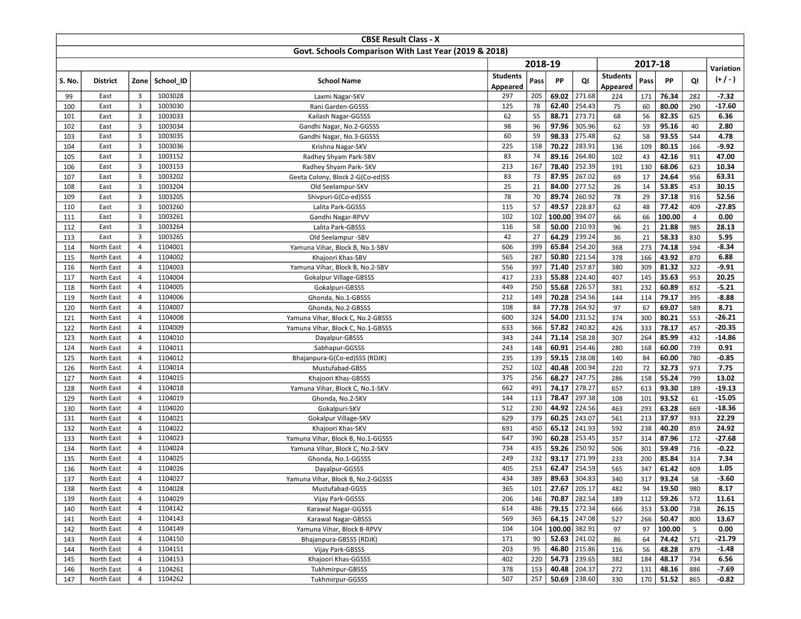|            |                          |                         |                    | <b>CBSE Result Class - X</b>                          |                 |            |                |                  |                 |           |                |                |                 |
|------------|--------------------------|-------------------------|--------------------|-------------------------------------------------------|-----------------|------------|----------------|------------------|-----------------|-----------|----------------|----------------|-----------------|
|            |                          |                         |                    | Govt. Schools Comparison With Last Year (2019 & 2018) |                 |            |                |                  |                 |           |                |                |                 |
|            |                          |                         |                    |                                                       |                 | 2018-19    |                |                  |                 | 2017-18   |                |                |                 |
|            |                          |                         |                    |                                                       | <b>Students</b> |            |                |                  | <b>Students</b> |           |                |                | Variation       |
| S. No.     | <b>District</b>          |                         | Zone School ID     | <b>School Name</b>                                    | Appeared        | Pass       | PP             | QI               | Appeared        | Pass      | PP             | QI             | $(+/-)$         |
| 99         | East                     | 3                       | 1003028            | Laxmi Nagar-SKV                                       | 297             | 205        | 69.02          | 271.68           | 224             | 171       | 76.34          | 282            | $-7.32$         |
| 100        | East                     | $\overline{3}$          | 1003030            | Rani Garden-GGSSS                                     | 125             | 78         | 62.40          | 254.43           | 75              | 60        | 80.00          | 290            | $-17.60$        |
| 101        | East                     | 3                       | 1003033            | Kailash Nagar-GGSSS                                   | 62              | 55         | 88.71          | 273.71           | 68              | 56        | 82.35          | 625            | 6.36            |
| 102        | East                     | 3                       | 1003034            | Gandhi Nagar, No.2-GGSSS                              | 98              | 96         | 97.96          | 305.96           | 62              | 59        | 95.16          | 40             | 2.80            |
| 103        | East                     | $\overline{3}$          | 1003035            | Gandhi Nagar, No.3-GGSSS                              | 60              | 59         | 98.33          | 275.48           | 62              | 58        | 93.55          | 544            | 4.78            |
| 104        | East                     | $\overline{3}$          | 1003036            | Krishna Nagar-SKV                                     | 225             | 158        | 70.22          | 283.91           | 136             | 109       | 80.15          | 166            | $-9.92$         |
| 105        | East                     | 3                       | 1003152            | Radhey Shyam Park-SBV                                 | 83              | 74         | 89.16          | 264.80           | 102             | 43        | 42.16          | 911            | 47.00           |
| 106        | East                     | $\overline{3}$          | 1003153            | Radhey Shyam Park- SKV                                | 213             | 167        | 78.40          | 252.39           | 191             | 130       | 68.06          | 623            | 10.34           |
| 107        | East                     | 3                       | 1003202            | Geeta Colony, Block 2-G(Co-ed)SS                      | 83              | 73         | 87.95          | 267.02           | 69              | 17        | 24.64          | 956            | 63.31           |
| 108        | East                     | 3                       | 1003204            | Old Seelampur-SKV                                     | 25              | 21         | 84.00          | 277.52           | 26              | 14        | 53.85          | 453            | 30.15           |
| 109        | East                     | $\overline{\mathbf{3}}$ | 1003205            | Shivpuri-G(Co-ed)SSS                                  | 78              | 70         | 89.74          | 260.92           | 78              | 29        | 37.18          | 916            | 52.56           |
| 110        | East                     | $\overline{3}$          | 1003260            | Lalita Park-GGSSS                                     | 115             | 57         | 49.57          | 228.87           | 62              | 48        | 77.42          | 409            | $-27.85$        |
| 111        | East                     | 3                       | 1003261            | Gandhi Nagar-RPVV                                     | 102             | 102        | 100.00         | 394.07           | 66              | 66        | 100.00         | $\overline{4}$ | 0.00            |
| 112        | East                     | $\overline{3}$          | 1003264            | Lalita Park-GBSSS                                     | 116             | 58         | 50.00          | 210.93           | 96              | 21        | 21.88          | 985            | 28.13           |
| 113        | East                     | $\mathbf{3}$            | 1003265            | Old Seelampur -SBV                                    | 42              | 27         | 64.29          | 239.24           | 36              | 21        | 58.33          | 830            | 5.95            |
| 114        | North East               | $\overline{4}$          | 1104001            | Yamuna Vihar, Block B, No.1-SBV                       | 606             | 399        | 65.84          | 254.20           | 368             | 273       | 74.18          | 594            | $-8.34$         |
| 115        | North East               | $\overline{4}$          | 1104002            | Khajoori Khas-SBV                                     | 565             | 287        | 50.80          | 221.54           | 378             | 166       | 43.92          | 870            | 6.88            |
| 116        | North East               | $\overline{4}$          | 1104003            | Yamuna Vihar, Block B, No.2-SBV                       | 556             | 397        | 71.40          | 257.87           | 380             | 309       | 81.32          | 322            | $-9.91$         |
| 117        | North East               | 4                       | 1104004            | Gokalpur Village-GBSSS                                | 417             | 233        | 55.88          | 224.40           | 407             | 145       | 35.63          | 953            | 20.25           |
| 118        | North East               | $\overline{4}$          | 1104005            | Gokalpuri-GBSSS                                       | 449             | 250        | 55.68          | 226.57           | 381             | 232       | 60.89          | 832            | $-5.21$         |
| 119        | North East               | $\overline{4}$          | 1104006            | Ghonda, No.1-GBSSS                                    | 212             | 149        | 70.28          | 254.56           | 144             | 114       | 79.17          | 395            | $-8.88$         |
| 120        | North East               | 4                       | 1104007            | Ghonda, No.2-GBSSS                                    | 108             | 84         | 77.78          | 264.92           | 97              | 67        | 69.07          | 589            | 8.71            |
| 121        | North East               | $\overline{4}$          | 1104008            | Yamuna Vihar, Block C, No.2-GBSSS                     | 600             | 324        | 54.00          | 231.52           | 374             | 300       | 80.21          | 553            | $-26.21$        |
| 122        | North East               | $\overline{4}$          | 1104009            | Yamuna Vihar, Block C, No.1-GBSSS                     | 633             | 366        | 57.82          | 240.82           | 426             | 333       | 78.17          | 457            | $-20.35$        |
| 123        | North East               | 4                       | 1104010            | Dayalpur-GBSSS                                        | 343             | 244        | 71.14          | 258.28           | 307             | 264       | 85.99          | 432            | -14.86          |
| 124        | North East<br>North East | $\overline{4}$<br>4     | 1104011<br>1104012 | Sabhapur-GGSSS                                        | 243<br>235      | 148<br>139 | 60.91<br>59.15 | 254.46<br>238.08 | 280             | 168<br>84 | 60.00<br>60.00 | 739            | 0.91<br>$-0.85$ |
| 125        | North East               | 4                       | 1104014            | Bhajanpura-G(Co-ed)SSS (RDJK)                         | 252             | 102        | 40.48          | 200.94           | 140             | 72        | 32.73          | 780<br>973     | 7.75            |
| 126<br>127 | North East               | $\overline{4}$          | 1104015            | Mustufabad-GBSS<br>Khajoori Khas-GBSSS                | 375             | 256        | 68.27          | 247.75           | 220<br>286      | 158       | 55.24          | 799            | 13.02           |
| 128        | North East               | $\overline{4}$          | 1104018            | Yamuna Vihar, Block C, No.1-SKV                       | 662             | 491        | 74.17          | 278.27           | 657             | 613       | 93.30          | 189            | $-19.13$        |
| 129        | North East               | 4                       | 1104019            | Ghonda, No.2-SKV                                      | 144             | 113        | 78.47          | 297.38           | 108             | 101       | 93.52          | 61             | $-15.05$        |
| 130        | North East               | 4                       | 1104020            | Gokalpuri-SKV                                         | 512             | 230        | 44.92          | 224.56           | 463             | 293       | 63.28          | 669            | $-18.36$        |
| 131        | North East               | 4                       | 1104021            | Gokalpur Village-SKV                                  | 629             | 379        | 60.25          | 243.07           | 561             | 213       | 37.97          | 933            | 22.29           |
| 132        | North East               | 4                       | 1104022            | Khajoori Khas-SKV                                     | 691             | 450        | 65.12          | 241.93           | 592             | 238       | 40.20          | 859            | 24.92           |
| 133        | North East               | 4                       | 1104023            | Yamuna Vihar, Block B, No.1-GGSSS                     | 647             | 390        | 60.28          | 253.45           | 357             | 314       | 87.96          | 172            | -27.68          |
| 134        | North East               | $\overline{4}$          | 1104024            | Yamuna Vihar, Block C, No.2-SKV                       | 734             | 435        | 59.26          | 250.92           | 506             | 301       | 59.49          | 716            | $-0.22$         |
| 135        | North East               | 4                       | 1104025            | Ghonda, No.1-GGSSS                                    | 249             | 232        | 93.17          | 271.99           | 233             | 200       | 85.84          | 314            | 7.34            |
| 136        | North East               | 4                       | 1104026            | Dayalpur-GGSSS                                        | 405             | 253        | 62.47          | 254.59           | 565             | 347       | 61.42          | 609            | 1.05            |
| 137        | North East               | 4                       | 1104027            | Yamuna Vihar, Block B, No.2-GGSSS                     | 434             | 389        | 89.63          | 304.83           | 340             | 317       | 93.24          | 58             | $-3.60$         |
| 138        | North East               | 4                       | 1104028            | Mustufabad-GGSS                                       | 365             | 101        |                | $27.67$   205.17 | 482             | 94        | 19.50          | 980            | 8.17            |
| 139        | North East               | 4                       | 1104029            | Vijay Park-GGSSS                                      | 206             | 146        |                | 70.87 282.54     | 189             | 112       | 59.26          | 572            | 11.61           |
| 140        | North East               | 4                       | 1104142            | Karawal Nagar-GGSSS                                   | 614             | 486        |                | 79.15 272.34     | 666             | 353       | 53.00          | 738            | 26.15           |
| 141        | North East               | $\overline{4}$          | 1104143            | Karawal Nagar-GBSSS                                   | 569             | 365        |                | 64.15 247.08     | 527             | 266       | 50.47          | 800            | 13.67           |
| 142        | North East               | 4                       | 1104149            | Yamuna Vihar, Block B-RPVV                            | 104             | 104        | 100.00 382.91  |                  | 97              | 97        | 100.00         | 5              | 0.00            |
| 143        | North East               | 4                       | 1104150            | Bhajanpura-GBSSS (RDJK)                               | 171             | 90         |                | 52.63 241.02     | 86              | 64        | 74.42          | 571            | $-21.79$        |
| 144        | North East               | 4                       | 1104151            | Vijay Park-GBSSS                                      | 203             | 95         |                | 46.80 215.86     | 116             | 56        | 48.28          | 879            | $-1.48$         |
| 145        | North East               | 4                       | 1104153            | Khajoori Khas-GGSSS                                   | 402             | 220        |                | 54.73 239.65     | 382             | 184       | 48.17          | 734            | 6.56            |
| 146        | North East               | 4                       | 1104261            | Tukhmirpur-GBSSS                                      | 378             | 153        |                | 40.48 204.37     | 272             | 131       | 48.16          | 886            | $-7.69$         |
| 147        | North East               | $\overline{4}$          | 1104262            | Tukhmirpur-GGSSS                                      | 507             | 257        |                | $50.69$ 238.60   | 330             |           | 170 51.52      | 865            | $-0.82$         |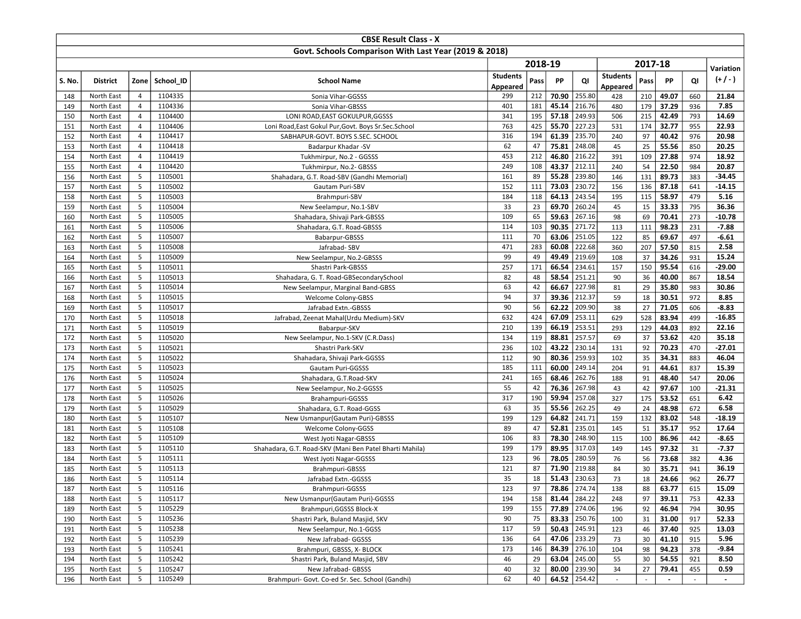|            |                          |                |                    | <b>CBSE Result Class - X</b>                            |                 |           |                |                  |                 |          |                          |            |                   |
|------------|--------------------------|----------------|--------------------|---------------------------------------------------------|-----------------|-----------|----------------|------------------|-----------------|----------|--------------------------|------------|-------------------|
|            |                          |                |                    | Govt. Schools Comparison With Last Year (2019 & 2018)   |                 |           |                |                  |                 |          |                          |            |                   |
|            |                          |                |                    |                                                         |                 | 2018-19   |                |                  |                 | 2017-18  |                          |            |                   |
|            |                          |                |                    |                                                         | <b>Students</b> |           |                |                  | <b>Students</b> |          |                          |            | Variation         |
| S. No.     | <b>District</b>          | Zone           | School ID          | <b>School Name</b>                                      | Appeared        | Pass      | PP             | QI               | Appeared        | Pass     | <b>PP</b>                | QI         | $(+/-)$           |
| 148        | North East               | 4              | 1104335            | Sonia Vihar-GGSSS                                       | 299             | 212       | 70.90          | 255.80           | 428             | 210      | 49.07                    | 660        | 21.84             |
| 149        | North East               | $\overline{4}$ | 1104336            | Sonia Vihar-GBSSS                                       | 401             | 181       | 45.14          | 216.76           | 480             | 179      | 37.29                    | 936        | 7.85              |
| 150        | North East               | $\overline{4}$ | 1104400            | LONI ROAD, EAST GOKULPUR, GGSSS                         | 341             | 195       | 57.18          | 249.93           | 506             | 215      | 42.49                    | 793        | 14.69             |
| 151        | North East               | $\overline{4}$ | 1104406            | Loni Road, East Gokul Pur, Govt. Boys Sr. Sec. School   | 763             | 425       | 55.70          | 227.23           | 531             | 174      | 32.77                    | 955        | 22.93             |
| 152        | North East               | $\overline{4}$ | 1104417            | SABHAPUR-GOVT. BOYS S.SEC. SCHOOL                       | 316             | 194       | 61.39          | 235.70           | 240             | 97       | 40.42                    | 976        | 20.98             |
| 153        | North East               | $\overline{4}$ | 1104418            | Badarpur Khadar -SV                                     | 62              | 47        | 75.81          | 248.08           | 45              | 25       | 55.56                    | 850        | 20.25             |
| 154        | North East               | $\overline{4}$ | 1104419            | Tukhmirpur, No.2 - GGSSS                                | 453             | 212       | 46.80          | 216.22           | 391             | 109      | 27.88                    | 974        | 18.92             |
| 155        | North East               | $\overline{4}$ | 1104420            | Tukhmirpur, No.2- GBSSS                                 | 249             | 108       | 43.37          | 212.11           | 240             | 54       | 22.50                    | 984        | 20.87             |
| 156        | North East               | 5              | 1105001            | Shahadara, G.T. Road-SBV (Gandhi Memorial)              | 161             | 89        | 55.28          | 239.80           | 146             | 131      | 89.73                    | 383        | $-34.45$          |
| 157        | North East               | 5              | 1105002            | Gautam Puri-SBV                                         | 152             | 111       | 73.03          | 230.72           | 156             | 136      | 87.18                    | 641        | $-14.15$          |
| 158        | North East               | 5              | 1105003            | Brahmpuri-SBV                                           | 184             | 118       | 64.13          | 243.54           | 195             | 115      | 58.97                    | 479        | 5.16              |
| 159        | North East               | 5              | 1105004            | New Seelampur, No.1-SBV                                 | 33              | 23        | 69.70          | 260.24           | 45              | 15       | 33.33                    | 795        | 36.36             |
| 160        | North East               | 5              | 1105005            | Shahadara, Shivaji Park-GBSSS                           | 109             | 65        | 59.63          | 267.16           | 98              | 69       | 70.41                    | 273        | $-10.78$          |
| 161        | North East               | 5              | 1105006            | Shahadara, G.T. Road-GBSSS                              | 114             | 103       | 90.35          | 271.72           | 113             | 111      | 98.23                    | 231        | $-7.88$           |
| 162        | North East               | 5              | 1105007            | Babarpur-GBSSS                                          | 111             | 70        | 63.06          | 251.05           | 122             | 85       | 69.67                    | 497        | $-6.61$           |
| 163        | North East               | 5              | 1105008            | Jafrabad-SBV                                            | 471             | 283       | 60.08          | 222.68           | 360             | 207      | 57.50                    | 815        | 2.58              |
| 164        | North East               | 5              | 1105009            | New Seelampur, No.2-GBSSS                               | 99              | 49        | 49.49          | 219.69           | 108             | 37       | 34.26                    | 931        | 15.24             |
| 165        | North East               | 5              | 1105011            | Shastri Park-GBSSS                                      | 257             | 171       | 66.54          | 234.61           | 157             | 150      | 95.54                    | 616        | $-29.00$          |
| 166        | North East               | 5              | 1105013            | Shahadara, G. T. Road-GBSecondarySchool                 | 82              | 48        | 58.54          | 251.21           | 90              | 36       | 40.00                    | 867        | 18.54             |
| 167        | North East               | 5              | 1105014            | New Seelampur, Marginal Band-GBSS                       | 63              | 42        | 66.67          | 227.98           | 81              | 29       | 35.80                    | 983        | 30.86             |
| 168        | North East               | 5              | 1105015            | Welcome Colony-GBSS                                     | 94              | 37        | 39.36          | 212.37           | 59              | 18       | 30.51                    | 972        | 8.85              |
| 169        | North East               | 5              | 1105017            | Jafrabad Extn.-GBSSS                                    | 90              | 56        | 62.22          | 209.90           | 38              | 27       | 71.05                    | 606        | $-8.83$           |
| 170        | North East               | 5              | 1105018            | Jafrabad, Zeenat Mahal(Urdu Medium)-SKV                 | 632             | 424       | 67.09          | 253.11           | 629             | 528      | 83.94                    | 499        | $-16.85$          |
| 171        | North East               | 5              | 1105019            | Babarpur-SKV                                            | 210             | 139       | 66.19          | 253.51           | 293             | 129      | 44.03                    | 892        | 22.16             |
| 172        | North East               | 5              | 1105020            | New Seelampur, No.1-SKV (C.R.Dass)                      | 134             | 119       | 88.81          | 257.57           | 69              | 37       | 53.62                    | 420        | 35.18             |
| 173        | North East               | 5<br>5         | 1105021<br>1105022 | Shastri Park-SKV                                        | 236<br>112      | 102<br>90 | 43.22<br>80.36 | 230.14<br>259.93 | 131<br>102      | 92<br>35 | 70.23<br>34.31           | 470        | $-27.01$<br>46.04 |
| 174<br>175 | North East<br>North East | 5              | 1105023            | Shahadara, Shivaji Park-GGSSS                           | 185             | 111       | 60.00          | 249.14           | 204             | 91       |                          | 883<br>837 |                   |
| 176        | North East               | 5              | 1105024            | Gautam Puri-GGSSS<br>Shahadara, G.T.Road-SKV            | 241             | 165       | 68.46          | 262.76           | 188             | 91       | 44.61<br>48.40           | 547        | 15.39<br>20.06    |
| 177        | North East               | 5              | 1105025            | New Seelampur, No.2-GGSSS                               | 55              | 42        | 76.36          | 267.98           | 43              | 42       | 97.67                    | 100        | $-21.31$          |
| 178        | North East               | 5              | 1105026            | Brahampuri-GGSSS                                        | 317             | 190       | 59.94          | 257.08           | 327             | 175      | 53.52                    | 651        | 6.42              |
| 179        | North East               | 5              | 1105029            | Shahadara, G.T. Road-GGSS                               | 63              | 35        | 55.56          | 262.25           | 49              | 24       | 48.98                    | 672        | 6.58              |
| 180        | North East               | 5              | 1105107            | New Usmanpur (Gautam Puri)-GBSSS                        | 199             | 129       | 64.82          | 241.71           | 159             | 132      | 83.02                    | 548        | $-18.19$          |
| 181        | North East               | 5              | 1105108            | Welcome Colony-GGSS                                     | 89              | 47        | 52.81          | 235.01           | 145             | 51       | 35.17                    | 952        | 17.64             |
| 182        | North East               | 5              | 1105109            | West Jyoti Nagar-GBSSS                                  | 106             | 83        | 78.30          | 248.90           | 115             | 100      | 86.96                    | 442        | $-8.65$           |
| 183        | North East               | 5              | 1105110            | Shahadara, G.T. Road-SKV (Mani Ben Patel Bharti Mahila) | 199             | 179       | 89.95          | 317.03           | 149             | 145      | 97.32                    | 31         | $-7.37$           |
| 184        | North East               | 5              | 1105111            | West Jyoti Nagar-GGSSS                                  | 123             | 96        | 78.05          | 280.59           | 76              | 56       | 73.68                    | 382        | 4.36              |
| 185        | North East               | 5              | 1105113            | Brahmpuri-GBSSS                                         | 121             | 87        | 71.90          | 219.88           | 84              | 30       | 35.71                    | 941        | 36.19             |
| 186        | North East               | 5              | 1105114            | Jafrabad Extn.-GGSSS                                    | 35              | 18        | 51.43          | 230.63           | 73              | 18       | 24.66                    | 962        | 26.77             |
| 187        | North East               | 5              | 1105116            | Brahmpuri-GGSSS                                         | 123             | 97        |                | 78.86 274.74     | 138             | 88       | 63.77                    | 615        | 15.09             |
| 188        | North East               | 5              | 1105117            | New Usmanpur (Gautam Puri)-GGSSS                        | 194             | 158       |                | 81.44 284.22     | 248             | 97       | 39.11                    | 753        | 42.33             |
| 189        | North East               | 5              | 1105229            | Brahmpuri, GGSSS Block-X                                | 199             | 155       |                | 77.89 274.06     | 196             | 92       | 46.94                    | 794        | 30.95             |
| 190        | North East               | 5              | 1105236            | Shastri Park, Buland Masjid, SKV                        | 90              | 75        |                | 83.33 250.76     | 100             | 31       | 31.00                    | 917        | 52.33             |
| 191        | North East               | 5              | 1105238            | New Seelampur, No.1-GGSS                                | 117             | 59        |                | $50.43$ 245.91   | 123             | 46       | 37.40                    | 925        | 13.03             |
| 192        | North East               | 5              | 1105239            | New Jafrabad- GGSSS                                     | 136             | 64        |                | 47.06 233.29     | 73              | 30       | 41.10                    | 915        | 5.96              |
| 193        | North East               | 5              | 1105241            | Brahmpuri, GBSSS, X- BLOCK                              | 173             | 146       |                | 84.39 276.10     | 104             | 98       | 94.23                    | 378        | -9.84             |
| 194        | North East               | 5              | 1105242            | Shastri Park, Buland Masjid, SBV                        | 46              | 29        |                | 63.04 245.00     | 55              | 30       | 54.55                    | 921        | 8.50              |
| 195        | North East               | 5              | 1105247            | New Jafrabad- GBSSS                                     | 40              | 32        |                | 80.00 239.90     | 34              | 27       | 79.41                    | 455        | 0.59              |
| 196        | North East               | 5              | 1105249            | Brahmpuri- Govt. Co-ed Sr. Sec. School (Gandhi)         | 62              | 40        |                | 64.52 254.42     |                 |          | $\overline{\phantom{a}}$ | $\sim$     | $\sim$            |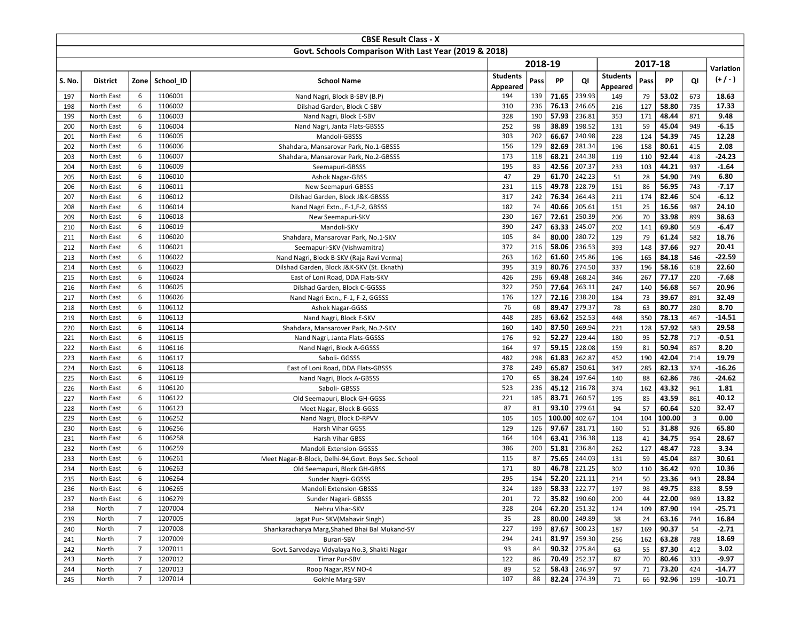|            |                          |                |                    | <b>CBSE Result Class - X</b>                          |                 |          |                |                           |                 |           |                |                |                 |
|------------|--------------------------|----------------|--------------------|-------------------------------------------------------|-----------------|----------|----------------|---------------------------|-----------------|-----------|----------------|----------------|-----------------|
|            |                          |                |                    | Govt. Schools Comparison With Last Year (2019 & 2018) |                 |          |                |                           |                 |           |                |                |                 |
|            |                          |                |                    |                                                       |                 | 2018-19  |                |                           |                 | 2017-18   |                |                |                 |
|            |                          |                |                    |                                                       | <b>Students</b> |          |                |                           | <b>Students</b> |           |                |                | Variation       |
| S. No.     | <b>District</b>          | Zone           | School ID          | <b>School Name</b>                                    | Appeared        | Pass     | PP             | QI                        | Appeared        | Pass      | <b>PP</b>      | QI             | $(+/-)$         |
| 197        | North East               | 6              | 1106001            | Nand Nagri, Block B-SBV (B.P)                         | 194             | 139      | 71.65          | 239.93                    | 149             | 79        | 53.02          | 673            | 18.63           |
| 198        | North East               | 6              | 1106002            | Dilshad Garden, Block C-SBV                           | 310             | 236      | 76.13          | 246.65                    | 216             | 127       | 58.80          | 735            | 17.33           |
| 199        | North East               | 6              | 1106003            | Nand Nagri, Block E-SBV                               | 328             | 190      | 57.93          | 236.81                    | 353             | 171       | 48.44          | 871            | 9.48            |
| 200        | North East               | 6              | 1106004            | Nand Nagri, Janta Flats-GBSSS                         | 252             | 98       | 38.89          | 198.52                    | 131             | 59        | 45.04          | 949            | $-6.15$         |
| 201        | North East               | 6              | 1106005            | Mandoli-GBSSS                                         | 303             | 202      | 66.67          | 240.98                    | 228             | 124       | 54.39          | 745            | 12.28           |
| 202        | North East               | 6              | 1106006            | Shahdara, Mansarovar Park, No.1-GBSSS                 | 156             | 129      | 82.69          | 281.34                    | 196             | 158       | 80.61          | 415            | 2.08            |
| 203        | North East               | 6              | 1106007            | Shahdara, Mansarovar Park, No.2-GBSSS                 | 173             | 118      | 68.21          | 244.38                    | 119             | 110       | 92.44          | 418            | $-24.23$        |
| 204        | North East               | 6              | 1106009            | Seemapuri-GBSSS                                       | 195             | 83       | 42.56          | 207.37                    | 233             | 103       | 44.21          | 937            | $-1.64$         |
| 205        | North East               | 6              | 1106010            | Ashok Nagar-GBSS                                      | 47              | 29       | 61.70          | 242.23                    | 51              | 28        | 54.90          | 749            | 6.80            |
| 206        | North East               | 6              | 1106011            | New Seemapuri-GBSSS                                   | 231             | 115      | 49.78          | 228.79                    | 151             | 86        | 56.95          | 743            | $-7.17$         |
| 207        | North East               | 6              | 1106012            | Dilshad Garden, Block J&K-GBSSS                       | 317             | 242      | 76.34          | 264.43                    | 211             | 174       | 82.46          | 504            | $-6.12$         |
| 208        | North East               | 6              | 1106014            | Nand Nagri Extn., F-1, F-2, GBSSS                     | 182             | 74       | 40.66          | 205.61                    | 151             | 25        | 16.56          | 987            | 24.10           |
| 209        | North East               | 6              | 1106018            | New Seemapuri-SKV                                     | 230             | 167      | 72.61          | 250.39                    | 206             | 70        | 33.98          | 899            | 38.63           |
| 210        | North East               | 6              | 1106019            | Mandoli-SKV                                           | 390             | 247      | 63.33          | 245.07                    | 202             | 141       | 69.80          | 569            | $-6.47$         |
| 211        | North East               | 6              | 1106020            | Shahdara, Mansarovar Park, No.1-SKV                   | 105             | 84       | 80.00          | 280.72                    | 129             | 79        | 61.24          | 582            | 18.76           |
| 212        | North East               | 6              | 1106021            | Seemapuri-SKV (Vishwamitra)                           | 372             | 216      | 58.06          | 236.53                    | 393             | 148       | 37.66          | 927            | 20.41           |
| 213        | North East               | 6              | 1106022            | Nand Nagri, Block B-SKV (Raja Ravi Verma)             | 263             | 162      | 61.60          | 245.86                    | 196             | 165       | 84.18          | 546            | $-22.59$        |
| 214        | North East               | 6              | 1106023            | Dilshad Garden, Block J&K-SKV (St. Eknath)            | 395             | 319      | 80.76          | 274.50                    | 337             | 196       | 58.16          | 618            | 22.60           |
| 215        | North East               | 6              | 1106024            | East of Loni Road, DDA Flats-SKV                      | 426             | 296      | 69.48          | 268.24                    | 346             | 267       | 77.17          | 220            | $-7.68$         |
| 216        | North East               | 6              | 1106025            | Dilshad Garden, Block C-GGSSS                         | 322             | 250      | 77.64          | 263.11                    | 247             | 140       | 56.68          | 567            | 20.96           |
| 217        | North East               | 6              | 1106026            | Nand Nagri Extn., F-1, F-2, GGSSS                     | 176             | 127      | 72.16          | 238.20                    | 184             | 73        | 39.67          | 891            | 32.49           |
| 218        | North East               | 6              | 1106112            | Ashok Nagar-GGSS                                      | 76              | 68       | 89.47          | 279.37                    | 78              | 63        | 80.77          | 280            | 8.70            |
| 219        | North East               | 6              | 1106113            | Nand Nagri, Block E-SKV                               | 448             | 285      | 63.62          | 252.53                    | 448             | 350       | 78.13          | 467            | $-14.51$        |
| 220        | North East               | 6              | 1106114            | Shahdara, Mansarover Park, No.2-SKV                   | 160             | 140      | 87.50          | 269.94                    | 221             | 128       | 57.92          | 583            | 29.58           |
| 221        | North East               | 6              | 1106115            | Nand Nagri, Janta Flats-GGSSS                         | 176             | 92<br>97 | 52.27<br>59.15 | 229.44<br>228.08          | 180             | 95        | 52.78          | 717            | $-0.51$<br>8.20 |
| 222<br>223 | North East<br>North East | 6<br>6         | 1106116<br>1106117 | Nand Nagri, Block A-GGSSS<br>Saboli- GGSSS            | 164<br>482      | 298      | 61.83          | 262.87                    | 159<br>452      | 81<br>190 | 50.94<br>42.04 | 857<br>714     | 19.79           |
| 224        | North East               | 6              | 1106118            | East of Loni Road, DDA Flats-GBSSS                    | 378             | 249      | 65.87          | 250.61                    | 347             | 285       | 82.13          | 374            | $-16.26$        |
| 225        | North East               | 6              | 1106119            | Nand Nagri, Block A-GBSSS                             | 170             | 65       | 38.24          | 197.64                    | 140             | 88        | 62.86          | 786            | $-24.62$        |
| 226        | North East               | 6              | 1106120            | Saboli- GBSSS                                         | 523             | 236      | 45.12          | 216.78                    | 374             | 162       | 43.32          | 961            | 1.81            |
| 227        | North East               | 6              | 1106122            | Old Seemapuri, Block GH-GGSS                          | 221             | 185      | 83.71          | 260.57                    | 195             | 85        | 43.59          | 861            | 40.12           |
| 228        | North East               | 6              | 1106123            | Meet Nagar, Block B-GGSS                              | 87              | 81       | 93.10          | 279.61                    | 94              | 57        | 60.64          | 520            | 32.47           |
| 229        | North East               | 6              | 1106252            | Nand Nagri, Block D-RPVV                              | 105             | 105      | 100.00         | 402.67                    | 104             | 104       | 100.00         | $\overline{3}$ | 0.00            |
| 230        | North East               | 6              | 1106256            | Harsh Vihar GGSS                                      | 129             | 126      | 97.67          | 281.71                    | 160             | 51        | 31.88          | 926            | 65.80           |
| 231        | North East               | 6              | 1106258            | Harsh Vihar GBSS                                      | 164             | 104      | 63.41          | 236.38                    | 118             | 41        | 34.75          | 954            | 28.67           |
| 232        | North East               | 6              | 1106259            | Mandoli Extension-GGSSS                               | 386             | 200      | 51.81          | 236.84                    | 262             | 127       | 48.47          | 728            | 3.34            |
| 233        | North East               | 6              | 1106261            | Meet Nagar-B-Block, Delhi-94, Govt. Boys Sec. School  | 115             | 87       | 75.65          | 244.03                    | 131             | 59        | 45.04          | 887            | 30.61           |
| 234        | North East               | 6              | 1106263            | Old Seemapuri, Block GH-GBSS                          | 171             | 80       | 46.78          | 221.25                    | 302             | 110       | 36.42          | 970            | 10.36           |
| 235        | North East               | 6              | 1106264            | Sunder Nagri- GGSSS                                   | 295             | 154      | 52.20          | 221.11                    | 214             | 50        | 23.36          | 943            | 28.84           |
| 236        | North East               | 6              | 1106265            | Mandoli Extension-GBSSS                               | 324             | 189      |                | $58.33$   222.77          | 197             | 98        | 49.75          | 838            | 8.59            |
| 237        | North East               | 6              | 1106279            | Sunder Nagari- GBSSS                                  | 201             | 72       | 35.82          | 190.60                    | 200             | 44        | 22.00          | 989            | 13.82           |
| 238        | North                    | $\overline{7}$ | 1207004            | Nehru Vihar-SKV                                       | 328             | 204      |                | $\overline{62.20}$ 251.32 | 124             | 109       | 87.90          | 194            | $-25.71$        |
| 239        | North                    | $\overline{7}$ | 1207005            | Jagat Pur- SKV(Mahavir Singh)                         | 35              | 28       |                | 80.00 249.89              | 38              | 24        | 63.16          | 744            | 16.84           |
| 240        | North                    | $\overline{7}$ | 1207008            | Shankaracharya Marg, Shahed Bhai Bal Mukand-SV        | 227             | 199      | 87.67          | 300.23                    | 187             | 169       | 90.37          | 54             | $-2.71$         |
| 241        | North                    | $\overline{7}$ | 1207009            | Burari-SBV                                            | 294             | 241      | 81.97          | 259.30                    | 256             | 162       | 63.28          | 788            | 18.69           |
| 242        | North                    | $\overline{7}$ | 1207011            | Govt. Sarvodaya Vidyalaya No.3, Shakti Nagar          | 93              | 84       | 90.32          | 275.84                    | 63              | 55        | 87.30          | 412            | 3.02            |
| 243        | North                    | $\overline{7}$ | 1207012            | Timar Pur-SBV                                         | 122             | 86       | 70.49          | 252.37                    | 87              | 70        | 80.46          | 333            | $-9.97$         |
| 244        | North                    | $\overline{7}$ | 1207013            | Roop Nagar, RSV NO-4                                  | 89              | 52       | 58.43          | 246.97                    | 97              | 71        | 73.20          | 424            | $-14.77$        |
| 245        | North                    | $\overline{7}$ | 1207014            | Gokhle Marg-SBV                                       | 107             | 88       |                | 82.24 274.39              | 71              | 66        | 92.96          | 199            | $-10.71$        |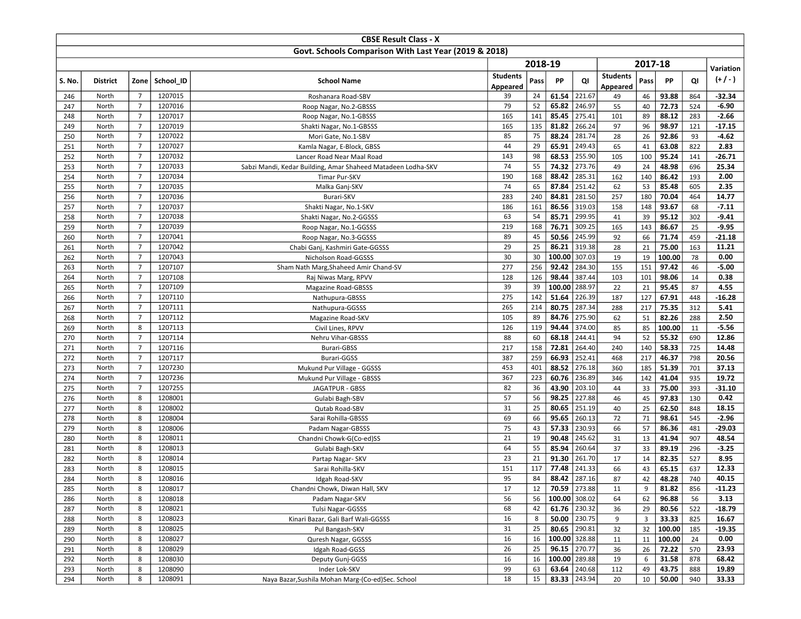|            |                 |                                  |                    | <b>CBSE Result Class - X</b>                                 |                 |            |                |                  |                 |                 |                |            |                |
|------------|-----------------|----------------------------------|--------------------|--------------------------------------------------------------|-----------------|------------|----------------|------------------|-----------------|-----------------|----------------|------------|----------------|
|            |                 |                                  |                    | Govt. Schools Comparison With Last Year (2019 & 2018)        |                 |            |                |                  |                 |                 |                |            |                |
|            |                 |                                  |                    |                                                              |                 | 2018-19    |                |                  |                 | 2017-18         |                |            |                |
|            |                 |                                  |                    |                                                              | <b>Students</b> |            |                |                  | <b>Students</b> |                 |                |            | Variation      |
| S. No.     | <b>District</b> | Zone                             | School ID          | <b>School Name</b>                                           | Appeared        | Pass       | PP             | QI               | Appeared        | Pass            | PP             | QI         | $(+/-)$        |
| 246        | North           | $\overline{7}$                   | 1207015            | Roshanara Road-SBV                                           | 39              | 24         | 61.54          | 221.67           | 49              | 46              | 93.88          | 864        | $-32.34$       |
| 247        | North           | $\overline{7}$                   | 1207016            | Roop Nagar, No.2-GBSSS                                       | 79              | 52         | 65.82          | 246.97           | 55              | 40              | 72.73          | 524        | $-6.90$        |
| 248        | North           | $\overline{7}$                   | 1207017            | Roop Nagar, No.1-GBSSS                                       | 165             | 141        | 85.45          | 275.41           | 101             | 89              | 88.12          | 283        | $-2.66$        |
| 249        | North           | $\overline{7}$                   | 1207019            | Shakti Nagar, No.1-GBSSS                                     | 165             | 135        | 81.82          | 266.24           | 97              | 96              | 98.97          | 121        | $-17.15$       |
| 250        | North           | $\overline{7}$                   | 1207022            | Mori Gate, No.1-SBV                                          | 85              | 75         | 88.24          | 281.74           | 28              | 26              | 92.86          | 93         | $-4.62$        |
| 251        | North           | $\overline{7}$                   | 1207027            | Kamla Nagar, E-Block, GBSS                                   | 44              | 29         | 65.91          | 249.43           | 65              | 41              | 63.08          | 822        | 2.83           |
| 252        | North           | $\overline{7}$                   | 1207032            | Lancer Road Near Maal Road                                   | 143             | 98         | 68.53          | 255.90           | 105             | 100             | 95.24          | 141        | $-26.71$       |
| 253        | North           | $\overline{7}$                   | 1207033            | Sabzi Mandi, Kedar Building, Amar Shaheed Matadeen Lodha-SKV | 74              | 55         | 74.32          | 273.76           | 49              | 24              | 48.98          | 696        | 25.34          |
| 254        | North           | $\overline{7}$                   | 1207034            | Timar Pur-SKV                                                | 190             | 168        | 88.42          | 285.31           | 162             | 140             | 86.42          | 193        | 2.00           |
| 255        | North           | $\overline{7}$                   | 1207035            | Malka Ganj-SKV                                               | 74              | 65         | 87.84          | 251.42           | 62              | 53              | 85.48          | 605        | 2.35           |
| 256        | North           | $\overline{7}$                   | 1207036            | Burari-SKV                                                   | 283             | 240        | 84.81          | 281.50           | 257             | 180             | 70.04          | 464        | 14.77          |
| 257        | North           | $\overline{7}$                   | 1207037            | Shakti Nagar, No.1-SKV                                       | 186             | 161        | 86.56          | 319.03           | 158             | 148             | 93.67          | 68         | $-7.11$        |
| 258        | North           | $\overline{7}$                   | 1207038            | Shakti Nagar, No.2-GGSSS                                     | 63              | 54         | 85.71          | 299.95           | 41              | 39              | 95.12          | 302        | $-9.41$        |
| 259        | North           | $\overline{7}$                   | 1207039            | Roop Nagar, No.1-GGSSS                                       | 219             | 168        | 76.71          | 309.25           | 165             | 143             | 86.67          | 25         | $-9.95$        |
| 260        | North           | $\overline{7}$                   | 1207041            | Roop Nagar, No.3-GGSSS                                       | 89              | 45         | 50.56          | 245.99           | 92              | 66              | 71.74          | 459        | $-21.18$       |
| 261        | North           | $\overline{7}$                   | 1207042            | Chabi Ganj, Kashmiri Gate-GGSSS                              | 29              | 25         | 86.21          | 319.38           | 28              | 21              | 75.00          | 163        | 11.21          |
| 262        | North           | $\overline{7}$                   | 1207043            | Nicholson Road-GGSSS                                         | 30              | 30         | 100.00         | 307.03           | 19              | 19              | 100.00         | 78         | 0.00           |
| 263        | North           | $\overline{7}$                   | 1207107            | Sham Nath Marg, Shaheed Amir Chand-SV                        | 277             | 256        | 92.42          | 284.30           | 155             | 151             | 97.42          | 46         | $-5.00$        |
| 264        | North           | $\overline{7}$                   | 1207108            | Raj Niwas Marg, RPVV                                         | 128             | 126        | 98.44          | 387.44           | 103             | 101             | 98.06          | 14         | 0.38           |
| 265        | North           | $\overline{7}$                   | 1207109            | <b>Magazine Road-GBSSS</b>                                   | 39              | 39         | 100.00         | 288.97           | 22              | 21              | 95.45          | 87         | 4.55           |
| 266        | North           | $\overline{7}$                   | 1207110            | Nathupura-GBSSS                                              | 275             | 142        | 51.64          | 226.39           | 187             | 127             | 67.91          | 448        | $-16.28$       |
| 267        | North           | $\overline{7}$                   | 1207111            | Nathupura-GGSSS                                              | 265             | 214        | 80.75          | 287.34           | 288             | 217             | 75.35          | 312        | 5.41           |
| 268        | North           | $\overline{7}$                   | 1207112            | Magazine Road-SKV                                            | 105             | 89         | 84.76          | 275.90           | 62              | 51              | 82.26          | 288        | 2.50           |
| 269        | North           | 8                                | 1207113            | Civil Lines, RPVV                                            | 126             | 119        | 94.44          | 374.00           | 85              | 85              | 100.00         | 11         | $-5.56$        |
| 270        | North           | $\overline{7}$                   | 1207114            | Nehru Vihar-GBSSS                                            | 88              | 60         | 68.18          | 244.41           | 94              | 52              | 55.32          | 690        | 12.86          |
| 271        | North<br>North  | $\overline{7}$<br>$\overline{7}$ | 1207116<br>1207117 | Burari-GBSS                                                  | 217<br>387      | 158<br>259 | 72.81<br>66.93 | 264.40<br>252.41 | 240             | 140<br>217      | 58.33<br>46.37 | 725        | 14.48<br>20.56 |
| 272<br>273 | North           | $\overline{7}$                   | 1207230            | Burari-GGSS                                                  | 453             | 401        | 88.52          | 276.18           | 468<br>360      |                 |                | 798        |                |
| 274        | North           | $\overline{7}$                   | 1207236            | Mukund Pur Village - GGSSS<br>Mukund Pur Village - GBSSS     | 367             | 223        | 60.76          | 236.89           | 346             | 185<br>142      | 51.39<br>41.04 | 701<br>935 | 37.13<br>19.72 |
| 275        | North           | $\overline{7}$                   | 1207255            | JAGATPUR - GBSS                                              | 82              | 36         | 43.90          | 203.10           | 44              | 33              | 75.00          | 393        | $-31.10$       |
| 276        | North           | 8                                | 1208001            | Gulabi Bagh-SBV                                              | 57              | 56         | 98.25          | 227.88           | 46              | 45              | 97.83          | 130        | 0.42           |
| 277        | North           | 8                                | 1208002            | Qutab Road-SBV                                               | 31              | 25         | 80.65          | 251.19           | 40              | 25              | 62.50          | 848        | 18.15          |
| 278        | North           | 8                                | 1208004            | Sarai Rohilla-GBSSS                                          | 69              | 66         | 95.65          | 260.13           | 72              | 71              | 98.61          | 545        | $-2.96$        |
| 279        | North           | 8                                | 1208006            | Padam Nagar-GBSSS                                            | 75              | 43         | 57.33          | 230.93           | 66              | 57              | 86.36          | 481        | -29.03         |
| 280        | North           | 8                                | 1208011            | Chandni Chowk-G(Co-ed)SS                                     | 21              | 19         | 90.48          | 245.62           | 31              | 13              | 41.94          | 907        | 48.54          |
| 281        | North           | 8                                | 1208013            | Gulabi Bagh-SKV                                              | 64              | 55         | 85.94          | 260.64           | 37              | 33              | 89.19          | 296        | $-3.25$        |
| 282        | North           | 8                                | 1208014            | Partap Nagar- SKV                                            | 23              | 21         | 91.30          | 261.70           | 17              | 14              | 82.35          | 527        | 8.95           |
| 283        | North           | 8                                | 1208015            | Sarai Rohilla-SKV                                            | 151             | 117        | 77.48          | 241.33           | 66              | 43              | 65.15          | 637        | 12.33          |
| 284        | North           | 8                                | 1208016            | Idgah Road-SKV                                               | 95              | 84         | 88.42          | 287.16           | 87              | 42              | 48.28          | 740        | 40.15          |
| 285        | North           | 8                                | 1208017            | Chandni Chowk, Diwan Hall, SKV                               | 17              | 12         |                | 70.59 273.88     | 11              | 9               | 81.82          | 856        | $-11.23$       |
| 286        | North           | 8                                | 1208018            | Padam Nagar-SKV                                              | 56              | 56         | 100.00 308.02  |                  | 64              | 62              | 96.88          | 56         | 3.13           |
| 287        | North           | 8                                | 1208021            | Tulsi Nagar-GGSSS                                            | 68              | 42         |                | $61.76$ 230.32   | 36              | 29              | 80.56          | 522        | $-18.79$       |
| 288        | North           | 8                                | 1208023            | Kinari Bazar, Gali Barf Wali-GGSSS                           | 16              | 8          |                | $50.00$ 230.75   | 9               | 3               | 33.33          | 825        | 16.67          |
| 289        | North           | 8                                | 1208025            | Pul Bangash-SKV                                              | 31              | 25         |                | 80.65 290.81     | 32              | 32              | 100.00         | 185        | $-19.35$       |
| 290        | North           | 8                                | 1208027            | Quresh Nagar, GGSSS                                          | 16              | 16         | 100.00 328.88  |                  | 11              | 11              | 100.00         | 24         | 0.00           |
| 291        | North           | 8                                | 1208029            | Idgah Road-GGSS                                              | 26              | 25         |                | $96.15$ 270.77   | 36              | 26              | 72.22          | 570        | 23.93          |
| 292        | North           | 8                                | 1208030            | Deputy Gunj-GGSS                                             | 16              | 16         | 100.00 289.88  |                  | 19              | 6               | 31.58          | 878        | 68.42          |
| 293        | North           | 8                                | 1208090            | Inder Lok-SKV                                                | 99              | 63         |                | 63.64 240.68     | 112             | 49              | 43.75          | 888        | 19.89          |
| 294        | North           | 8                                | 1208091            | Naya Bazar, Sushila Mohan Marg-(Co-ed) Sec. School           | 18              | 15         |                | 83.33 243.94     | 20              | 10 <sup>°</sup> | 50.00          | 940        | 33.33          |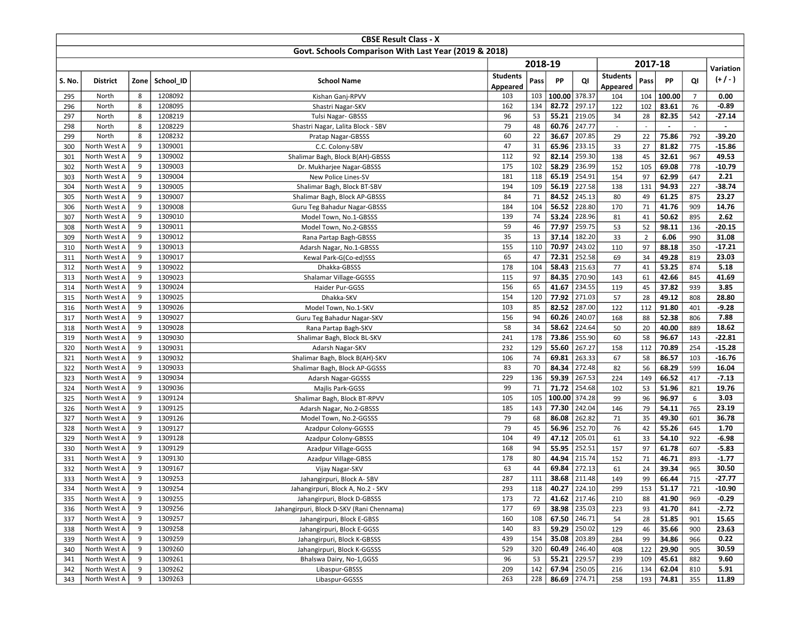|            |                              |        |                    | <b>CBSE Result Class - X</b>                          |                 |           |                |                  |                          |                |                          |                |                    |
|------------|------------------------------|--------|--------------------|-------------------------------------------------------|-----------------|-----------|----------------|------------------|--------------------------|----------------|--------------------------|----------------|--------------------|
|            |                              |        |                    | Govt. Schools Comparison With Last Year (2019 & 2018) |                 |           |                |                  |                          |                |                          |                |                    |
|            |                              |        |                    |                                                       |                 | 2018-19   |                |                  |                          | 2017-18        |                          |                | Variation          |
| S. No.     | <b>District</b>              | Zone   | School ID          | <b>School Name</b>                                    | <b>Students</b> | Pass      | PP             | QI               | <b>Students</b>          | Pass           | PP                       | QI             | $(+/-)$            |
|            |                              |        |                    |                                                       | Appeared        |           |                |                  | Appeared                 |                |                          |                |                    |
| 295        | North                        | 8      | 1208092            | Kishan Ganj-RPVV                                      | 103             | 103       | 100.00         | 378.37           | 104                      | 104            | 100.00                   | $\overline{7}$ | 0.00               |
| 296        | North                        | 8      | 1208095            | Shastri Nagar-SKV                                     | 162             | 134       | 82.72          | 297.17           | 122                      | 102            | 83.61                    | 76             | -0.89              |
| 297        | North                        | 8      | 1208219            | Tulsi Nagar- GBSSS                                    | 96              | 53        | 55.21          | 219.05           | 34                       | 28             | 82.35                    | 542            | $-27.14$           |
| 298        | North                        | 8      | 1208229            | Shastri Nagar, Lalita Block - SBV                     | 79              | 48        | 60.76          | 247.77           | $\overline{\phantom{a}}$ |                | $\overline{\phantom{a}}$ | $\sim$         | $\blacksquare$     |
| 299        | North                        | 8      | 1208232            | Pratap Nagar-GBSSS                                    | 60              | 22        | 36.67          | 207.85           | 29                       | 22             | 75.86                    | 792            | $-39.20$           |
| 300        | North West A                 | 9      | 1309001            | C.C. Colony-SBV                                       | 47              | 31        | 65.96          | 233.15<br>259.30 | 33                       | 27             | 81.82                    | 775            | $-15.86$           |
| 301        | North West A                 | 9<br>9 | 1309002            | Shalimar Bagh, Block B(AH)-GBSSS                      | 112<br>175      | 92<br>102 | 82.14<br>58.29 | 236.99           | 138<br>152               | 45<br>105      | 32.61<br>69.08           | 967            | 49.53<br>-10.79    |
| 302<br>303 | North West A<br>North West A | 9      | 1309003<br>1309004 | Dr. Mukharjee Nagar-GBSSS<br>New Police Lines-SV      | 181             | 118       | 65.19          | 254.91           | 154                      | 97             | 62.99                    | 778<br>647     | 2.21               |
| 304        | North West A                 | 9      | 1309005            | Shalimar Bagh, Block BT-SBV                           | 194             | 109       | 56.19          | 227.58           | 138                      | 131            | 94.93                    | 227            | $-38.74$           |
| 305        | North West A                 | 9      | 1309007            | Shalimar Bagh, Block AP-GBSSS                         | 84              | 71        | 84.52          | 245.13           | 80                       | 49             | 61.25                    | 875            | 23.27              |
| 306        | North West A                 | 9      | 1309008            | Guru Teg Bahadur Nagar-GBSSS                          | 184             | 104       | 56.52          | 228.80           | 170                      | 71             | 41.76                    | 909            | 14.76              |
| 307        | North West A                 | 9      | 1309010            | Model Town, No.1-GBSSS                                | 139             | 74        | 53.24          | 228.96           | 81                       | 41             | 50.62                    | 895            | 2.62               |
| 308        | North West A                 | 9      | 1309011            | Model Town, No.2-GBSSS                                | 59              | 46        | 77.97          | 259.75           | 53                       | 52             | 98.11                    | 136            | $-20.15$           |
| 309        | North West A                 | 9      | 1309012            | Rana Partap Bagh-GBSSS                                | 35              | 13        | 37.14          | 182.20           | 33                       | $\overline{2}$ | 6.06                     | 990            | 31.08              |
| 310        | North West A                 | 9      | 1309013            | Adarsh Nagar, No.1-GBSSS                              | 155             | 110       | 70.97          | 243.02           | 110                      | 97             | 88.18                    | 350            | $-17.21$           |
| 311        | North West A                 | 9      | 1309017            | Kewal Park-G(Co-ed)SSS                                | 65              | 47        | 72.31          | 252.58           | 69                       | 34             | 49.28                    | 819            | 23.03              |
| 312        | North West A                 | 9      | 1309022            | Dhakka-GBSSS                                          | 178             | 104       | 58.43          | 215.63           | 77                       | 41             | 53.25                    | 874            | 5.18               |
| 313        | North West A                 | 9      | 1309023            | Shalamar Village-GGSSS                                | 115             | 97        | 84.35          | 270.90           | 143                      | 61             | 42.66                    | 845            | 41.69              |
| 314        | North West A                 | 9      | 1309024            | Haider Pur-GGSS                                       | 156             | 65        | 41.67          | 234.55           | 119                      | 45             | 37.82                    | 939            | 3.85               |
| 315        | North West A                 | 9      | 1309025            | Dhakka-SKV                                            | 154             | 120       | 77.92          | 271.03           | 57                       | 28             | 49.12                    | 808            | 28.80              |
| 316        | North West A                 | 9      | 1309026            | Model Town, No.1-SKV                                  | 103             | 85        | 82.52          | 287.00           | 122                      | 112            | 91.80                    | 401            | $-9.28$            |
| 317        | North West A                 | 9      | 1309027            | Guru Teg Bahadur Nagar-SKV                            | 156             | 94        | 60.26          | 240.07           | 168                      | 88             | 52.38                    | 806            | 7.88               |
| 318        | North West A                 | 9      | 1309028            | Rana Partap Bagh-SKV                                  | 58              | 34        | 58.62          | 224.64           | 50                       | 20             | 40.00                    | 889            | 18.62              |
| 319        | North West A                 | 9      | 1309030            | Shalimar Bagh, Block BL-SKV                           | 241             | 178       | 73.86          | 255.90           | 60                       | 58             | 96.67                    | 143            | $-22.81$           |
| 320        | North West A                 | 9      | 1309031            | Adarsh Nagar-SKV                                      | 232             | 129       | 55.60          | 267.27           | 158                      | 112            | 70.89                    | 254            | $-15.28$           |
| 321        | North West A                 | 9      | 1309032            | Shalimar Bagh, Block B(AH)-SKV                        | 106             | 74        | 69.81          | 263.33           | 67                       | 58             | 86.57                    | 103            | $-16.76$           |
| 322        | North West A                 | 9      | 1309033            | Shalimar Bagh, Block AP-GGSSS                         | 83              | 70        | 84.34          | 272.48           | 82                       | 56             | 68.29                    | 599            | 16.04              |
| 323        | North West A                 | 9      | 1309034            | Adarsh Nagar-GGSSS                                    | 229             | 136       | 59.39          | 267.53           | 224                      | 149            | 66.52                    | 417            | $-7.13$            |
| 324        | North West A                 | 9      | 1309036            | Majlis Park-GGSS                                      | 99              | 71        | 71.72          | 254.68           | 102                      | 53             | 51.96                    | 821            | 19.76              |
| 325        | North West A                 | 9      | 1309124            | Shalimar Bagh, Block BT-RPVV                          | 105             | 105       | 100.00         | 374.28           | 99                       | 96             | 96.97                    | 6              | 3.03               |
| 326        | North West A                 | 9      | 1309125            | Adarsh Nagar, No.2-GBSSS                              | 185             | 143       | 77.30          | 242.04           | 146                      | 79             | 54.11                    | 765            | 23.19              |
| 327        | North West A                 | 9      | 1309126            | Model Town, No.2-GGSSS                                | 79              | 68        | 86.08          | 262.82           | 71                       | 35             | 49.30                    | 601            | 36.78              |
| 328        | North West A                 | 9      | 1309127            | Azadpur Colony-GGSSS                                  | 79              | 45        | 56.96          | 252.70           | 76                       | 42             | 55.26                    | 645            | 1.70               |
| 329<br>330 | North West A<br>North West A | 9<br>9 | 1309128<br>1309129 | Azadpur Colony-GBSSS                                  | 104<br>168      | 49<br>94  | 47.12<br>55.95 | 205.01<br>252.51 | 61<br>157                | 33<br>97       | 54.10<br>61.78           | 922<br>607     | $-6.98$<br>$-5.83$ |
| 331        | North West A                 | 9      | 1309130            | Azadpur Village-GGSS<br>Azadpur Village-GBSS          | 178             | 80        | 44.94          | 215.74           | 152                      | 71             | 46.71                    | 893            | $-1.77$            |
| 332        | North West A                 | 9      | 1309167            | Vijay Nagar-SKV                                       | 63              | 44        | 69.84          | 272.13           | 61                       | 24             | 39.34                    | 965            | 30.50              |
| 333        | North West A                 | 9      | 1309253            | Jahangirpuri, Block A- SBV                            | 287             | 111       | 38.68          | 211.48           | 149                      | 99             | 66.44                    | 715            | $-27.77$           |
| 334        | North West A                 | 9      | 1309254            | Jahangirpuri, Block A, No.2 - SKV                     | 293             | 118       | 40.27 224.10   |                  | 299                      |                | $153$ 51.17              | 721            | -10.90             |
| 335        | North West A                 | 9      | 1309255            | Jahangirpuri, Block D-GBSSS                           | 173             | 72        |                | 41.62 217.46     | 210                      | 88             | 41.90                    | 969            | $-0.29$            |
| 336        | North West A                 | 9      | 1309256            | Jahangirpuri, Block D-SKV (Rani Chennama)             | 177             | 69        | 38.98 235.03   |                  | 223                      | 93             | 41.70                    | 841            | $-2.72$            |
| 337        | North West A                 | 9      | 1309257            | Jahangirpuri, Block E-GBSS                            | 160             | 108       | 67.50 246.71   |                  | 54                       | 28             | 51.85                    | 901            | 15.65              |
| 338        | North West A                 | 9      | 1309258            | Jahangirpuri, Block E-GGSS                            | 140             | 83        | 59.29 250.02   |                  | 129                      | 46             | 35.66                    | 900            | 23.63              |
| 339        | North West A                 | 9      | 1309259            | Jahangirpuri, Block K-GBSSS                           | 439             | 154       | 35.08 203.89   |                  | 284                      | 99             | 34.86                    | 966            | 0.22               |
| 340        | North West A                 | 9      | 1309260            | Jahangirpuri, Block K-GGSSS                           | 529             | 320       |                | 60.49 246.40     | 408                      | 122            | 29.90                    | 905            | 30.59              |
| 341        | North West A                 | 9      | 1309261            | Bhalswa Dairy, No-1,GGSS                              | 96              | 53        | 55.21 229.57   |                  | 239                      | 109            | 45.61                    | 882            | 9.60               |
| 342        | North West A                 | 9      | 1309262            | Libaspur-GBSSS                                        | 209             | 142       | 67.94 250.05   |                  | 216                      | 134            | 62.04                    | 810            | 5.91               |
| 343        | North West A                 | 9      | 1309263            | Libaspur-GGSSS                                        | 263             | 228       | 86.69 274.71   |                  | 258                      | 193            | 74.81                    | 355            | 11.89              |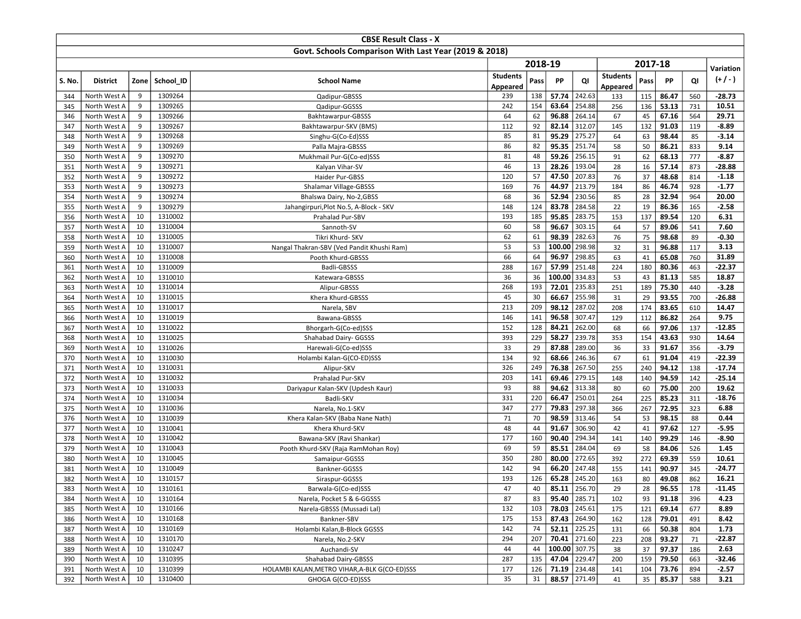|            |                              |          |                    | <b>CBSE Result Class - X</b>                          |                 |           |                           |                  |                 |           |                |            |                   |
|------------|------------------------------|----------|--------------------|-------------------------------------------------------|-----------------|-----------|---------------------------|------------------|-----------------|-----------|----------------|------------|-------------------|
|            |                              |          |                    | Govt. Schools Comparison With Last Year (2019 & 2018) |                 |           |                           |                  |                 |           |                |            |                   |
|            |                              |          |                    |                                                       |                 | 2018-19   |                           |                  |                 | 2017-18   |                |            | Variation         |
| S. No.     | <b>District</b>              | Zone     | School ID          | <b>School Name</b>                                    | <b>Students</b> | Pass      | PP                        | QI               | <b>Students</b> | Pass      | PP             | QI         | $(+/-)$           |
|            |                              |          |                    |                                                       | Appeared        |           |                           |                  | Appeared        |           |                |            |                   |
| 344        | North West A                 | 9        | 1309264            | Qadipur-GBSSS                                         | 239             | 138       | 57.74                     | 242.63           | 133             | 115       | 86.47          | 560        | $-28.73$          |
| 345        | North West A                 | 9        | 1309265            | Qadipur-GGSSS                                         | 242             | 154       | 63.64                     | 254.88           | 256             | 136       | 53.13          | 731        | 10.51             |
| 346        | North West A                 | 9        | 1309266            | Bakhtawarpur-GBSSS                                    | 64              | 62        | 96.88                     | 264.14           | 67              | 45        | 67.16          | 564        | 29.71             |
| 347        | North West A                 | 9<br>9   | 1309267            | Bakhtawarpur-SKV (BMS)                                | 112             | 92        | 82.14                     | 312.07           | 145             | 132       | 91.03          | 119        | $-8.89$           |
| 348        | North West A                 | 9        | 1309268<br>1309269 | Singhu-G(Co-Ed)SSS                                    | 85<br>86        | 81<br>82  | 95.29<br>95.35            | 275.27<br>251.74 | 64<br>58        | 63        | 98.44<br>86.21 | 85<br>833  | $-3.14$<br>9.14   |
| 349<br>350 | North West A<br>North West A | 9        | 1309270            | Palla Majra-GBSSS<br>Mukhmail Pur-G(Co-ed)SSS         | 81              | 48        | 59.26                     | 256.15           | 91              | 50<br>62  | 68.13          | 777        | $-8.87$           |
| 351        | North West A                 | 9        | 1309271            | Kalyan Vihar-SV                                       | 46              | 13        | 28.26                     | 193.04           | 28              | 16        | 57.14          | 873        | $-28.88$          |
| 352        | North West A                 | 9        | 1309272            | Haider Pur-GBSS                                       | 120             | 57        | 47.50                     | 207.83           | 76              | 37        | 48.68          | 814        | $-1.18$           |
| 353        | North West A                 | 9        | 1309273            | Shalamar Village-GBSSS                                | 169             | 76        | 44.97                     | 213.79           | 184             | 86        | 46.74          | 928        | $-1.77$           |
| 354        | North West A                 | 9        | 1309274            | Bhalswa Dairy, No-2, GBSS                             | 68              | 36        | 52.94                     | 230.56           | 85              | 28        | 32.94          | 964        | 20.00             |
| 355        | North West A                 | 9        | 1309279            | Jahangirpuri, Plot No.5, A-Block - SKV                | 148             | 124       | 83.78                     | 284.58           | 22              | 19        | 86.36          | 165        | $-2.58$           |
| 356        | North West A                 | 10       | 1310002            | Prahalad Pur-SBV                                      | 193             | 185       | 95.85                     | 283.75           | 153             | 137       | 89.54          | 120        | 6.31              |
| 357        | North West A                 | 10       | 1310004            | Sannoth-SV                                            | 60              | 58        | 96.67                     | 303.15           | 64              | 57        | 89.06          | 541        | 7.60              |
| 358        | North West A                 | 10       | 1310005            | Tikri Khurd- SKV                                      | 62              | 61        | 98.39                     | 282.63           | 76              | 75        | 98.68          | 89         | $-0.30$           |
| 359        | North West A                 | 10       | 1310007            | Nangal Thakran-SBV (Ved Pandit Khushi Ram)            | 53              | 53        | 100.00                    | 298.98           | 32              | 31        | 96.88          | 117        | 3.13              |
| 360        | North West A                 | 10       | 1310008            | Pooth Khurd-GBSSS                                     | 66              | 64        | 96.97                     | 298.85           | 63              | 41        | 65.08          | 760        | 31.89             |
| 361        | North West A                 | 10       | 1310009            | Badli-GBSSS                                           | 288             | 167       | 57.99                     | 251.48           | 224             | 180       | 80.36          | 463        | $-22.37$          |
| 362        | North West A                 | 10       | 1310010            | Katewara-GBSSS                                        | 36              | 36        | 100.00                    | 334.83           | 53              | 43        | 81.13          | 585        | 18.87             |
| 363        | North West A                 | 10       | 1310014            | Alipur-GBSSS                                          | 268             | 193       | 72.01                     | 235.83           | 251             | 189       | 75.30          | 440        | $-3.28$           |
| 364        | North West A                 | 10       | 1310015            | Khera Khurd-GBSSS                                     | 45              | 30        | 66.67                     | 255.98           | 31              | 29        | 93.55          | 700        | $-26.88$          |
| 365        | North West A                 | 10       | 1310017            | Narela, SBV                                           | 213             | 209       | 98.12                     | 287.02           | 208             | 174       | 83.65          | 610        | 14.47             |
| 366        | North West A                 | 10       | 1310019            | Bawana-GBSSS                                          | 146             | 141       | 96.58                     | 307.47           | 129             | 112       | 86.82          | 264        | 9.75              |
| 367        | North West A                 | 10       | 1310022            | Bhorgarh-G(Co-ed)SSS                                  | 152             | 128       | 84.21                     | 262.00           | 68              | 66        | 97.06          | 137        | $-12.85$          |
| 368        | North West A                 | 10       | 1310025            | Shahabad Dairy- GGSSS                                 | 393             | 229       | 58.27                     | 239.78           | 353             | 154       | 43.63          | 930        | 14.64             |
| 369        | North West A                 | 10       | 1310026            | Harewali-G(Co-ed)SSS                                  | 33              | 29        | 87.88                     | 289.00           | 36              | 33        | 91.67          | 356        | $-3.79$           |
| 370        | North West A                 | 10       | 1310030            | Holambi Kalan-G(CO-ED)SSS                             | 134             | 92        | 68.66                     | 246.36           | 67              | 61        | 91.04          | 419        | $-22.39$          |
| 371        | North West A                 | 10       | 1310031            | Alipur-SKV                                            | 326             | 249       | 76.38                     | 267.50           | 255             | 240       | 94.12          | 138        | $-17.74$          |
| 372        | North West A<br>North West A | 10<br>10 | 1310032<br>1310033 | Prahalad Pur-SKV                                      | 203<br>93       | 141<br>88 | 69.46<br>94.62            | 279.15<br>313.38 | 148<br>80       | 140<br>60 | 94.59<br>75.00 | 142        | $-25.14$<br>19.62 |
| 373<br>374 | North West A                 | 10       | 1310034            | Dariyapur Kalan-SKV (Updesh Kaur)<br>Badli-SKV        | 331             | 220       | 66.47                     | 250.01           | 264             | 225       | 85.23          | 200<br>311 | $-18.76$          |
| 375        | North West A                 | 10       | 1310036            | Narela, No.1-SKV                                      | 347             | 277       | 79.83                     | 297.38           | 366             | 267       | 72.95          | 323        | 6.88              |
| 376        | North West A                 | 10       | 1310039            | Khera Kalan-SKV (Baba Nane Nath)                      | 71              | 70        | 98.59                     | 313.46           | 54              | 53        | 98.15          | 88         | 0.44              |
| 377        | North West A                 | 10       | 1310041            | Khera Khurd-SKV                                       | 48              | 44        | 91.67                     | 306.90           | 42              | 41        | 97.62          | 127        | $-5.95$           |
| 378        | North West A                 | 10       | 1310042            | Bawana-SKV (Ravi Shankar)                             | 177             | 160       | 90.40                     | 294.34           | 141             | 140       | 99.29          | 146        | $-8.90$           |
| 379        | North West A                 | 10       | 1310043            | Pooth Khurd-SKV (Raja RamMohan Roy)                   | 69              | 59        | 85.51                     | 284.04           | 69              | 58        | 84.06          | 526        | 1.45              |
| 380        | North West A                 | 10       | 1310045            | Samaipur-GGSSS                                        | 350             | 280       | 80.00                     | 272.65           | 392             | 272       | 69.39          | 559        | 10.61             |
| 381        | North West A                 | 10       | 1310049            | Bankner-GGSSS                                         | 142             | 94        | 66.20                     | 247.48           | 155             | 141       | 90.97          | 345        | -24.77            |
| 382        | North West A                 | 10       | 1310157            | Siraspur-GGSSS                                        | 193             | 126       | 65.28                     | 245.20           | 163             | 80        | 49.08          | 862        | 16.21             |
| 383        | North West A                 | 10       | 1310161            | Barwala-G(Co-ed)SSS                                   | 47              | 40        |                           | 85.11 256.70     | 29              | 28        | 96.55          | 178        | -11.45            |
| 384        | North West A                 | 10       | 1310164            | Narela, Pocket 5 & 6-GGSSS                            | 87              | 83        | 95.40 285.71              |                  | 102             | 93        | 91.18          | 396        | 4.23              |
| 385        | North West A                 | 10       | 1310166            | Narela-GBSSS (Mussadi Lal)                            | 132             | 103       | $\overline{78.03}$ 245.61 |                  | 175             | 121       | 69.14          | 677        | 8.89              |
| 386        | North West A                 | 10       | 1310168            | Bankner-SBV                                           | 175             | 153       |                           | 87.43 264.90     | 162             | 128       | 79.01          | 491        | 8.42              |
| 387        | North West A                 | 10       | 1310169            | Holambi Kalan, B-Block GGSSS                          | 142             | 74        |                           | $52.11$ 225.25   | 131             | 66        | 50.38          | 804        | 1.73              |
| 388        | North West A                 | 10       | 1310170            | Narela, No.2-SKV                                      | 294             | 207       |                           | 70.41 271.60     | 223             | 208       | 93.27          | 71         | $-22.87$          |
| 389        | North West A                 | 10       | 1310247            | Auchandi-SV                                           | 44              | 44        | 100.00 307.75             |                  | 38              | 37        | 97.37          | 186        | 2.63              |
| 390        | North West A                 | 10       | 1310395            | Shahabad Dairy-GBSSS                                  | 287             | 135       | 47.04                     | 229.47           | 200             | 159       | 79.50          | 663        | $-32.46$          |
| 391        | North West A                 | 10       | 1310399            | HOLAMBI KALAN, METRO VIHAR, A-BLK G(CO-ED)SSS         | 177             | 126       | 71.19 234.48              |                  | 141             | 104       | 73.76          | 894        | $-2.57$           |
| 392        | North West A                 | 10       | 1310400            | GHOGA G(CO-ED)SSS                                     | 35              | 31        |                           | 88.57 271.49     | 41              | 35        | 85.37          | 588        | 3.21              |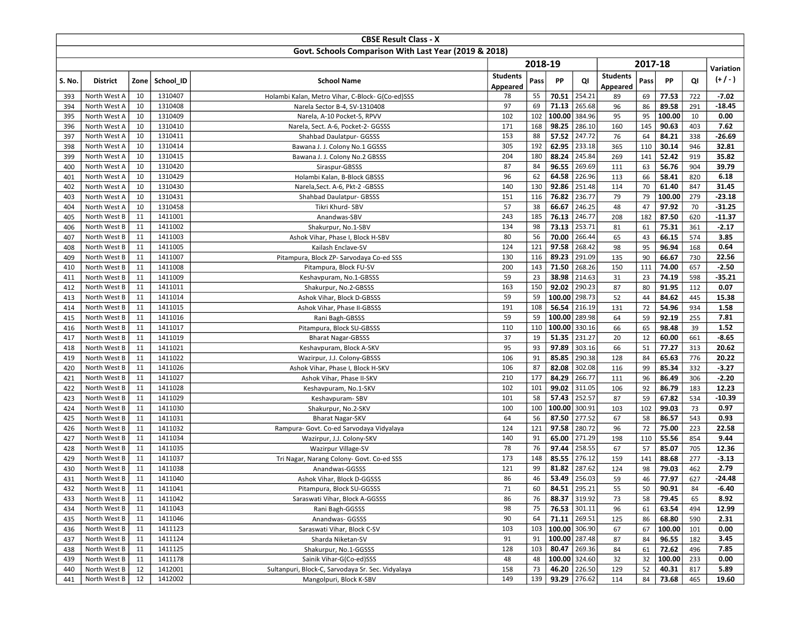|            |                              |          |                    | <b>CBSE Result Class - X</b>                          |                 |            |                |                  |                 |           |                 |            |               |
|------------|------------------------------|----------|--------------------|-------------------------------------------------------|-----------------|------------|----------------|------------------|-----------------|-----------|-----------------|------------|---------------|
|            |                              |          |                    | Govt. Schools Comparison With Last Year (2019 & 2018) |                 |            |                |                  |                 |           |                 |            |               |
|            |                              |          |                    |                                                       |                 | 2018-19    |                |                  |                 | 2017-18   |                 |            |               |
|            |                              |          |                    |                                                       | <b>Students</b> |            |                |                  | <b>Students</b> |           |                 |            | Variation     |
| S. No.     | <b>District</b>              | Zone     | School ID          | <b>School Name</b>                                    | Appeared        | Pass       | PP             | QI               | Appeared        | Pass      | PP              | QI         | $(+/-)$       |
| 393        | North West A                 | 10       | 1310407            | Holambi Kalan, Metro Vihar, C-Block-G(Co-ed)SSS       | 78              | 55         | 70.51          | 254.21           | 89              | 69        | 77.53           | 722        | $-7.02$       |
| 394        | North West A                 | 10       | 1310408            | Narela Sector B-4, SV-1310408                         | 97              | 69         | 71.13          | 265.68           | 96              | 86        | 89.58           | 291        | $-18.45$      |
| 395        | North West A                 | 10       | 1310409            | Narela, A-10 Pocket-5, RPVV                           | 102             | 102        | 100.00         | 384.96           | 95              | 95        | 100.00          | 10         | 0.00          |
| 396        | North West A                 | 10       | 1310410            | Narela, Sect. A-6, Pocket-2- GGSSS                    | 171             | 168        | 98.25          | 286.10           | 160             | 145       | 90.63           | 403        | 7.62          |
| 397        | North West A                 | 10       | 1310411            | Shahbad Daulatpur- GGSSS                              | 153             | 88         | 57.52          | 247.72           | 76              | 64        | 84.21           | 338        | $-26.69$      |
| 398        | North West A                 | 10       | 1310414            | Bawana J. J. Colony No.1 GGSSS                        | 305             | 192        | 62.95          | 233.18           | 365             | 110       | 30.14           | 946        | 32.81         |
| 399        | North West A                 | 10       | 1310415            | Bawana J. J. Colony No.2 GBSSS                        | 204             | 180        | 88.24          | 245.84           | 269             | 141       | 52.42           | 919        | 35.82         |
| 400        | North West A                 | 10       | 1310420            | Siraspur-GBSSS                                        | 87              | 84         | 96.55          | 269.69           | 111             | 63        | 56.76           | 904        | 39.79         |
| 401        | North West A                 | 10       | 1310429            | Holambi Kalan, B-Block GBSSS                          | 96              | 62         | 64.58          | 226.96           | 113             | 66        | 58.41           | 820        | 6.18          |
| 402        | North West A                 | 10       | 1310430            | Narela, Sect. A-6, Pkt-2 - GBSSS                      | 140             | 130        | 92.86          | 251.48           | 114             | 70        | 61.40           | 847        | 31.45         |
| 403        | North West A                 | 10       | 1310431            | Shahbad Daulatpur- GBSSS                              | 151             | 116        | 76.82          | 236.77           | 79              | 79        | 100.00          | 279        | $-23.18$      |
| 404        | North West A                 | 10       | 1310458            | Tikri Khurd-SBV                                       | 57              | 38         | 66.67          | 246.25           | 48              | 47        | 97.92           | 70         | $-31.25$      |
| 405        | North West B                 | 11       | 1411001            | Anandwas-SBV                                          | 243             | 185        | 76.13          | 246.77           | 208             | 182       | 87.50           | 620        | $-11.37$      |
| 406        | North West B                 | 11       | 1411002            | Shakurpur, No.1-SBV                                   | 134             | 98         | 73.13          | 253.71           | 81              | 61        | 75.31           | 361        | $-2.17$       |
| 407        | North West B                 | 11       | 1411003            | Ashok Vihar, Phase I, Block H-SBV                     | 80              | 56         | 70.00          | 266.44           | 65              | 43        | 66.15           | 574        | 3.85          |
| 408        | North West B                 | 11       | 1411005            | Kailash Enclave-SV                                    | 124             | 121        | 97.58<br>89.23 | 268.42           | 98              | 95        | 96.94           | 168        | 0.64<br>22.56 |
| 409        | North West B<br>North West B | 11<br>11 | 1411007<br>1411008 | Pitampura, Block ZP- Sarvodaya Co-ed SSS              | 130<br>200      | 116<br>143 | 71.50          | 291.09<br>268.26 | 135<br>150      | 90<br>111 | 66.67<br>74.00  | 730<br>657 | $-2.50$       |
| 410        | North West B                 | 11       | 1411009            | Pitampura, Block FU-SV                                | 59              | 23         | 38.98          | 214.63           | 31              | 23        |                 | 598        | $-35.21$      |
| 411<br>412 | North West B                 | 11       | 1411011            | Keshavpuram, No.1-GBSSS<br>Shakurpur, No.2-GBSSS      | 163             | 150        | 92.02          | 290.23           | 87              | 80        | 74.19<br>91.95  | 112        | 0.07          |
| 413        | North West B                 | 11       | 1411014            | Ashok Vihar, Block D-GBSSS                            | 59              | 59         | 100.00         | 298.73           | 52              | 44        | 84.62           | 445        | 15.38         |
| 414        | North West B                 | 11       | 1411015            | Ashok Vihar, Phase II-GBSSS                           | 191             | 108        | 56.54          | 216.19           | 131             | 72        | 54.96           | 934        | 1.58          |
| 415        | North West B                 | 11       | 1411016            | Rani Bagh-GBSSS                                       | 59              | 59         | 100.00         | 289.98           | 64              | 59        | 92.19           | 255        | 7.81          |
| 416        | North West B                 | 11       | 1411017            | Pitampura, Block SU-GBSSS                             | 110             | 110        | 100.00         | 330.16           | 66              | 65        | 98.48           | 39         | 1.52          |
| 417        | North West B                 | 11       | 1411019            | <b>Bharat Nagar-GBSSS</b>                             | 37              | 19         | 51.35          | 231.27           | 20              | 12        | 60.00           | 661        | $-8.65$       |
| 418        | North West B                 | 11       | 1411021            | Keshavpuram, Block A-SKV                              | 95              | 93         | 97.89          | 303.16           | 66              | 51        | 77.27           | 313        | 20.62         |
| 419        | North West B                 | 11       | 1411022            | Wazirpur, J.J. Colony-GBSSS                           | 106             | 91         | 85.85          | 290.38           | 128             | 84        | 65.63           | 776        | 20.22         |
| 420        | North West B                 | 11       | 1411026            | Ashok Vihar, Phase I, Block H-SKV                     | 106             | 87         | 82.08          | 302.08           | 116             | 99        | 85.34           | 332        | $-3.27$       |
| 421        | North West B                 | 11       | 1411027            | Ashok Vihar, Phase II-SKV                             | 210             | 177        | 84.29          | 266.77           | 111             | 96        | 86.49           | 306        | $-2.20$       |
| 422        | North West B                 | 11       | 1411028            | Keshavpuram, No.1-SKV                                 | 102             | 101        | 99.02          | 311.05           | 106             | 92        | 86.79           | 183        | 12.23         |
| 423        | North West B                 | 11       | 1411029            | Keshavpuram-SBV                                       | 101             | 58         | 57.43          | 252.57           | 87              | 59        | 67.82           | 534        | -10.39        |
| 424        | North West B                 | 11       | 1411030            | Shakurpur, No.2-SKV                                   | 100             | 100        | 100.00         | 300.91           | 103             | 102       | 99.03           | 73         | 0.97          |
| 425        | North West B                 | 11       | 1411031            | <b>Bharat Nagar-SKV</b>                               | 64              | 56         | 87.50          | 277.52           | 67              | 58        | 86.57           | 543        | 0.93          |
| 426        | North West B                 | 11       | 1411032            | Rampura- Govt. Co-ed Sarvodaya Vidyalaya              | 124             | 121        | 97.58          | 280.72           | 96              | 72        | 75.00           | 223        | 22.58         |
| 427        | North West B                 | 11       | 1411034            | Wazirpur, J.J. Colony-SKV                             | 140             | 91         | 65.00          | 271.29           | 198             | 110       | 55.56           | 854        | 9.44          |
| 428        | North West B                 | 11       | 1411035            | Wazirpur Village-SV                                   | 78              | 76         | 97.44          | 258.55           | 67              | 57        | 85.07           | 705        | 12.36         |
| 429        | North West B                 | 11       | 1411037            | Tri Nagar, Narang Colony- Govt. Co-ed SSS             | 173             | 148        | 85.55          | 276.12           | 159             | 141       | 88.68           | 277        | $-3.13$       |
| 430        | North West B                 | 11       | 1411038            | Anandwas-GGSSS                                        | 121             | 99         | 81.82          | 287.62           | 124             | 98        | 79.03           | 462        | 2.79          |
| 431        | North West B                 | 11       | 1411040            | Ashok Vihar, Block D-GGSSS                            | 86              | 46         | 53.49          | 256.03           | 59              | 46        | 77.97           | 627        | $-24.48$      |
| 432        | North West B                 | 11       | 1411041            | Pitampura, Block SU-GGSSS                             | 71              | 60         |                | 84.51 295.21     | 55              | 50        | 90.91           | 84         | -6.40         |
| 433        | North West B                 | 11       | 1411042            | Saraswati Vihar, Block A-GGSSS                        | 86              | 76         |                | 88.37 319.92     | 73              | 58        | 79.45           | 65         | 8.92          |
| 434        | North West B<br>North West B | 11       | 1411043<br>1411046 | Rani Bagh-GGSSS                                       | 98<br>90        | 75<br>64   | 71.11 269.51   | 76.53 301.11     | 96              | 61        | 63.54           | 494        | 12.99         |
| 435        | North West B                 | 11<br>11 | 1411123            | Anandwas- GGSSS<br>Saraswati Vihar, Block C-SV        | 103             | 103        | 100.00 306.90  |                  | 125<br>67       | 86        | 68.80           | 590        | 2.31<br>0.00  |
| 436<br>437 | North West B                 | 11       | 1411124            | Sharda Niketan-SV                                     | 91              | 91         | 100.00 287.48  |                  | 87              | 67<br>84  | 100.00<br>96.55 | 101<br>182 | 3.45          |
| 438        | North West B                 | 11       | 1411125            | Shakurpur, No.1-GGSSS                                 | 128             | 103        |                | 80.47 269.36     | 84              | 61        | 72.62           | 496        | 7.85          |
| 439        | North West B                 | 11       | 1411178            | Sainik Vihar-G(Co-ed)SSS                              | 48              | 48         | 100.00 324.60  |                  | 32              | 32        | 100.00          | 233        | 0.00          |
| 440        | North West B                 | 12       | 1412001            | Sultanpuri, Block-C, Sarvodaya Sr. Sec. Vidyalaya     | 158             | 73         |                | 46.20 226.50     | 129             | 52        | 40.31           | 817        | 5.89          |
| 441        | North West B                 | 12       | 1412002            | Mangolpuri, Block K-SBV                               | 149             | 139        |                | 93.29 276.62     | 114             | 84        | 73.68           | 465        | 19.60         |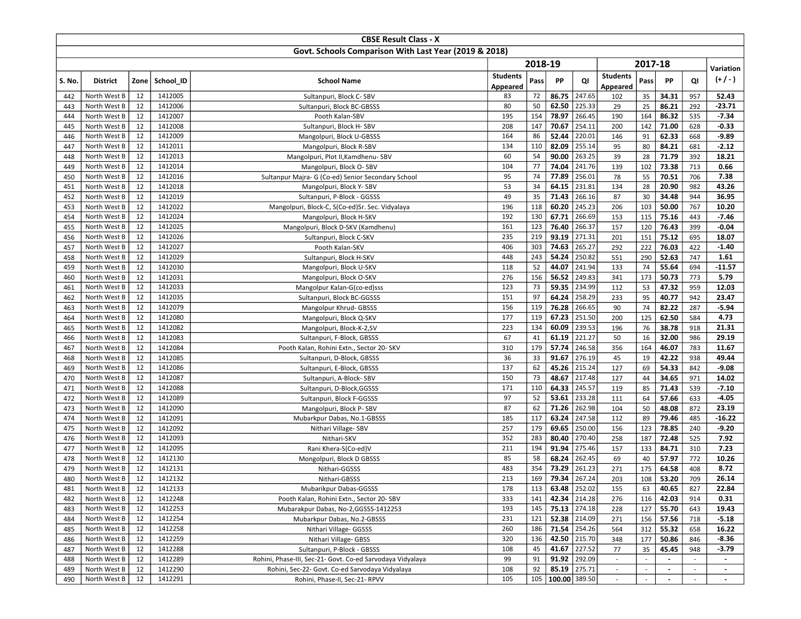|            |                              |          |                    | <b>CBSE Result Class - X</b>                                        |                 |            |                                |                  |                 |                |                          |            |                    |
|------------|------------------------------|----------|--------------------|---------------------------------------------------------------------|-----------------|------------|--------------------------------|------------------|-----------------|----------------|--------------------------|------------|--------------------|
|            |                              |          |                    | Govt. Schools Comparison With Last Year (2019 & 2018)               |                 |            |                                |                  |                 |                |                          |            |                    |
|            |                              |          |                    |                                                                     |                 | 2018-19    |                                |                  |                 | 2017-18        |                          |            | Variation          |
|            |                              |          |                    |                                                                     | <b>Students</b> |            |                                |                  | <b>Students</b> |                |                          |            | $(+/-)$            |
| S. No.     | <b>District</b>              | Zone     | School ID          | <b>School Name</b>                                                  | Appeared        | Pass       | PP                             | QI               | Appeared        | Pass           | <b>PP</b>                | QI         |                    |
| 442        | North West B                 | 12       | 1412005            | Sultanpuri, Block C-SBV                                             | 83              | 72         | 86.75                          | 247.65           | 102             | 35             | 34.31                    | 957        | 52.43              |
| 443        | North West B                 | 12       | 1412006            | Sultanpuri, Block BC-GBSSS                                          | 80              | 50         | 62.50                          | 225.33           | 29              | 25             | 86.21                    | 292        | $-23.71$           |
| 444        | North West B                 | 12       | 1412007            | Pooth Kalan-SBV                                                     | 195             | 154        | 78.97                          | 266.45           | 190             | 164            | 86.32                    | 535        | $-7.34$            |
| 445        | North West B                 | 12       | 1412008            | Sultanpuri, Block H-SBV                                             | 208             | 147        | 70.67                          | 254.11           | 200             | 142            | 71.00                    | 628        | $-0.33$            |
| 446        | North West B                 | 12       | 1412009            | Mangolpuri, Block U-GBSSS                                           | 164             | 86         | 52.44                          | 220.01           | 146             | 91             | 62.33                    | 668        | $-9.89$            |
| 447        | North West B                 | 12       | 1412011            | Mangolpuri, Block R-SBV                                             | 134             | 110        | 82.09                          | 255.14           | 95              | 80             | 84.21                    | 681        | $-2.12$            |
| 448        | North West B                 | 12       | 1412013            | Mangolpuri, Plot II, Kamdhenu- SBV                                  | 60              | 54         | 90.00                          | 263.25           | 39              | 28             | 71.79                    | 392        | 18.21              |
| 449        | North West B                 | 12       | 1412014            | Mangolpuri, Block O-SBV                                             | 104             | 77         | 74.04                          | 241.76           | 139             | 102            | 73.38                    | 713        | 0.66               |
| 450        | North West B                 | 12       | 1412016            | Sultanpur Majra- G (Co-ed) Senior Secondary School                  | 95              | 74         | 77.89                          | 256.01           | 78              | 55             | 70.51                    | 706        | 7.38               |
| 451        | North West B                 | 12       | 1412018            | Mangolpuri, Block Y-SBV                                             | 53              | 34         | 64.15                          | 231.81           | 134             | 28             | 20.90                    | 982        | 43.26              |
| 452        | North West B                 | 12       | 1412019            | Sultanpuri, P-Block - GGSSS                                         | 49              | 35         | 71.43                          | 266.16           | 87              | 30             | 34.48                    | 944        | 36.95              |
| 453        | North West B                 | 12       | 1412022            | Mangolpuri, Block-C, S(Co-ed)Sr. Sec. Vidyalaya                     | 196             | 118        | 60.20<br>67.71                 | 245.23           | 206             | 103            | 50.00                    | 767        | 10.20              |
| 454        | North West B<br>North West B | 12<br>12 | 1412024<br>1412025 | Mangolpuri, Block H-SKV                                             | 192<br>161      | 130<br>123 | 76.40                          | 266.69<br>266.37 | 153<br>157      | 115<br>120     | 75.16<br>76.43           | 443<br>399 | $-7.46$<br>$-0.04$ |
| 455<br>456 | North West B                 | 12       | 1412026            | Mangolpuri, Block D-SKV (Kamdhenu)<br>Sultanpuri, Block C-SKV       | 235             | 219        | 93.19                          | 271.31           | 201             | 151            | 75.12                    | 695        | 18.07              |
| 457        | North West B                 | 12       | 1412027            | Pooth Kalan-SKV                                                     | 406             | 303        | 74.63                          | 265.27           | 292             | 222            | 76.03                    | 422        | $-1.40$            |
| 458        | North West B                 | 12       | 1412029            | Sultanpuri, Block H-SKV                                             | 448             | 243        | 54.24                          | 250.82           | 551             | 290            | 52.63                    | 747        | 1.61               |
| 459        | North West B                 | 12       | 1412030            | Mangolpuri, Block U-SKV                                             | 118             | 52         | 44.07                          | 241.94           | 133             | 74             | 55.64                    | 694        | $-11.57$           |
| 460        | North West B                 | 12       | 1412031            | Mangolpuri, Block O-SKV                                             | 276             | 156        | 56.52                          | 249.83           | 341             | 173            | 50.73                    | 773        | 5.79               |
| 461        | North West B                 | 12       | 1412033            | Mangolpur Kalan-G(co-ed)sss                                         | 123             | 73         | 59.35                          | 234.99           | 112             | 53             | 47.32                    | 959        | 12.03              |
| 462        | North West B                 | 12       | 1412035            | Sultanpuri, Block BC-GGSSS                                          | 151             | 97         | 64.24                          | 258.29           | 233             | 95             | 40.77                    | 942        | 23.47              |
| 463        | North West B                 | 12       | 1412079            | Mangolpur Khrud- GBSSS                                              | 156             | 119        | 76.28                          | 266.65           | 90              | 74             | 82.22                    | 287        | $-5.94$            |
| 464        | North West B                 | 12       | 1412080            | Mangolpuri, Block Q-SKV                                             | 177             | 119        | 67.23                          | 251.50           | 200             | 125            | 62.50                    | 584        | 4.73               |
| 465        | North West B                 | 12       | 1412082            | Mangolpuri, Block-K-2,SV                                            | 223             | 134        | 60.09                          | 239.53           | 196             | 76             | 38.78                    | 918        | 21.31              |
| 466        | North West B                 | 12       | 1412083            | Sultanpuri, F-Block, GBSSS                                          | 67              | 41         | 61.19                          | 221.27           | 50              | 16             | 32.00                    | 986        | 29.19              |
| 467        | North West B                 | 12       | 1412084            | Pooth Kalan, Rohini Extn., Sector 20- SKV                           | 310             | 179        | 57.74                          | 246.58           | 356             | 164            | 46.07                    | 783        | 11.67              |
| 468        | North West B                 | 12       | 1412085            | Sultanpuri, D-Block, GBSSS                                          | 36              | 33         | 91.67                          | 276.19           | 45              | 19             | 42.22                    | 938        | 49.44              |
| 469        | North West B                 | 12       | 1412086            | Sultanpuri, E-Block, GBSSS                                          | 137             | 62         | 45.26                          | 215.24           | 127             | 69             | 54.33                    | 842        | $-9.08$            |
| 470        | North West B                 | 12       | 1412087            | Sultanpuri, A-Block-SBV                                             | 150             | 73         | 48.67                          | 217.48           | 127             | 44             | 34.65                    | 971        | 14.02              |
| 471        | North West B                 | 12       | 1412088            | Sultanpuri, D-Block, GGSSS                                          | 171             | 110        | 64.33                          | 245.57           | 119             | 85             | 71.43                    | 539        | $-7.10$            |
| 472        | North West B                 | 12       | 1412089            | Sultanpuri, Block F-GGSSS                                           | 97              | 52         | 53.61                          | 233.28           | 111             | 64             | 57.66                    | 633        | $-4.05$            |
| 473        | North West B                 | 12       | 1412090            | Mangolpuri, Block P-SBV                                             | 87              | 62         | 71.26                          | 262.98           | 104             | 50             | 48.08                    | 872        | 23.19              |
| 474        | North West B                 | 12       | 1412091            | Mubarkpur Dabas, No.1-GBSSS                                         | 185             | 117        | 63.24                          | 247.58           | 112             | 89             | 79.46                    | 485        | $-16.22$           |
| 475        | North West B                 | 12       | 1412092            | Nithari Village-SBV                                                 | 257             | 179        | 69.65                          | 250.00           | 156             | 123            | 78.85                    | 240        | $-9.20$            |
| 476        | North West B                 | 12       | 1412093            | Nithari-SKV                                                         | 352             | 283        | 80.40                          | 270.40           | 258             | 187            | 72.48                    | 525        | 7.92               |
| 477        | North West B                 | 12       | 1412095            | Rani Khera-S(Co-ed)V                                                | 211             | 194        | 91.94                          | 275.46           | 157             | 133            | 84.71                    | 310        | 7.23               |
| 478        | North West B                 | 12       | 1412130            | Mongolpuri, Block D GBSSS                                           | 85              | 58         | 68.24                          | 262.45           | 69              | 40             | 57.97                    | 772        | 10.26              |
| 479        | North West B                 | 12       | 1412131            | Nithari-GGSSS                                                       | 483             | 354        | 73.29                          | 261.23           | 271             | 175            | 64.58                    | 408        | 8.72               |
| 480        | North West B                 | 12       | 1412132            | Nithari-GBSSS                                                       | 213             | 169        | 79.34                          | 267.24           | 203             | 108            | 53.20                    | 709        | 26.14              |
| 481        | North West B                 | 12       | 1412133<br>1412248 | Mubarikpur Dabas-GGSSS                                              | 178             | 113        | 63.48   252.02<br>42.34 214.28 |                  | 155             | 63<br>116      | 40.65                    | 827        | 22.84              |
| 482        | North West B                 | 12       | 1412253            | Pooth Kalan, Rohini Extn., Sector 20- SBV                           | 333<br>193      | 141<br>145 | 75.13 274.18                   |                  | 276             |                | 42.03                    | 914        | 0.31<br>19.43      |
| 483<br>484 | North West B<br>North West B | 12<br>12 | 1412254            | Mubarakpur Dabas, No-2,GGSSS-1412253<br>Mubarkpur Dabas, No.2-GBSSS | 231             | 121        | 52.38 214.09                   |                  | 228<br>271      | 127<br>156     | 55.70<br>57.56           | 643<br>718 | $-5.18$            |
| 485        | North West B                 | 12       | 1412258            | Nithari Village- GGSSS                                              | 260             | 186        | 71.54 254.26                   |                  | 564             | 312            | 55.32                    | 658        | 16.22              |
| 486        | North West B                 | 12       | 1412259            | Nithari Village- GBSS                                               | 320             | 136        | 42.50 215.70                   |                  | 348             | 177            | 50.86                    | 846        | $-8.36$            |
| 487        | North West B                 | 12       | 1412288            | Sultanpuri, P-Block - GBSSS                                         | 108             | 45         | 41.67 227.52                   |                  | 77              | 35             | 45.45                    | 948        | $-3.79$            |
| 488        | North West B                 | 12       | 1412289            | Rohini, Phase-III, Sec-21- Govt. Co-ed Sarvodaya Vidyalaya          | 99              | 91         | $91.92$   292.09               |                  |                 |                |                          |            |                    |
| 489        | North West B                 | 12       | 1412290            | Rohini, Sec-22- Govt. Co-ed Sarvodaya Vidyalaya                     | 108             | 92         | 85.19 275.71                   |                  | $\sim$          | $\blacksquare$ | $\overline{\phantom{a}}$ | $\sim$     | $\blacksquare$     |
| 490        | North West B                 | 12       | 1412291            | Rohini, Phase-II, Sec-21- RPVV                                      | 105             |            | 105   100.00   389.50          |                  |                 |                |                          |            | $\blacksquare$     |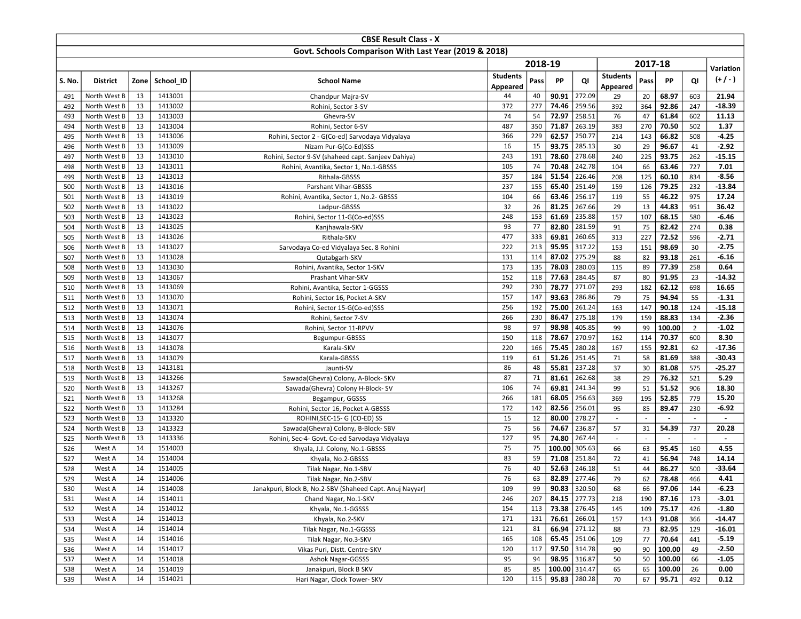|            |                              |          |                    | <b>CBSE Result Class - X</b>                                     |                 |            |                |                              |                          |           |                  |                          |                    |
|------------|------------------------------|----------|--------------------|------------------------------------------------------------------|-----------------|------------|----------------|------------------------------|--------------------------|-----------|------------------|--------------------------|--------------------|
|            |                              |          |                    | Govt. Schools Comparison With Last Year (2019 & 2018)            |                 |            |                |                              |                          |           |                  |                          |                    |
|            |                              |          |                    |                                                                  |                 | 2018-19    |                |                              |                          | 2017-18   |                  |                          |                    |
|            |                              |          |                    |                                                                  | <b>Students</b> |            |                |                              | <b>Students</b>          |           |                  |                          | Variation          |
| S. No.     | <b>District</b>              | Zone     | School ID          | <b>School Name</b>                                               | Appeared        | Pass       | PP             | QI                           | Appeared                 | Pass      | PP               | QI                       | $(+/-)$            |
| 491        | North West B                 | 13       | 1413001            | Chandpur Majra-SV                                                | 44              | 40         | 90.91          | 272.09                       | 29                       | 20        | 68.97            | 603                      | 21.94              |
| 492        | North West B                 | 13       | 1413002            | Rohini, Sector 3-SV                                              | 372             | 277        | 74.46          | 259.56                       | 392                      | 364       | 92.86            | 247                      | $-18.39$           |
| 493        | North West B                 | 13       | 1413003            | Ghevra-SV                                                        | 74              | 54         | 72.97          | 258.51                       | 76                       | 47        | 61.84            | 602                      | 11.13              |
| 494        | North West B                 | 13       | 1413004            | Rohini, Sector 6-SV                                              | 487             | 350        | 71.87          | 263.19                       | 383                      | 270       | 70.50            | 502                      | 1.37               |
| 495        | North West B                 | 13       | 1413006            | Rohini, Sector 2 - G(Co-ed) Sarvodaya Vidyalaya                  | 366             | 229        | 62.57          | 250.77                       | 214                      | 143       | 66.82            | 508                      | $-4.25$            |
| 496        | North West B                 | 13       | 1413009            | Nizam Pur-G(Co-Ed)SSS                                            | 16              | 15         | 93.75          | 285.13                       | 30                       | 29        | 96.67            | 41                       | $-2.92$            |
| 497        | North West B                 | 13       | 1413010            | Rohini, Sector 9-SV (shaheed capt. Sanjeev Dahiya)               | 243             | 191        | 78.60          | 278.68                       | 240                      | 225       | 93.75            | 262                      | $-15.15$           |
| 498        | North West B                 | 13       | 1413011            | Rohini, Avantika, Sector 1, No.1-GBSSS                           | 105             | 74         | 70.48          | 242.78                       | 104                      | 66        | 63.46            | 727                      | 7.01               |
| 499        | North West B                 | 13       | 1413013            | Rithala-GBSSS                                                    | 357             | 184        | 51.54          | 226.46                       | 208                      | 125       | 60.10            | 834                      | $-8.56$            |
| 500        | North West B                 | 13       | 1413016            | Parshant Vihar-GBSSS                                             | 237             | 155        | 65.40          | 251.49                       | 159                      | 126       | 79.25            | 232                      | $-13.84$           |
| 501        | North West B                 | 13       | 1413019            | Rohini, Avantika, Sector 1, No.2- GBSSS                          | 104             | 66         | 63.46          | 256.17                       | 119                      | 55        | 46.22            | 975                      | 17.24              |
| 502        | North West B                 | 13       | 1413022            | Ladpur-GBSSS                                                     | 32              | 26         | 81.25          | 267.66                       | 29                       | 13        | 44.83            | 951                      | 36.42              |
| 503        | North West B                 | 13       | 1413023            | Rohini, Sector 11-G(Co-ed)SSS                                    | 248             | 153        | 61.69          | 235.88                       | 157                      | 107       | 68.15            | 580                      | $-6.46$            |
| 504        | North West B                 | 13       | 1413025            | Kanjhawala-SKV                                                   | 93              | 77         | 82.80          | 281.59                       | 91                       | 75        | 82.42            | 274                      | 0.38               |
| 505        | North West B                 | 13       | 1413026            | Rithala-SKV                                                      | 477             | 333        | 69.81          | 260.65                       | 313                      | 227       | 72.52            | 596                      | $-2.71$            |
| 506        | North West B                 | 13       | 1413027            | Sarvodaya Co-ed Vidyalaya Sec. 8 Rohini                          | 222             | 213        | 95.95          | 317.22                       | 153                      | 151       | 98.69            | 30                       | $-2.75$            |
| 507        | North West B                 | 13       | 1413028<br>1413030 | Qutabgarh-SKV                                                    | 131             | 114        | 87.02          | 275.29                       | 88                       | 82        | 93.18            | 261                      | $-6.16$            |
| 508        | North West B                 | 13       |                    | Rohini, Avantika, Sector 1-SKV                                   | 173             | 135        | 78.03          | 280.03<br>284.45             | 115                      | 89        | 77.39            | 258                      | 0.64               |
| 509        | North West B                 | 13<br>13 | 1413067            | Prashant Vihar-SKV                                               | 152<br>292      | 118<br>230 | 77.63<br>78.77 | 271.07                       | 87<br>293                | 80<br>182 | 91.95<br>62.12   | 23                       | $-14.32$<br>16.65  |
| 510        | North West B<br>North West B | 13       | 1413069<br>1413070 | Rohini, Avantika, Sector 1-GGSSS                                 | 157             | 147        | 93.63          | 286.86                       | 79                       | 75        | 94.94            | 698<br>55                | $-1.31$            |
| 511<br>512 | North West B                 | 13       | 1413071            | Rohini, Sector 16, Pocket A-SKV<br>Rohini, Sector 15-G(Co-ed)SSS | 256             | 192        | 75.00          | 261.24                       | 163                      | 147       | 90.18            | 124                      | $-15.18$           |
| 513        | North West B                 | 13       | 1413074            | Rohini, Sector 7-SV                                              | 266             | 230        | 86.47          | 275.18                       | 179                      | 159       | 88.83            | 134                      | $-2.36$            |
| 514        | North West B                 | 13       | 1413076            | Rohini, Sector 11-RPVV                                           | 98              | 97         | 98.98          | 405.85                       | 99                       | 99        | 100.00           | $\overline{2}$           | $-1.02$            |
| 515        | North West B                 | 13       | 1413077            | Begumpur-GBSSS                                                   | 150             | 118        | 78.67          | 270.97                       | 162                      | 114       | 70.37            | 600                      | 8.30               |
| 516        | North West B                 | 13       | 1413078            | Karala-SKV                                                       | 220             | 166        | 75.45          | 280.28                       | 167                      | 155       | 92.81            | 62                       | $-17.36$           |
| 517        | North West B                 | 13       | 1413079            | Karala-GBSSS                                                     | 119             | 61         | 51.26          | 251.45                       | 71                       | 58        | 81.69            | 388                      | $-30.43$           |
| 518        | North West B                 | 13       | 1413181            | Jaunti-SV                                                        | 86              | 48         | 55.81          | 237.28                       | 37                       | 30        | 81.08            | 575                      | -25.27             |
| 519        | North West B                 | 13       | 1413266            | Sawada(Ghevra) Colony, A-Block- SKV                              | 87              | 71         | 81.61          | 262.68                       | 38                       | 29        | 76.32            | 521                      | 5.29               |
| 520        | North West B                 | 13       | 1413267            | Sawada(Ghevra) Colony H-Block-SV                                 | 106             | 74         | 69.81          | 241.34                       | 99                       | 51        | 51.52            | 906                      | 18.30              |
| 521        | North West B                 | 13       | 1413268            | Begampur, GGSSS                                                  | 266             | 181        | 68.05          | 256.63                       | 369                      | 195       | 52.85            | 779                      | 15.20              |
| 522        | North West B                 | 13       | 1413284            | Rohini, Sector 16, Pocket A-GBSSS                                | 172             | 142        | 82.56          | 256.01                       | 95                       | 85        | 89.47            | 230                      | $-6.92$            |
| 523        | North West B                 | 13       | 1413320            | ROHINI, SEC-15- G (CO-ED) SS                                     | 15              | 12         | 80.00          | 278.27                       | $\sim$                   | L.        | $\sim$           | $\omega$                 | $\blacksquare$     |
| 524        | North West B                 | 13       | 1413323            | Sawada(Ghevra) Colony, B-Block- SBV                              | 75              | 56         | 74.67          | 236.87                       | 57                       | 31        | 54.39            | 737                      | 20.28              |
| 525        | North West B                 | 13       | 1413336            | Rohini, Sec-4- Govt. Co-ed Sarvodaya Vidyalaya                   | 127             | 95         | 74.80          | 267.44                       | $\overline{\phantom{a}}$ |           |                  | $\overline{\phantom{a}}$ |                    |
| 526        | West A                       | 14       | 1514003            | Khyala, J.J. Colony, No.1-GBSSS                                  | 75              | 75         | 100.00         | 305.63                       | 66                       | 63        | 95.45            | 160                      | 4.55               |
| 527        | West A                       | 14       | 1514004            | Khyala, No.2-GBSSS                                               | 83              | 59         | 71.08          | 251.84                       | 72                       | 41        | 56.94            | 748                      | 14.14              |
| 528        | West A                       | 14       | 1514005            | Tilak Nagar, No.1-SBV                                            | 76              | 40         | 52.63          | 246.18                       | 51                       | 44        | 86.27            | 500                      | $-33.64$           |
| 529        | West A                       | 14       | 1514006            | Tilak Nagar, No.2-SBV                                            | 76              | 63         | 82.89          | 277.46                       | 79                       | 62        | 78.48            | 466                      | 4.41               |
| 530        | West A                       | 14       | 1514008            | Janakpuri, Block B, No.2-SBV (Shaheed Capt. Anuj Nayyar)         | 109             | 99         |                | <b>90.83</b>   320.50        | 68                       | 66        | 97.06            | 144                      | $-6.23$            |
| 531        | West A                       | 14       | 1514011            | Chand Nagar, No.1-SKV                                            | 246             | 207        |                | 84.15 277.73                 | 218                      | 190       | 87.16            | 173                      | $-3.01$            |
| 532        | West A                       | 14       | 1514012            | Khyala, No.1-GGSSS                                               | 154             | 113        |                | 73.38 276.45                 | 145                      | 109       | 75.17            | 426                      | $-1.80$            |
| 533        | West A                       | 14       | 1514013            | Khyala, No.2-SKV                                                 | 171             | 131        | 76.61 266.01   |                              | 157                      | 143       | 91.08            | 366                      | -14.47             |
| 534        | West A                       | 14       | 1514014            | Tilak Nagar, No.1-GGSSS                                          | 121             | 81         |                | 66.94 271.12                 | 88                       | 73        | 82.95            | 129                      | $-16.01$           |
| 535        | West A                       | 14       | 1514016            | Tilak Nagar, No.3-SKV                                            | 165             | 108        |                | 65.45 251.06                 | 109                      | 77        | 70.64            | 441                      | $-5.19$            |
| 536        | West A<br>West A             | 14<br>14 | 1514017<br>1514018 | Vikas Puri, Distt. Centre-SKV                                    | 120<br>95       | 117<br>94  |                | 97.50 314.78<br>98.95 316.87 | 90                       | 90        | 100.00<br>100.00 | 49<br>66                 | $-2.50$<br>$-1.05$ |
| 537<br>538 | West A                       | 14       | 1514019            | Ashok Nagar-GGSSS<br>Janakpuri, Block B SKV                      | 85              | 85         | 100.00 314.47  |                              | 50<br>65                 | 50<br>65  | 100.00           | 26                       | 0.00               |
| 539        | West A                       | 14       | 1514021            | Hari Nagar, Clock Tower- SKV                                     | 120             | 115        |                | 95.83 280.28                 | 70                       | 67        | 95.71            | 492                      | 0.12               |
|            |                              |          |                    |                                                                  |                 |            |                |                              |                          |           |                  |                          |                    |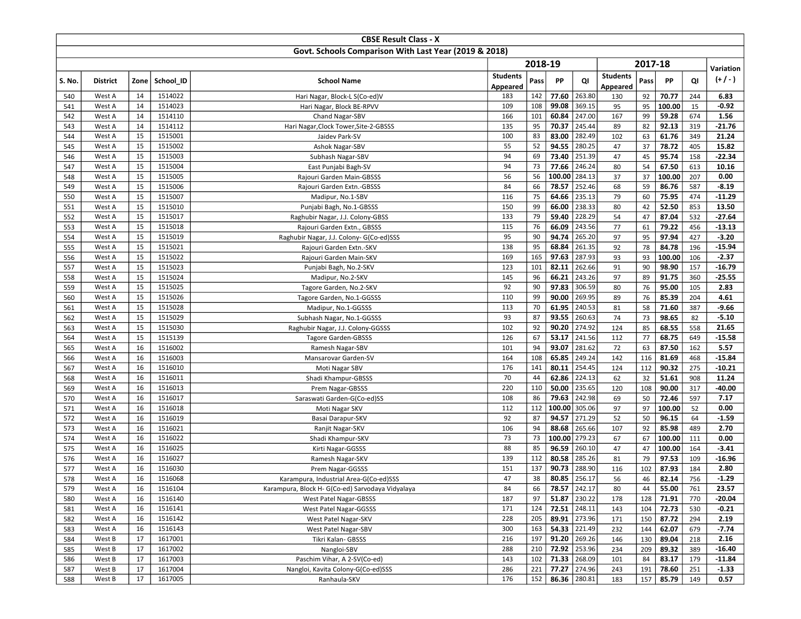|            |                  |          |                    | <b>CBSE Result Class - X</b>                                            |                 |            |                       |                  |                 |           |                |            |                      |
|------------|------------------|----------|--------------------|-------------------------------------------------------------------------|-----------------|------------|-----------------------|------------------|-----------------|-----------|----------------|------------|----------------------|
|            |                  |          |                    | Govt. Schools Comparison With Last Year (2019 & 2018)                   |                 |            |                       |                  |                 |           |                |            |                      |
|            |                  |          |                    |                                                                         |                 | 2018-19    |                       |                  |                 | 2017-18   |                |            | Variation            |
| S. No.     | <b>District</b>  | Zone     | School ID          | <b>School Name</b>                                                      | <b>Students</b> | Pass       | PP                    | QI               | <b>Students</b> | Pass      | PP             | QI         | $(+/-)$              |
|            |                  |          |                    |                                                                         | Appeared        |            |                       |                  | Appeared        |           |                |            |                      |
| 540        | West A           | 14       | 1514022            | Hari Nagar, Block-L S(Co-ed)V                                           | 183             | 142        | 77.60                 | 263.80           | 130             | 92        | 70.77          | 244        | 6.83                 |
| 541        | West A           | 14       | 1514023            | Hari Nagar, Block BE-RPVV                                               | 109             | 108        | 99.08                 | 369.15           | 95              | 95        | 100.00         | 15         | $-0.92$              |
| 542        | West A           | 14       | 1514110            | Chand Nagar-SBV                                                         | 166             | 101        | 60.84                 | 247.00           | 167             | 99        | 59.28          | 674        | 1.56                 |
| 543        | West A           | 14       | 1514112            | Hari Nagar, Clock Tower, Site-2-GBSSS                                   | 135             | 95         | 70.37                 | 245.44           | 89              | 82        | 92.13          | 319        | $-21.76$             |
| 544        | West A           | 15       | 1515001            | Jaidev Park-SV                                                          | 100             | 83         | 83.00                 | 282.49           | 102             | 63        | 61.76          | 349        | 21.24                |
| 545        | West A           | 15       | 1515002            | Ashok Nagar-SBV                                                         | 55              | 52         | 94.55                 | 280.25           | 47              | 37        | 78.72          | 405        | 15.82                |
| 546        | West A           | 15       | 1515003            | Subhash Nagar-SBV                                                       | 94              | 69         | 73.40                 | 251.39           | 47              | 45        | 95.74          | 158        | $-22.34$             |
| 547        | West A           | 15       | 1515004            | East Punjabi Bagh-SV                                                    | 94              | 73         | 77.66                 | 246.24           | 80              | 54        | 67.50          | 613        | 10.16                |
| 548        | West A           | 15       | 1515005            | Rajouri Garden Main-GBSSS                                               | 56              | 56         | 100.00                | 284.13           | 37              | 37        | 100.00         | 207        | 0.00                 |
| 549        | West A           | 15       | 1515006            | Rajouri Garden Extn.-GBSSS                                              | 84              | 66         | 78.57                 | 252.46<br>235.13 | 68              | 59        | 86.76          | 587        | $-8.19$<br>$-11.29$  |
| 550        | West A           | 15       | 1515007            | Madipur, No.1-SBV                                                       | 116<br>150      | 75<br>99   | 64.66                 |                  | 79              | 60        | 75.95          | 474        |                      |
| 551<br>552 | West A           | 15<br>15 | 1515010            | Punjabi Bagh, No.1-GBSSS                                                | 133             | 79         | 66.00<br>59.40        | 238.33<br>228.29 | 80<br>54        | 42<br>47  | 52.50<br>87.04 | 853        | 13.50<br>$-27.64$    |
| 553        | West A<br>West A | 15       | 1515017<br>1515018 | Raghubir Nagar, J.J. Colony-GBSS                                        | 115             | 76         | 66.09                 | 243.56           | 77              | 61        | 79.22          | 532<br>456 | $-13.13$             |
| 554        | West A           | 15       | 1515019            | Rajouri Garden Extn., GBSSS<br>Raghubir Nagar, J.J. Colony- G(Co-ed)SSS | 95              | 90         | 94.74                 | 265.20           | 97              | 95        | 97.94          | 427        | $-3.20$              |
| 555        | West A           | 15       | 1515021            | Rajouri Garden Extn.-SKV                                                | 138             | 95         | 68.84                 | 261.35           | 92              | 78        | 84.78          | 196        | $-15.94$             |
| 556        | West A           | 15       | 1515022            | Rajouri Garden Main-SKV                                                 | 169             | 165        | 97.63                 | 287.93           | 93              | 93        | 100.00         | 106        | $-2.37$              |
| 557        | West A           | 15       | 1515023            | Punjabi Bagh, No.2-SKV                                                  | 123             | 101        | 82.11                 | 262.66           | 91              | 90        | 98.90          | 157        | $-16.79$             |
| 558        | West A           | 15       | 1515024            | Madipur, No.2-SKV                                                       | 145             | 96         | 66.21                 | 243.26           | 97              | 89        | 91.75          | 360        | $-25.55$             |
| 559        | West A           | 15       | 1515025            | Tagore Garden, No.2-SKV                                                 | 92              | 90         | 97.83                 | 306.59           | 80              | 76        | 95.00          | 105        | 2.83                 |
| 560        | West A           | 15       | 1515026            | Tagore Garden, No.1-GGSSS                                               | 110             | 99         | 90.00                 | 269.95           | 89              | 76        | 85.39          | 204        | 4.61                 |
| 561        | West A           | 15       | 1515028            | Madipur, No.1-GGSSS                                                     | 113             | 70         | 61.95                 | 240.53           | 81              | 58        | 71.60          | 387        | $-9.66$              |
| 562        | West A           | 15       | 1515029            | Subhash Nagar, No.1-GGSSS                                               | 93              | 87         | 93.55                 | 260.63           | 74              | 73        | 98.65          | 82         | $-5.10$              |
| 563        | West A           | 15       | 1515030            | Raghubir Nagar, J.J. Colony-GGSSS                                       | 102             | 92         | 90.20                 | 274.92           | 124             | 85        | 68.55          | 558        | 21.65                |
| 564        | West A           | 15       | 1515139            | <b>Tagore Garden-GBSSS</b>                                              | 126             | 67         | 53.17                 | 241.56           | 112             | 77        | 68.75          | 649        | $-15.58$             |
| 565        | West A           | 16       | 1516002            | Ramesh Nagar-SBV                                                        | 101             | 94         | 93.07                 | 281.62           | 72              | 63        | 87.50          | 162        | 5.57                 |
| 566        | West A           | 16       | 1516003            | Mansarovar Garden-SV                                                    | 164             | 108        | 65.85                 | 249.24           | 142             | 116       | 81.69          | 468        | $-15.84$             |
| 567        | West A           | 16       | 1516010            | Moti Nagar SBV                                                          | 176             | 141        | 80.11                 | 254.45           | 124             | 112       | 90.32          | 275        | $-10.21$             |
| 568        | West A           | 16       | 1516011            | Shadi Khampur-GBSSS                                                     | 70              | 44         | 62.86                 | 224.13           | 62              | 32        | 51.61          | 908        | 11.24                |
| 569        | West A           | 16       | 1516013            | Prem Nagar-GBSSS                                                        | 220             | 110        | 50.00                 | 235.65           | 120             | 108       | 90.00          | 317        | $-40.00$             |
| 570        | West A           | 16       | 1516017            | Saraswati Garden-G(Co-ed)SS                                             | 108             | 86         | 79.63                 | 242.98           | 69              | 50        | 72.46          | 597        | 7.17                 |
| 571        | West A           | 16       | 1516018            | Moti Nagar SKV                                                          | 112             | 112        | 100.00                | 305.06           | 97              | 97        | 100.00         | 52         | 0.00                 |
| 572        | West A           | 16       | 1516019            | Basai Darapur-SKV                                                       | 92              | 87         | 94.57                 | 271.29           | 52              | 50        | 96.15          | 64         | $-1.59$              |
| 573        | West A           | 16       | 1516021            | Ranjit Nagar-SKV                                                        | 106             | 94         | 88.68                 | 265.66           | 107             | 92        | 85.98          | 489        | 2.70                 |
| 574        | West A           | 16       | 1516022            | Shadi Khampur-SKV                                                       | 73              | 73         | 100.00                | 279.23           | 67              | 67        | 100.00         | 111        | 0.00                 |
| 575        | West A           | 16       | 1516025            | Kirti Nagar-GGSSS                                                       | 88              | 85         | 96.59                 | 260.10           | 47              | 47        | 100.00         | 164        | $-3.41$              |
| 576        | West A           | 16       | 1516027            | Ramesh Nagar-SKV                                                        | 139             | 112        | 80.58                 | 285.26           | 81              | 79        | 97.53          | 109        | -16.96               |
| 577        | West A           | 16       | 1516030            | Prem Nagar-GGSSS                                                        | 151             | 137        | 90.73                 | 288.90           | 116             | 102       | 87.93          | 184        | 2.80                 |
| 578        | West A           | 16       | 1516068            | Karampura, Industrial Area-G(Co-ed)SSS                                  | 47              | 38         | 80.85                 | 256.17           | 56              | 46        | 82.14          | 756        | $-1.29$              |
| 579        | West A           | 16       | 1516104            | Karampura, Block H- G(Co-ed) Sarvodaya Vidyalaya                        | 84              | 66         |                       | 78.57 242.17     | 80              | 44        | 55.00          | 761        | 23.57                |
| 580        | West A           | 16       | 1516140            | West Patel Nagar-GBSSS                                                  | 187             | 97         | 51.87 230.22          |                  | 178             | 128       | 71.91          | 770        | $-20.04$             |
| 581        | West A           | 16       | 1516141            | West Patel Nagar-GGSSS                                                  | 171             | 124        | 72.51 248.11          |                  | 143             | 104       | 72.73          | 530        | $-0.21$              |
| 582        | West A           | 16       | 1516142            | West Patel Nagar-SKV                                                    | 228             | 205        |                       | 89.91 273.96     | 171             | 150       | 87.72          | 294        | 2.19                 |
| 583        | West A           | 16       | 1516143            | West Patel Nagar-SBV                                                    | 300             | 163        | 54.33 221.49          |                  | 232             | 144       | 62.07          | 679        | $-7.74$              |
| 584        | West B           | 17       | 1617001            | Tikri Kalan- GBSSS                                                      | 216             | 197        |                       | $91.20$ 269.26   | 146             | 130       | 89.04          | 218        | 2.16                 |
| 585        | West B           | 17       | 1617002            | Nangloi-SBV<br>Paschim Vihar, A 2-SV(Co-ed)                             | 288<br>143      | 210        | 72.92 253.96<br>71.33 | 268.09           | 234             | 209       | 89.32          | 389        | $-16.40$<br>$-11.84$ |
| 586<br>587 | West B<br>West B | 17<br>17 | 1617003<br>1617004 | Nangloi, Kavita Colony-G(Co-ed)SSS                                      | 286             | 102<br>221 |                       | 77.27 274.96     | 101<br>243      | 84<br>191 | 83.17<br>78.60 | 179<br>251 | $-1.33$              |
| 588        | West B           | 17       | 1617005            | Ranhaula-SKV                                                            | 176             | 152        | 86.36 280.81          |                  | 183             | 157       | 85.79          | 149        | 0.57                 |
|            |                  |          |                    |                                                                         |                 |            |                       |                  |                 |           |                |            |                      |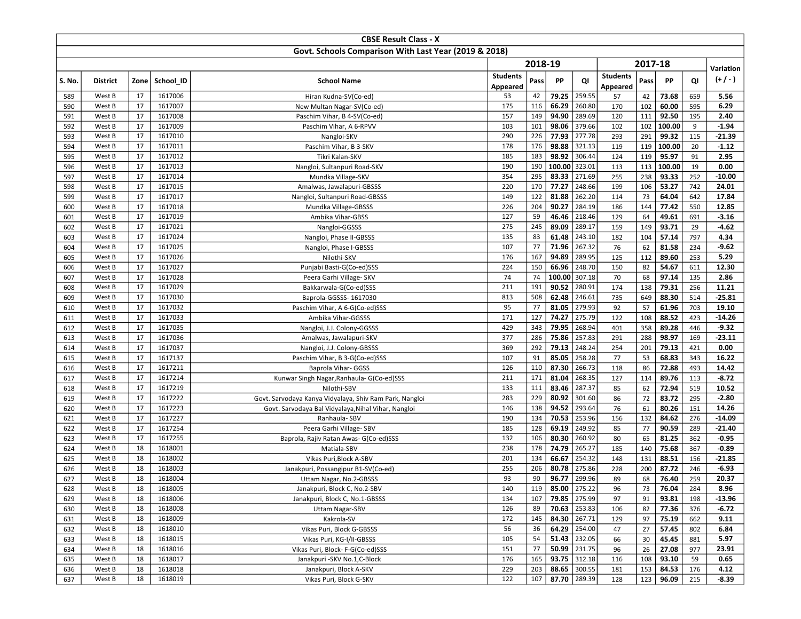|            |                  |          |                    | <b>CBSE Result Class - X</b>                                   |                 |            |                      |                                |                 |           |                |            |                     |
|------------|------------------|----------|--------------------|----------------------------------------------------------------|-----------------|------------|----------------------|--------------------------------|-----------------|-----------|----------------|------------|---------------------|
|            |                  |          |                    | Govt. Schools Comparison With Last Year (2019 & 2018)          |                 |            |                      |                                |                 |           |                |            |                     |
|            |                  |          |                    |                                                                |                 | 2018-19    |                      |                                |                 | 2017-18   |                |            |                     |
|            |                  |          |                    |                                                                | <b>Students</b> |            |                      |                                | <b>Students</b> |           |                |            | Variation           |
| S. No.     | <b>District</b>  |          | Zone School ID     | <b>School Name</b>                                             | Appeared        | Pass       | PP                   | QI                             | Appeared        | Pass      | PP             | QI         | $(+/-)$             |
| 589        | West B           | 17       | 1617006            | Hiran Kudna-SV(Co-ed)                                          | 53              | 42         | 79.25                | 259.55                         | 57              | 42        | 73.68          | 659        | 5.56                |
| 590        | West B           | 17       | 1617007            | New Multan Nagar-SV(Co-ed)                                     | 175             | 116        | 66.29                | 260.80                         | 170             | 102       | 60.00          | 595        | 6.29                |
| 591        | West B           | 17       | 1617008            | Paschim Vihar, B 4-SV(Co-ed)                                   | 157             | 149        | 94.90                | 289.69                         | 120             | 111       | 92.50          | 195        | 2.40                |
| 592        | West B           | 17       | 1617009            | Paschim Vihar, A 6-RPVV                                        | 103             | 101        | 98.06                | 379.66                         | 102             | 102       | 100.00         | 9          | $-1.94$             |
| 593        | West B           | 17       | 1617010            | Nangloi-SKV                                                    | 290             | 226        | 77.93                | 277.78                         | 293             | 291       | 99.32          | 115        | $-21.39$            |
| 594        | West B           | 17       | 1617011            | Paschim Vihar, B 3-SKV                                         | 178             | 176        | 98.88                | 321.13                         | 119             | 119       | 100.00         | 20         | $-1.12$             |
| 595        | West B           | 17       | 1617012            | Tikri Kalan-SKV                                                | 185             | 183        | 98.92                | 306.44                         | 124             | 119       | 95.97          | 91         | 2.95                |
| 596        | West B           | 17       | 1617013            | Nangloi, Sultanpuri Road-SKV                                   | 190             | 190        | 100.00               | 323.01                         | 113             | 113       | 100.00         | 19         | 0.00                |
| 597        | West B           | 17       | 1617014            | Mundka Village-SKV                                             | 354             | 295        | 83.33                | 271.69                         | 255             | 238       | 93.33          | 252        | $-10.00$            |
| 598        | West B           | 17       | 1617015            | Amalwas, Jawalapuri-GBSSS                                      | 220             | 170        | 77.27                | 248.66                         | 199             | 106       | 53.27          | 742        | 24.01               |
| 599        | West B           | 17       | 1617017            | Nangloi, Sultanpuri Road-GBSSS                                 | 149             | 122        | 81.88                | 262.20                         | 114             | 73        | 64.04          | 642        | 17.84               |
| 600        | West B           | 17       | 1617018            | Mundka Village-GBSSS                                           | 226             | 204        | 90.27                | 284.19                         | 186             | 144       | 77.42          | 550        | 12.85               |
| 601        | West B           | 17       | 1617019            | Ambika Vihar-GBSS                                              | 127             | 59         | 46.46                | 218.46                         | 129             | 64        | 49.61          | 691        | $-3.16$             |
| 602        | West B           | 17       | 1617021            | Nangloi-GGSSS                                                  | 275             | 245        | 89.09                | 289.17                         | 159             | 149       | 93.71          | 29         | $-4.62$             |
| 603        | West B           | 17       | 1617024            | Nangloi, Phase II-GBSSS                                        | 135             | 83         | 61.48                | 243.10                         | 182             | 104       | 57.14          | 797        | 4.34                |
| 604        | West B           | 17       | 1617025            | Nangloi, Phase I-GBSSS                                         | 107             | 77         | 71.96                | 267.32                         | 76              | 62        | 81.58          | 234        | $-9.62$             |
| 605        | West B           | 17       | 1617026            | Nilothi-SKV                                                    | 176             | 167        | 94.89                | 289.95                         | 125             | 112       | 89.60          | 253        | 5.29                |
| 606        | West B           | 17       | 1617027            | Punjabi Basti-G(Co-ed)SSS                                      | 224             | 150        | 66.96                | 248.70                         | 150             | 82        | 54.67          | 611        | 12.30               |
| 607        | West B           | 17       | 1617028            | Peera Garhi Village- SKV                                       | 74              | 74         | 100.00               | 307.18                         | 70              | 68        | 97.14          | 135        | 2.86                |
| 608        | West B           | 17       | 1617029            | Bakkarwala-G(Co-ed)SSS                                         | 211             | 191        | 90.52                | 280.91                         | 174             | 138       | 79.31          | 256        | 11.21               |
| 609        | West B           | 17       | 1617030            | Baprola-GGSSS- 1617030                                         | 813             | 508        | 62.48                | 246.61                         | 735             | 649       | 88.30          | 514        | $-25.81$            |
| 610        | West B           | 17       | 1617032            | Paschim Vihar, A 6-G(Co-ed)SSS                                 | 95              | 77         | 81.05                | 279.93                         | 92              | 57        | 61.96          | 703        | 19.10               |
| 611        | West B           | 17       | 1617033            | Ambika Vihar-GGSSS                                             | 171             | 127        | 74.27                | 275.79                         | 122             | 108       | 88.52          | 423        | $-14.26$            |
| 612        | West B           | 17       | 1617035            | Nangloi, J.J. Colony-GGSSS                                     | 429             | 343        | 79.95                | 268.94                         | 401             | 358       | 89.28          | 446        | $-9.32$             |
| 613        | West B           | 17       | 1617036            | Amalwas, Jawalapuri-SKV                                        | 377             | 286        | 75.86                | 257.83                         | 291             | 288       | 98.97          | 169        | $-23.11$            |
| 614        | West B           | 17       | 1617037            | Nangloi, J.J. Colony-GBSSS                                     | 369             | 292        | 79.13                | 248.24                         | 254             | 201       | 79.13          | 421        | 0.00                |
| 615        | West B           | 17       | 1617137            | Paschim Vihar, B 3-G(Co-ed)SSS                                 | 107             | 91         | 85.05                | 258.28                         | 77              | 53        | 68.83          | 343        | 16.22               |
| 616        | West B           | 17       | 1617211            | Baprola Vihar- GGSS                                            | 126             | 110        | 87.30                | 266.73                         | 118             | 86        | 72.88          | 493        | 14.42               |
| 617        | West B           | 17       | 1617214            | Kunwar Singh Nagar, Ranhaula- G(Co-ed)SSS                      | 211             | 171        | 81.04                | 268.35                         | 127             | 114       | 89.76          | 113        | $-8.72$             |
| 618        | West B           | 17       | 1617219            | Nilothi-SBV                                                    | 133             | 111        | 83.46                | 287.37                         | 85              | 62        | 72.94          | 519        | 10.52               |
| 619        | West B           | 17       | 1617222            | Govt. Sarvodaya Kanya Vidyalaya, Shiv Ram Park, Nangloi        | 283             | 229        | 80.92                | 301.60                         | 86              | 72        | 83.72          | 295        | $-2.80$             |
| 620        | West B           | 17       | 1617223            | Govt. Sarvodaya Bal Vidyalaya, Nihal Vihar, Nangloi            | 146             | 138        | 94.52                | 293.64                         | 76              | 61        | 80.26          | 151        | 14.26               |
| 621        | West B           | 17       | 1617227            | Ranhaula-SBV                                                   | 190             | 134        | 70.53                | 253.96                         | 156             | 132       | 84.62          | 276        | $-14.09$            |
| 622        | West B           | 17       | 1617254            | Peera Garhi Village- SBV                                       | 185             | 128        | 69.19                | 249.92                         | 85              | 77        | 90.59          | 289        | $-21.40$            |
| 623        | West B           | 17<br>18 | 1617255<br>1618001 | Baprola, Rajiv Ratan Awas- G(Co-ed)SSS                         | 132<br>238      | 106<br>178 | 80.30<br>74.79       | 260.92<br>265.27               | 80              | 65        | 81.25<br>75.68 | 362        | $-0.95$             |
| 624        | West B           |          |                    | Matiala-SBV                                                    |                 |            |                      |                                | 185             | 140       |                | 367        | $-0.89$             |
| 625        | West B           | 18       | 1618002            | Vikas Puri, Block A-SBV                                        | 201<br>255      | 134<br>206 | 66.67<br>80.78       | 254.32                         | 148             | 131       | 88.51          | 156        | $-21.85$<br>$-6.93$ |
| 626<br>627 | West B<br>West B | 18<br>18 | 1618003<br>1618004 | Janakpuri, Possangipur B1-SV(Co-ed)<br>Uttam Nagar, No.2-GBSSS | 93              | 90         | 96.77                | 275.86<br>299.96               | 228<br>89       | 200<br>68 | 87.72<br>76.40 | 246<br>259 | 20.37               |
|            |                  |          |                    |                                                                |                 |            |                      |                                |                 |           |                |            |                     |
| 628<br>629 | West B<br>West B | 18<br>18 | 1618005<br>1618006 | Janakpuri, Block C, No.2-SBV<br>Janakpuri, Block C, No.1-GBSSS | 140<br>134      | 107        | 119   85.00   275.22 |                                | 96<br>97        | 73        | 76.04          | 284        | 8.96                |
|            | West B           | 18       | 1618008            |                                                                |                 | 89         |                      | 79.85 275.99<br>$70.63$ 253.83 |                 | 91        | 93.81          | 198        | $-13.96$<br>$-6.72$ |
| 630<br>631 | West B           | 18       | 1618009            | <b>Uttam Nagar-SBV</b><br>Kakrola-SV                           | 126<br>172      | 145        | 84.30 267.71         |                                | 106<br>129      | 82<br>97  | 77.36<br>75.19 | 376<br>662 | 9.11                |
| 632        | West B           | 18       | 1618010            | Vikas Puri, Block G-GBSSS                                      | 56              | 36         |                      | 64.29 254.00                   | 47              | 27        | 57.45          | 802        | 6.84                |
| 633        | West B           | 18       | 1618015            | Vikas Puri, KG-I/II-GBSSS                                      | 105             | 54         |                      | $51.43$ 232.05                 | 66              | 30        | 45.45          | 881        | 5.97                |
| 634        | West B           | 18       | 1618016            | Vikas Puri, Block- F-G(Co-ed)SSS                               | 151             | 77         |                      | 50.99 231.75                   | 96              | 26        | 27.08          | 977        | 23.91               |
| 635        | West B           | 18       | 1618017            | Janakpuri - SKV No.1, C-Block                                  | 176             | 165        |                      | 93.75 312.18                   | 116             | 108       | 93.10          | 59         | 0.65                |
| 636        | West B           | 18       | 1618018            | Janakpuri, Block A-SKV                                         | 229             | 203        |                      | 88.65 300.55                   | 181             | 153       | 84.53          | 176        | 4.12                |
| 637        | West B           | 18       | 1618019            | Vikas Puri, Block G-SKV                                        | 122             | 107        |                      | 87.70 289.39                   | 128             | 123       | 96.09          | 215        | $-8.39$             |
|            |                  |          |                    |                                                                |                 |            |                      |                                |                 |           |                |            |                     |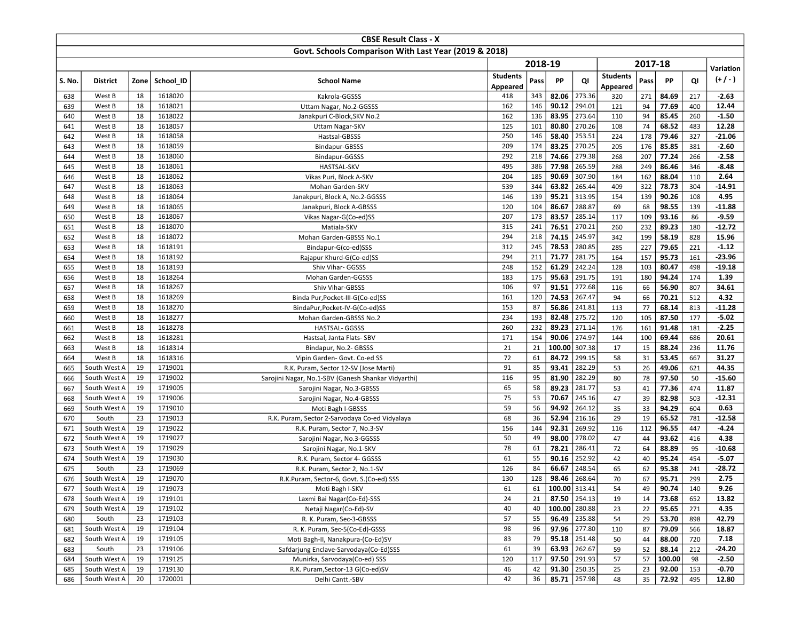|            |                  |          |                    | <b>CBSE Result Class - X</b>                          |                 |            |                             |                  |                 |           |                |            |                  |
|------------|------------------|----------|--------------------|-------------------------------------------------------|-----------------|------------|-----------------------------|------------------|-----------------|-----------|----------------|------------|------------------|
|            |                  |          |                    | Govt. Schools Comparison With Last Year (2019 & 2018) |                 |            |                             |                  |                 |           |                |            |                  |
|            |                  |          |                    |                                                       |                 | 2018-19    |                             |                  |                 | 2017-18   |                |            | Variation        |
| S. No.     | <b>District</b>  | Zone     | School ID          | <b>School Name</b>                                    | <b>Students</b> | Pass       | PP                          | QI               | <b>Students</b> | Pass      | PP             | QI         | (+/-)            |
|            |                  |          |                    |                                                       | Appeared        |            |                             |                  | Appeared        |           |                |            |                  |
| 638        | West B           | 18       | 1618020            | Kakrola-GGSSS                                         | 418             | 343        | 82.06                       | 273.36           | 320             | 271       | 84.69          | 217        | $-2.63$          |
| 639        | West B           | 18       | 1618021            | Uttam Nagar, No.2-GGSSS                               | 162             | 146        | 90.12                       | 294.01           | 121             | 94        | 77.69          | 400        | 12.44            |
| 640        | West B           | 18       | 1618022            | Janakpuri C-Block, SKV No.2                           | 162             | 136        | 83.95                       | 273.64           | 110             | 94        | 85.45          | 260        | $-1.50$          |
| 641        | West B           | 18       | 1618057            | <b>Uttam Nagar-SKV</b>                                | 125             | 101        | 80.80                       | 270.26           | 108             | 74        | 68.52          | 483        | 12.28            |
| 642        | West B           | 18       | 1618058            | Hastsal-GBSSS                                         | 250             | 146        | 58.40                       | 253.51           | 224             | 178       | 79.46          | 327        | $-21.06$         |
| 643        | West B           | 18       | 1618059            | Bindapur-GBSSS                                        | 209             | 174        | 83.25                       | 270.25           | 205             | 176       | 85.85          | 381        | $-2.60$          |
| 644        | West B           | 18       | 1618060            | Bindapur-GGSSS                                        | 292             | 218        | 74.66                       | 279.38           | 268             | 207       | 77.24          | 266        | $-2.58$          |
| 645        | West B           | 18       | 1618061            | <b>HASTSAL-SKV</b>                                    | 495             | 386        | 77.98                       | 265.59           | 288             | 249       | 86.46          | 346        | $-8.48$          |
| 646        | West B           | 18       | 1618062            | Vikas Puri, Block A-SKV                               | 204             | 185        | 90.69                       | 307.90           | 184             | 162       | 88.04          | 110        | 2.64             |
| 647        | West B<br>West B | 18<br>18 | 1618063<br>1618064 | Mohan Garden-SKV                                      | 539<br>146      | 344<br>139 | 63.82<br>95.21              | 265.44<br>313.95 | 409             | 322       | 78.73<br>90.26 | 304<br>108 | $-14.91$<br>4.95 |
| 648        | West B           | 18       |                    | Janakpuri, Block A, No.2-GGSSS                        | 120             | 104        | 86.67                       | 288.87           | 154             | 139       |                |            | $-11.88$         |
| 649        | West B           | 18       | 1618065<br>1618067 | Janakpuri, Block A-GBSSS                              | 207             | 173        | 83.57                       | 285.14           | 69<br>117       | 68<br>109 | 98.55<br>93.16 | 139<br>86  | $-9.59$          |
| 650<br>651 | West B           | 18       | 1618070            | Vikas Nagar-G(Co-ed)SS<br>Matiala-SKV                 | 315             | 241        | 76.51                       | 270.21           | 260             | 232       | 89.23          | 180        | $-12.72$         |
| 652        | West B           | 18       | 1618072            | Mohan Garden-GBSSS No.1                               | 294             | 218        | 74.15                       | 245.97           | 342             | 199       | 58.19          | 828        | 15.96            |
| 653        | West B           | 18       | 1618191            | Bindapur-G(co-ed)SSS                                  | 312             | 245        | 78.53                       | 280.85           | 285             | 227       | 79.65          | 221        | $-1.12$          |
| 654        | West B           | 18       | 1618192            | Rajapur Khurd-G(Co-ed)SS                              | 294             | 211        | 71.77                       | 281.75           | 164             | 157       | 95.73          | 161        | -23.96           |
| 655        | West B           | 18       | 1618193            | Shiv Vihar- GGSSS                                     | 248             | 152        | 61.29                       | 242.24           | 128             | 103       | 80.47          | 498        | $-19.18$         |
| 656        | West B           | 18       | 1618264            | Mohan Garden-GGSSS                                    | 183             | 175        | 95.63                       | 291.75           | 191             | 180       | 94.24          | 174        | 1.39             |
| 657        | West B           | 18       | 1618267            | Shiv Vihar-GBSSS                                      | 106             | 97         | 91.51                       | 272.68           | 116             | 66        | 56.90          | 807        | 34.61            |
| 658        | West B           | 18       | 1618269            | Binda Pur, Pocket-III-G(Co-ed)SS                      | 161             | 120        | 74.53                       | 267.47           | 94              | 66        | 70.21          | 512        | 4.32             |
| 659        | West B           | 18       | 1618270            | BindaPur, Pocket-IV-G(Co-ed)SS                        | 153             | 87         | 56.86                       | 241.81           | 113             | 77        | 68.14          | 813        | $-11.28$         |
| 660        | West B           | 18       | 1618277            | Mohan Garden-GBSSS No.2                               | 234             | 193        | 82.48                       | 275.72           | 120             | 105       | 87.50          | 177        | $-5.02$          |
| 661        | West B           | 18       | 1618278            | HASTSAL- GGSSS                                        | 260             | 232        | 89.23                       | 271.14           | 176             | 161       | 91.48          | 181        | $-2.25$          |
| 662        | West B           | 18       | 1618281            | Hastsal, Janta Flats- SBV                             | 171             | 154        | 90.06                       | 274.97           | 144             | 100       | 69.44          | 686        | 20.61            |
| 663        | West B           | 18       | 1618314            | Bindapur, No.2- GBSSS                                 | 21              | 21         | 100.00                      | 307.38           | 17              | 15        | 88.24          | 236        | 11.76            |
| 664        | West B           | 18       | 1618316            | Vipin Garden- Govt. Co-ed SS                          | 72              | 61         | 84.72                       | 299.15           | 58              | 31        | 53.45          | 667        | 31.27            |
| 665        | South West A     | 19       | 1719001            | R.K. Puram, Sector 12-SV (Jose Marti)                 | 91              | 85         | 93.41                       | 282.29           | 53              | 26        | 49.06          | 621        | 44.35            |
| 666        | South West A     | 19       | 1719002            | Sarojini Nagar, No.1-SBV (Ganesh Shankar Vidyarthi)   | 116             | 95         | 81.90                       | 282.29           | 80              | 78        | 97.50          | 50         | $-15.60$         |
| 667        | South West A     | 19       | 1719005            | Sarojini Nagar, No.3-GBSSS                            | 65              | 58         | 89.23                       | 281.77           | 53              | 41        | 77.36          | 474        | 11.87            |
| 668        | South West A     | 19       | 1719006            | Sarojini Nagar, No.4-GBSSS                            | 75              | 53         | 70.67                       | 245.16           | 47              | 39        | 82.98          | 503        | $-12.31$         |
| 669        | South West A     | 19       | 1719010            | Moti Bagh I-GBSSS                                     | 59              | 56         | 94.92                       | 264.12           | 35              | 33        | 94.29          | 604        | 0.63             |
| 670        | South            | 23       | 1719013            | R.K. Puram, Sector 2-Sarvodaya Co-ed Vidyalaya        | 68              | 36         | 52.94                       | 216.16           | 29              | 19        | 65.52          | 781        | $-12.58$         |
| 671        | South West A     | 19       | 1719022            | R.K. Puram, Sector 7, No.3-SV                         | 156             | 144        | 92.31                       | 269.92           | 116             | 112       | 96.55          | 447        | $-4.24$          |
| 672        | South West A     | 19       | 1719027            | Sarojini Nagar, No.3-GGSSS                            | 50              | 49         | 98.00                       | 278.02           | 47              | 44        | 93.62          | 416        | 4.38             |
| 673        | South West A     | 19       | 1719029            | Sarojini Nagar, No.1-SKV                              | 78              | 61         | 78.21                       | 286.41           | 72              | 64        | 88.89          | 95         | $-10.68$         |
| 674        | South West A     | 19       | 1719030            | R.K. Puram, Sector 4- GGSSS                           | 61              | 55         | 90.16                       | 252.92           | 42              | 40        | 95.24          | 454        | $-5.07$          |
| 675        | South            | 23       | 1719069            | R.K. Puram, Sector 2, No.1-SV                         | 126             | 84         | 66.67                       | 248.54           | 65              | 62        | 95.38          | 241        | -28.72           |
| 676        | South West A     | 19       | 1719070            | R.K.Puram, Sector-6, Govt. S.(Co-ed) SSS              | 130             | 128        | 98.46                       | 268.64           | 70              | 67        | 95.71          | 299        | 2.75             |
| 677        | South West A     | 19       | 1719073            | Moti Bagh I-SKV                                       | 61              |            | 61   <b>100.00</b>   313.41 |                  | 54              | 49        | 90.74          | 140        | 9.26             |
| 678        | South West A     | 19       | 1719101            | Laxmi Bai Nagar(Co-Ed)-SSS                            | 24              | 21         |                             | 87.50 254.13     | 19              | 14        | 73.68          | 652        | 13.82            |
| 679        | South West A     | 19       | 1719102            | Netaji Nagar(Co-Ed)-SV                                | 40              | 40         | 100.00 280.88               |                  | 23              | 22        | 95.65          | 271        | 4.35             |
| 680        | South            | 23       | 1719103            | R. K. Puram, Sec-3-GBSSS                              | 57              | 55         |                             | $96.49$ 235.88   | 54              | 29        | 53.70          | 898        | 42.79            |
| 681        | South West A     | 19       | 1719104            | R. K. Puram, Sec-5(Co-Ed)-GSSS                        | 98              | 96         |                             | 97.96 277.80     | 110             | 87        | 79.09          | 566        | 18.87            |
| 682        | South West A     | 19       | 1719105            | Moti Bagh-II, Nanakpura-(Co-Ed)SV                     | 83              | 79         |                             | 95.18 251.48     | 50              | 44        | 88.00          | 720        | 7.18             |
| 683        | South            | 23       | 1719106            | Safdarjung Enclave-Sarvodaya(Co-Ed)SSS                | 61              | 39         |                             | 63.93 262.67     | 59              | 52        | 88.14          | 212        | -24.20           |
| 684        | South West A     | 19       | 1719125            | Munirka, Sarvodaya(Co-ed) SSS                         | 120             | 117        |                             | 97.50 291.93     | 57              | 57        | 100.00         | 98         | $-2.50$          |
| 685        | South West A     | 19       | 1719130            | R.K. Puram, Sector-13 G(Co-ed)SV                      | 46              | 42         |                             | 91.30 250.35     | 25              | 23        | 92.00          | 153        | $-0.70$          |
| 686        | South West A     | 20       | 1720001            | Delhi Cantt.-SBV                                      | 42              | 36         |                             | 85.71 257.98     | 48              | 35        | 72.92          | 495        | 12.80            |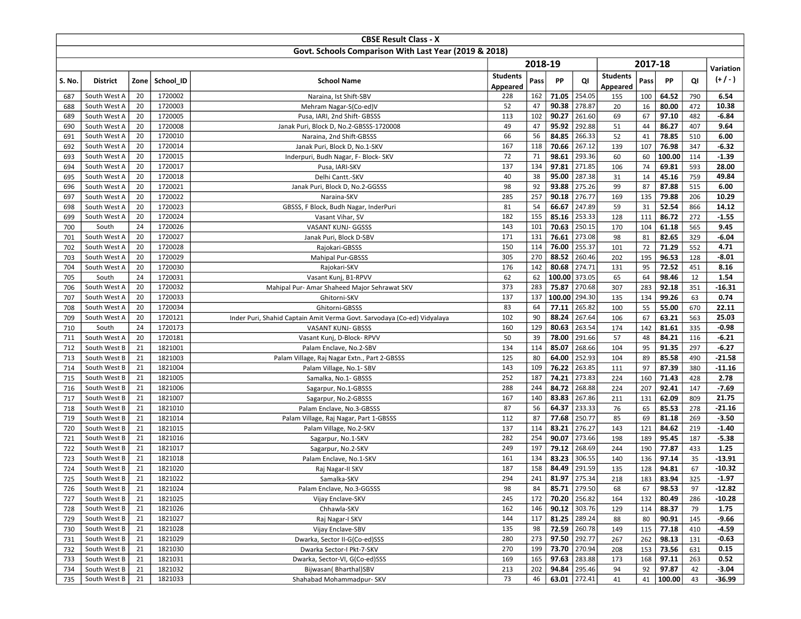|            |                              |          |                    | <b>CBSE Result Class - X</b>                                             |                 |           |                |                  |                 |           |                |            |                    |
|------------|------------------------------|----------|--------------------|--------------------------------------------------------------------------|-----------------|-----------|----------------|------------------|-----------------|-----------|----------------|------------|--------------------|
|            |                              |          |                    | Govt. Schools Comparison With Last Year (2019 & 2018)                    |                 |           |                |                  |                 |           |                |            |                    |
|            |                              |          |                    |                                                                          |                 | 2018-19   |                |                  |                 | 2017-18   |                |            |                    |
|            |                              |          |                    |                                                                          | <b>Students</b> |           |                |                  | <b>Students</b> |           |                |            | Variation          |
| S. No.     | <b>District</b>              | Zone     | School ID          | <b>School Name</b>                                                       | Appeared        | Pass      | PP             | QI               | Appeared        | Pass      | PP             | QI         | $(+/-)$            |
| 687        | South West A                 | 20       | 1720002            | Naraina, Ist Shift-SBV                                                   | 228             | 162       | 71.05          | 254.05           | 155             | 100       | 64.52          | 790        | 6.54               |
| 688        | South West A                 | 20       | 1720003            | Mehram Nagar-S(Co-ed)V                                                   | 52              | 47        | 90.38          | 278.87           | 20              | 16        | 80.00          | 472        | 10.38              |
| 689        | South West A                 | 20       | 1720005            | Pusa, IARI, 2nd Shift- GBSSS                                             | 113             | 102       | 90.27          | 261.60           | 69              | 67        | 97.10          | 482        | $-6.84$            |
| 690        | South West A                 | 20       | 1720008            | Janak Puri, Block D, No.2-GBSSS-1720008                                  | 49              | 47        | 95.92          | 292.88           | 51              | 44        | 86.27          | 407        | 9.64               |
| 691        | South West A                 | 20       | 1720010            | Naraina, 2nd Shift-GBSSS                                                 | 66              | 56        | 84.85          | 266.33           | 52              | 41        | 78.85          | 510        | 6.00               |
| 692        | South West A                 | 20       | 1720014            | Janak Puri, Block D, No.1-SKV                                            | 167             | 118       | 70.66          | 267.12           | 139             | 107       | 76.98          | 347        | $-6.32$            |
| 693        | South West A                 | 20       | 1720015            | Inderpuri, Budh Nagar, F- Block- SKV                                     | 72              | 71        | 98.61          | 293.36           | 60              | 60        | 100.00         | 114        | $-1.39$            |
| 694        | South West A                 | 20       | 1720017            | Pusa, IARI-SKV                                                           | 137             | 134       | 97.81          | 271.85           | 106             | 74        | 69.81          | 593        | 28.00              |
| 695        | South West A                 | 20       | 1720018            | Delhi Cantt.-SKV                                                         | 40              | 38        | 95.00          | 287.38           | 31              | 14        | 45.16          | 759        | 49.84              |
| 696        | South West A                 | 20       | 1720021            | Janak Puri, Block D, No.2-GGSSS                                          | 98              | 92        | 93.88          | 275.26           | 99              | 87        | 87.88          | 515        | 6.00               |
| 697        | South West A                 | 20       | 1720022            | Naraina-SKV                                                              | 285             | 257       | 90.18          | 276.77           | 169             | 135       | 79.88          | 206        | 10.29              |
| 698        | South West A                 | 20       | 1720023            | GBSSS, F Block, Budh Nagar, InderPuri                                    | 81              | 54        | 66.67          | 247.89           | 59              | 31        | 52.54          | 866        | 14.12              |
| 699        | South West A                 | 20       | 1720024            | Vasant Vihar, SV                                                         | 182             | 155       | 85.16          | 253.33           | 128             | 111       | 86.72          | 272        | $-1.55$            |
| 700        | South                        | 24       | 1720026            | VASANT KUNJ- GGSSS                                                       | 143             | 101       | 70.63          | 250.15           | 170             | 104       | 61.18          | 565        | 9.45               |
| 701        | South West A                 | 20       | 1720027            | Janak Puri, Block D-SBV                                                  | 171             | 131       | 76.61          | 273.08           | 98              | 81        | 82.65          | 329        | $-6.04$            |
| 702        | South West A                 | 20       | 1720028            | Rajokari-GBSSS                                                           | 150             | 114       | 76.00          | 255.37           | 101             | 72        | 71.29          | 552        | 4.71               |
| 703        | South West A                 | 20       | 1720029            | <b>Mahipal Pur-GBSSS</b>                                                 | 305             | 270       | 88.52          | 260.46           | 202             | 195       | 96.53          | 128        | $-8.01$            |
| 704        | South West A                 | 20       | 1720030            | Rajokari-SKV                                                             | 176             | 142       | 80.68          | 274.71           | 131             | 95        | 72.52          | 451        | 8.16               |
| 705        | South                        | 24       | 1720031            | Vasant Kunj, B1-RPVV                                                     | 62              | 62        | 100.00         | 373.05           | 65              | 64        | 98.46          | 12         | 1.54               |
| 706        | South West A                 | 20       | 1720032            | Mahipal Pur- Amar Shaheed Major Sehrawat SKV                             | 373             | 283       | 75.87          | 270.68           | 307             | 283       | 92.18          | 351        | $-16.31$           |
| 707        | South West A                 | 20       | 1720033            | Ghitorni-SKV                                                             | 137             | 137       | 100.00         | 294.30           | 135             | 134       | 99.26          | 63         | 0.74               |
| 708        | South West A                 | 20       | 1720034            | Ghitorni-GBSSS                                                           | 83              | 64        | 77.11          | 265.82           | 100             | 55        | 55.00          | 670        | 22.11              |
| 709        | South West A                 | 20       | 1720121            | Inder Puri, Shahid Captain Amit Verma Govt. Sarvodaya (Co-ed) Vidyalaya  | 102             | 90        | 88.24          | 267.64           | 106             | 67        | 63.21          | 563        | 25.03              |
| 710        | South                        | 24<br>20 | 1720173            | VASANT KUNJ- GBSSS                                                       | 160<br>50       | 129<br>39 | 80.63<br>78.00 | 263.54<br>291.66 | 174             | 142<br>48 | 81.61          | 335        | $-0.98$<br>$-6.21$ |
| 711        | South West A                 | 21       | 1720181<br>1821001 | Vasant Kunj, D-Block-RPVV                                                | 134             | 114       | 85.07          | 268.66           | 57<br>104       | 95        | 84.21<br>91.35 | 116<br>297 | $-6.27$            |
| 712<br>713 | South West B<br>South West B | 21       | 1821003            | Palam Enclave, No.2-SBV                                                  | 125             | 80        | 64.00          | 252.93           | 104             | 89        | 85.58          | 490        | $-21.58$           |
| 714        | South West B                 | 21       | 1821004            | Palam Village, Raj Nagar Extn., Part 2-GBSSS<br>Palam Village, No.1- SBV | 143             | 109       | 76.22          | 263.85           | 111             | 97        | 87.39          | 380        | $-11.16$           |
| 715        | South West B                 | 21       | 1821005            | Samalka, No.1- GBSSS                                                     | 252             | 187       | 74.21          | 273.83           | 224             | 160       | 71.43          | 428        | 2.78               |
| 716        | South West B                 | 21       | 1821006            | Sagarpur, No.1-GBSSS                                                     | 288             | 244       | 84.72          | 268.88           | 224             | 207       | 92.41          | 147        | $-7.69$            |
| 717        | South West B                 | 21       | 1821007            | Sagarpur, No.2-GBSSS                                                     | 167             | 140       | 83.83          | 267.86           | 211             | 131       | 62.09          | 809        | 21.75              |
| 718        | South West B                 | 21       | 1821010            | Palam Enclave, No.3-GBSSS                                                | 87              | 56        | 64.37          | 233.33           | 76              | 65        | 85.53          | 278        | $-21.16$           |
| 719        | South West B                 | 21       | 1821014            | Palam Village, Raj Nagar, Part 1-GBSSS                                   | 112             | 87        | 77.68          | 250.77           | 85              | 69        | 81.18          | 269        | $-3.50$            |
| 720        | South West B                 | 21       | 1821015            | Palam Village, No.2-SKV                                                  | 137             | 114       | 83.21          | 276.27           | 143             | 121       | 84.62          | 219        | $-1.40$            |
| 721        | South West B                 | 21       | 1821016            | Sagarpur, No.1-SKV                                                       | 282             | 254       | 90.07          | 273.66           | 198             | 189       | 95.45          | 187        | $-5.38$            |
| 722        | South West B                 | 21       | 1821017            | Sagarpur, No.2-SKV                                                       | 249             | 197       | 79.12          | 268.69           | 244             | 190       | 77.87          | 433        | 1.25               |
| 723        | South West B                 | 21       | 1821018            | Palam Enclave, No.1-SKV                                                  | 161             | 134       | 83.23          | 306.55           | 140             | 136       | 97.14          | 35         | $-13.91$           |
| 724        | South West B                 | 21       | 1821020            | Raj Nagar-II SKV                                                         | 187             | 158       | 84.49          | 291.59           | 135             | 128       | 94.81          | 67         | $-10.32$           |
| 725        | South West B                 | 21       | 1821022            | Samalka-SKV                                                              | 294             | 241       | 81.97          | 275.34           | 218             | 183       | 83.94          | 325        | $-1.97$            |
| 726        | South West B                 | 21       | 1821024            | Palam Enclave, No.3-GGSSS                                                | 98              | 84        |                | 85.71   279.50   | 68              | 67        | 98.53          | 97         | -12.82             |
| 727        | South West B                 | 21       | 1821025            | Vijay Enclave-SKV                                                        | 245             | 172       |                | 70.20 256.82     | 164             | 132       | 80.49          | 286        | $-10.28$           |
| 728        | South West B                 | 21       | 1821026            | Chhawla-SKV                                                              | 162             | 146       |                | $90.12$ 303.76   | 129             | 114       | 88.37          | 79         | 1.75               |
| 729        | South West B                 | 21       | 1821027            | Raj Nagar-I SKV                                                          | 144             | 117       | 81.25 289.24   |                  | 88              | 80        | 90.91          | 145        | -9.66              |
| 730        | South West B                 | 21       | 1821028            | Vijay Enclave-SBV                                                        | 135             | 98        |                | 72.59 260.78     | 149             | 115       | 77.18          | 410        | $-4.59$            |
| 731        | South West B                 | 21       | 1821029            | Dwarka, Sector II-G(Co-ed)SSS                                            | 280             | 273       | 97.50 292.77   |                  | 267             | 262       | 98.13          | 131        | $-0.63$            |
| 732        | South West B                 | 21       | 1821030            | Dwarka Sector-I Pkt-7-SKV                                                | 270             | 199       |                | 73.70 270.94     | 208             | 153       | 73.56          | 631        | 0.15               |
| 733        | South West B                 | 21       | 1821031            | Dwarka, Sector-VI, G(Co-ed)SSS                                           | 169             | 165       | 97.63          | 283.88           | 173             | 168       | 97.11          | 263        | 0.52               |
| 734        | South West B                 | 21       | 1821032            | Bijwasan(Bharthal)SBV                                                    | 213             | 202       | 94.84          | 295.46           | 94              | 92        | 97.87          | 42         | $-3.04$            |
| 735        | South West B                 | 21       | 1821033            | Shahabad Mohammadpur- SKV                                                | 73              | 46        |                | 63.01 272.41     | 41              | 41        | 100.00         | 43         | -36.99             |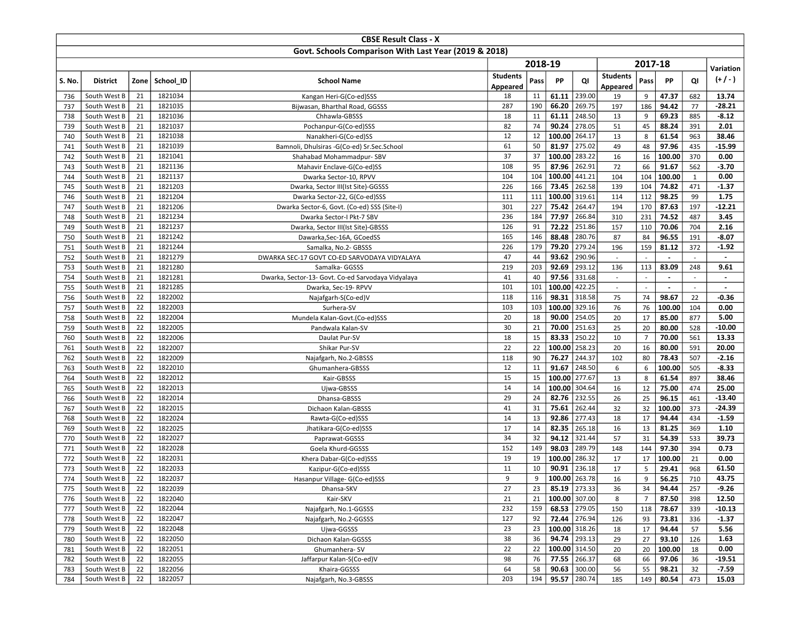|                                                       |                              |          |                    | <b>CBSE Result Class - X</b>                       |                 |          |                 |                  |                          |                |                |              |                          |
|-------------------------------------------------------|------------------------------|----------|--------------------|----------------------------------------------------|-----------------|----------|-----------------|------------------|--------------------------|----------------|----------------|--------------|--------------------------|
| Govt. Schools Comparison With Last Year (2019 & 2018) |                              |          |                    |                                                    |                 |          |                 |                  |                          |                |                |              |                          |
|                                                       |                              |          |                    |                                                    |                 | 2018-19  |                 |                  |                          | 2017-18        |                |              |                          |
|                                                       |                              |          |                    |                                                    | <b>Students</b> |          |                 |                  | <b>Students</b>          |                |                |              | Variation                |
| S. No.                                                | <b>District</b>              | Zone     | School ID          | <b>School Name</b>                                 | Appeared        | Pass     | PP              | QI               | Appeared                 | Pass           | PP             | QI           | $(+/-)$                  |
| 736                                                   | South West B                 | 21       | 1821034            | Kangan Heri-G(Co-ed)SSS                            | 18              | 11       | 61.11           | 239.00           | 19                       | 9              | 47.37          | 682          | 13.74                    |
| 737                                                   | South West B                 | 21       | 1821035            | Bijwasan, Bharthal Road, GGSSS                     | 287             | 190      | 66.20           | 269.75           | 197                      | 186            | 94.42          | 77           | $-28.21$                 |
| 738                                                   | South West B                 | 21       | 1821036            | Chhawla-GBSSS                                      | 18              | 11       | 61.11           | 248.50           | 13                       | 9              | 69.23          | 885          | $-8.12$                  |
| 739                                                   | South West B                 | 21       | 1821037            | Pochanpur-G(Co-ed)SSS                              | 82              | 74       | 90.24           | 278.05           | 51                       | 45             | 88.24          | 391          | 2.01                     |
| 740                                                   | South West B                 | 21       | 1821038            | Nanakheri-G(Co-ed)SS                               | 12              | 12       | 100.00          | 264.17           | 13                       | 8              | 61.54          | 963          | 38.46                    |
| 741                                                   | South West B                 | 21       | 1821039            | Bamnoli, Dhulsiras -G(Co-ed) Sr.Sec.School         | 61              | 50       | 81.97           | 275.02           | 49                       | 48             | 97.96          | 435          | $-15.99$                 |
| 742                                                   | South West B                 | 21       | 1821041            | Shahabad Mohammadpur- SBV                          | 37              | 37       | 100.00          | 283.22           | 16                       | 16             | 100.00         | 370          | 0.00                     |
| 743                                                   | South West B                 | 21       | 1821136            | Mahavir Enclave-G(Co-ed)SS                         | 108             | 95       | 87.96           | 262.91           | 72                       | 66             | 91.67          | 562          | $-3.70$                  |
| 744                                                   | South West B                 | 21       | 1821137            | Dwarka Sector-10, RPVV                             | 104             | 104      | 100.00          | 441.21           | 104                      | 104            | 100.00         | $\mathbf{1}$ | 0.00                     |
| 745                                                   | South West B                 | 21       | 1821203            | Dwarka, Sector III(Ist Site)-GGSSS                 | 226             | 166      | 73.45           | 262.58           | 139                      | 104            | 74.82          | 471          | $-1.37$                  |
| 746                                                   | South West B                 | 21       | 1821204            | Dwarka Sector-22, G(Co-ed)SSS                      | 111             | 111      | 100.00 319.61   |                  | 114                      | 112            | 98.25          | 99           | 1.75                     |
| 747                                                   | South West B                 | 21       | 1821206            | Dwarka Sector-6, Govt. (Co-ed) SSS (Site-I)        | 301             | 227      | 75.42           | 264.47           | 194                      | 170            | 87.63          | 197          | $-12.21$                 |
| 748                                                   | South West B                 | 21       | 1821234            | Dwarka Sector-I Pkt-7 SBV                          | 236             | 184      | 77.97           | 266.84           | 310                      | 231            | 74.52          | 487          | 3.45                     |
| 749                                                   | South West B                 | 21       | 1821237            | Dwarka, Sector III(Ist Site)-GBSSS                 | 126             | 91       | 72.22           | 251.86           | 157                      | 110            | 70.06          | 704          | 2.16                     |
| 750                                                   | South West B                 | 21       | 1821242            | Dawarka, Sec-16A, GCoedSS                          | 165             | 146      | 88.48           | 280.76           | 87                       | 84             | 96.55          | 191          | $-8.07$                  |
| 751                                                   | South West B                 | 21       | 1821244            | Samalka, No.2- GBSSS                               | 226             | 179      | 79.20           | 279.24           | 196                      | 159            | 81.12          | 372          | $-1.92$                  |
| 752                                                   | South West B                 | 21       | 1821279            | DWARKA SEC-17 GOVT CO-ED SARVODAYA VIDYALAYA       | 47              | 44       | 93.62           | 290.96           | $\overline{\phantom{a}}$ |                |                | $\sim$       | $\blacksquare$           |
| 753                                                   | South West B                 | 21       | 1821280            | Samalka- GGSSS                                     | 219             | 203      | 92.69           | 293.12           | 136                      | 113            | 83.09          | 248          | 9.61                     |
| 754                                                   | South West B                 | 21       | 1821281            | Dwarka, Sector-13- Govt. Co-ed Sarvodaya Vidyalaya | 41              | 40       | 97.56           | 331.68           | $\overline{\phantom{a}}$ | $\overline{a}$ | $\blacksquare$ | $\sim$       | $\blacksquare$           |
| 755                                                   | South West B                 | 21       | 1821285            | Dwarka, Sec-19- RPVV                               | 101             | 101      | 100.00          | 422.25           | $\overline{\phantom{a}}$ |                | $\blacksquare$ | $\sim$       | $\overline{\phantom{a}}$ |
| 756                                                   | South West B                 | 22       | 1822002            | Najafgarh-S(Co-ed)V                                | 118             | 116      | 98.31           | 318.58           | 75                       | 74             | 98.67          | 22           | $-0.36$                  |
| 757                                                   | South West B                 | 22       | 1822003            | Surhera-SV                                         | 103             | 103      | 100.00          | 329.16           | 76                       | 76             | 100.00         | 104          | 0.00                     |
| 758                                                   | South West B                 | 22       | 1822004            | Mundela Kalan-Govt.(Co-ed)SSS                      | 20              | 18       | 90.00           | 254.05           | 20                       | 17             | 85.00          | 877          | 5.00                     |
| 759                                                   | South West B                 | 22       | 1822005            | Pandwala Kalan-SV                                  | 30              | 21       | 70.00           | 251.63           | 25                       | 20             | 80.00          | 528          | $-10.00$                 |
| 760                                                   | South West B                 | 22       | 1822006            | Daulat Pur-SV                                      | 18              | 15       | 83.33<br>100.00 | 250.22<br>258.23 | 10                       | $\overline{7}$ | 70.00          | 561          | 13.33<br>20.00           |
| 761                                                   | South West B<br>South West B | 22<br>22 | 1822007<br>1822009 | Shikar Pur-SV                                      | 22<br>118       | 22<br>90 | 76.27           | 244.37           | 20<br>102                | 16<br>80       | 80.00<br>78.43 | 591<br>507   | $-2.16$                  |
| 762<br>763                                            | South West B                 | 22       | 1822010            | Najafgarh, No.2-GBSSS                              | 12              | 11       | 91.67           | 248.50           | 6                        | 6              | 100.00         | 505          | $-8.33$                  |
| 764                                                   | South West B                 | 22       | 1822012            | Ghumanhera-GBSSS<br>Kair-GBSSS                     | 15              | 15       | 100.00          | 277.67           | 13                       | 8              | 61.54          | 897          | 38.46                    |
| 765                                                   | South West B                 | 22       | 1822013            | Ujwa-GBSSS                                         | 14              | 14       | 100.00          | 304.64           | 16                       | 12             | 75.00          | 474          | 25.00                    |
| 766                                                   | South West B                 | 22       | 1822014            | Dhansa-GBSSS                                       | 29              | 24       | 82.76           | 232.55           | 26                       | 25             | 96.15          | 461          | $-13.40$                 |
| 767                                                   | South West B                 | 22       | 1822015            | Dichaon Kalan-GBSSS                                | 41              | 31       | 75.61           | 262.44           | 32                       | 32             | 100.00         | 373          | $-24.39$                 |
| 768                                                   | South West B                 | 22       | 1822024            | Rawta-G(Co-ed)SSS                                  | 14              | 13       | 92.86           | 277.43           | 18                       | 17             | 94.44          | 434          | $-1.59$                  |
| 769                                                   | South West B                 | 22       | 1822025            | Jhatikara-G(Co-ed)SSS                              | 17              | 14       | 82.35           | 265.18           | 16                       | 13             | 81.25          | 369          | 1.10                     |
| 770                                                   | South West B                 | 22       | 1822027            | Paprawat-GGSSS                                     | 34              | 32       | 94.12           | 321.44           | 57                       | 31             | 54.39          | 533          | 39.73                    |
| 771                                                   | South West B                 | 22       | 1822028            | Goela Khurd-GGSSS                                  | 152             | 149      | 98.03           | 289.79           | 148                      | 144            | 97.30          | 394          | 0.73                     |
| 772                                                   | South West B                 | 22       | 1822031            | Khera Dabar-G(Co-ed)SSS                            | 19              | 19       | 100.00          | 286.32           | 17                       | 17             | 100.00         | 21           | 0.00                     |
| 773                                                   | South West B                 | 22       | 1822033            | Kazipur-G(Co-ed)SSS                                | 11              | 10       | 90.91           | 236.18           | 17                       | 5              | 29.41          | 968          | 61.50                    |
| 774                                                   | South West B                 | 22       | 1822037            | Hasanpur Village- G(Co-ed)SSS                      | 9               | 9        | 100.00 263.78   |                  | 16                       | 9              | 56.25          | 710          | 43.75                    |
| 775                                                   | South West B                 | 22       | 1822039            | Dhansa-SKV                                         | 27              | 23       |                 | $85.19$   273.33 | 36                       | 34             | 94.44          | 257          | $-9.26$                  |
| 776                                                   | South West B                 | 22       | 1822040            | Kair-SKV                                           | 21              | 21       | 100.00 307.00   |                  | 8                        | $\overline{7}$ | 87.50          | 398          | 12.50                    |
| 777                                                   | South West B                 | 22       | 1822044            | Najafgarh, No.1-GGSSS                              | 232             | 159      | 68.53 279.05    |                  | 150                      | 118            | 78.67          | 339          | $-10.13$                 |
| 778                                                   | South West B                 | 22       | 1822047            | Najafgarh, No.2-GGSSS                              | 127             | 92       | 72.44 276.94    |                  | 126                      | 93             | 73.81          | 336          | $-1.37$                  |
| 779                                                   | South West B                 | 22       | 1822048            | Ujwa-GGSSS                                         | 23              | 23       | 100.00 318.26   |                  | 18                       | 17             | 94.44          | 57           | 5.56                     |
| 780                                                   | South West B                 | 22       | 1822050            | Dichaon Kalan-GGSSS                                | 38              | 36       | 94.74 293.13    |                  | 29                       | 27             | 93.10          | 126          | 1.63                     |
| 781                                                   | South West B                 | 22       | 1822051            | Ghumanhera-SV                                      | 22              | 22       | 100.00 314.50   |                  | 20                       | 20             | 100.00         | 18           | 0.00                     |
| 782                                                   | South West B                 | 22       | 1822055            | Jaffarpur Kalan-S(Co-ed)V                          | 98              | 76       |                 | 77.55 266.37     | 68                       | 66             | 97.06          | 36           | $-19.51$                 |
| 783                                                   | South West B                 | 22       | 1822056            | Khaira-GGSSS                                       | 64              | 58       | 90.63           | 300.00           | 56                       | 55             | 98.21          | 32           | $-7.59$                  |
| 784                                                   | South West B                 | 22       | 1822057            | Najafgarh, No.3-GBSSS                              | 203             | 194      |                 | 95.57 280.74     | 185                      | 149            | 80.54          | 473          | 15.03                    |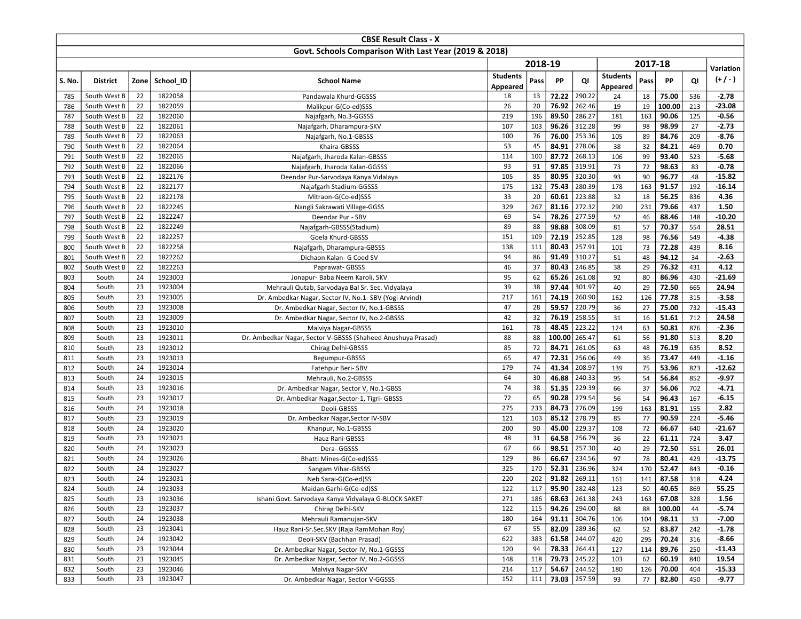|            |                 |          |                    | <b>CBSE Result Class - X</b>                                                    |                 |          |                |                  |                 |          |                |            |               |
|------------|-----------------|----------|--------------------|---------------------------------------------------------------------------------|-----------------|----------|----------------|------------------|-----------------|----------|----------------|------------|---------------|
|            |                 |          |                    | Govt. Schools Comparison With Last Year (2019 & 2018)                           |                 |          |                |                  |                 |          |                |            |               |
|            |                 |          |                    |                                                                                 |                 | 2018-19  |                |                  |                 | 2017-18  |                |            |               |
|            |                 |          |                    |                                                                                 | <b>Students</b> |          |                |                  | <b>Students</b> |          |                |            | Variation     |
| S. No.     | <b>District</b> | Zone     | School ID          | <b>School Name</b>                                                              | Appeared        | Pass     | PP             | QI               | Appeared        | Pass     | PP             | QI         | $(+/-)$       |
| 785        | South West B    | 22       | 1822058            | Pandawala Khurd-GGSSS                                                           | 18              | 13       | 72.22          | 290.22           | 24              | 18       | 75.00          | 536        | $-2.78$       |
| 786        | South West B    | 22       | 1822059            | Malikpur-G(Co-ed)SSS                                                            | 26              | 20       | 76.92          | 262.46           | 19              | 19       | 100.00         | 213        | $-23.08$      |
| 787        | South West B    | 22       | 1822060            | Najafgarh, No.3-GGSSS                                                           | 219             | 196      | 89.50          | 286.27           | 181             | 163      | 90.06          | 125        | $-0.56$       |
| 788        | South West B    | 22       | 1822061            | Najafgarh, Dharampura-SKV                                                       | 107             | 103      | 96.26          | 312.28           | 99              | 98       | 98.99          | 27         | $-2.73$       |
| 789        | South West B    | 22       | 1822063            | Najafgarh, No.1-GBSSS                                                           | 100             | 76       | 76.00          | 253.36           | 105             | 89       | 84.76          | 209        | $-8.76$       |
| 790        | South West B    | 22       | 1822064            | Khaira-GBSSS                                                                    | 53              | 45       | 84.91          | 278.06           | 38              | 32       | 84.21          | 469        | 0.70          |
| 791        | South West B    | 22       | 1822065            | Najafgarh, Jharoda Kalan-GBSSS                                                  | 114             | 100      | 87.72          | 268.13           | 106             | 99       | 93.40          | 523        | $-5.68$       |
| 792        | South West B    | 22       | 1822066            | Najafgarh, Jharoda Kalan-GGSSS                                                  | 93              | 91       | 97.85          | 319.91           | 73              | 72       | 98.63          | 83         | $-0.78$       |
| 793        | South West B    | 22       | 1822176            | Deendar Pur-Sarvodaya Kanya Vidalaya                                            | 105             | 85       | 80.95          | 320.30           | 93              | 90       | 96.77          | 48         | $-15.82$      |
| 794        | South West B    | 22       | 1822177            | Najafgarh Stadium-GGSSS                                                         | 175             | 132      | 75.43          | 280.39           | 178             | 163      | 91.57          | 192        | $-16.14$      |
| 795        | South West B    | 22       | 1822178            | Mitraon-G(Co-ed)SSS                                                             | 33              | 20       | 60.61          | 223.88           | 32              | 18       | 56.25          | 836        | 4.36          |
| 796        | South West B    | 22       | 1822245            | Nangli Sakrawati Village-GGSS                                                   | 329             | 267      | 81.16          | 272.32           | 290             | 231      | 79.66          | 437        | 1.50          |
| 797        | South West B    | 22       | 1822247            | Deendar Pur - SBV                                                               | 69              | 54       | 78.26          | 277.59           | 52              | 46       | 88.46          | 148        | $-10.20$      |
| 798        | South West B    | 22       | 1822249            | Najafgarh-GBSSS(Stadium)                                                        | 89              | 88       | 98.88          | 308.09           | 81              | 57       | 70.37          | 554        | 28.51         |
| 799        | South West B    | 22       | 1822257            | Goela Khurd-GBSSS                                                               | 151             | 109      | 72.19          | 252.85           | 128             | 98       | 76.56          | 549        | $-4.38$       |
| 800        | South West B    | 22       | 1822258            | Najafgarh, Dharampura-GBSSS                                                     | 138             | 111      | 80.43          | 257.91           | 101             | 73       | 72.28          | 439        | 8.16          |
| 801        | South West B    | 22       | 1822262            | Dichaon Kalan- G Coed SV                                                        | 94              | 86       | 91.49          | 310.27           | 51              | 48       | 94.12          | 34         | $-2.63$       |
| 802        | South West B    | 22       | 1822263            | Paprawat-GBSSS                                                                  | 46              | 37       | 80.43          | 246.85           | 38              | 29       | 76.32          | 431        | 4.12          |
| 803        | South           | 24       | 1923003            | Jonapur- Baba Neem Karoli, SKV                                                  | 95              | 62       | 65.26          | 261.08           | 92              | 80       | 86.96          | 430        | $-21.69$      |
| 804        | South           | 23       | 1923004            | Mehrauli Qutab, Sarvodaya Bal Sr. Sec. Vidyalaya                                | 39              | 38       | 97.44          | 301.97           | 40              | 29       | 72.50          | 665        | 24.94         |
| 805        | South           | 23       | 1923005            | Dr. Ambedkar Nagar, Sector IV, No.1- SBV (Yogi Arvind)                          | 217             | 161      | 74.19          | 260.90           | 162             | 126      | 77.78          | 315        | $-3.58$       |
| 806        | South           | 23       | 1923008            | Dr. Ambedkar Nagar, Sector IV, No.1-GBSSS                                       | 47              | 28       | 59.57          | 220.79           | 36              | 27       | 75.00          | 732        | $-15.43$      |
| 807        | South           | 23       | 1923009            | Dr. Ambedkar Nagar, Sector IV, No.2-GBSSS                                       | 42              | 32       | 76.19          | 258.55           | 31              | 16       | 51.61          | 712        | 24.58         |
| 808        | South           | 23       | 1923010            | Malviya Nagar-GBSSS                                                             | 161             | 78       | 48.45          | 223.22           | 124             | 63       | 50.81          | 876        | $-2.36$       |
| 809        | South           | 23       | 1923011            | Dr. Ambedkar Nagar, Sector V-GBSSS (Shaheed Anushuya Prasad)                    | 88              | 88       | 100.00         | 265.47           | 61              | 56       | 91.80          | 513        | 8.20          |
| 810        | South           | 23       | 1923012            | Chirag Delhi-GBSSS                                                              | 85              | 72       | 84.71          | 261.05           | 63              | 48       | 76.19          | 635        | 8.52          |
| 811        | South           | 23       | 1923013            | Begumpur-GBSSS                                                                  | 65              | 47       | 72.31          | 256.06           | 49              | 36       | 73.47          | 449        | $-1.16$       |
| 812        | South           | 24       | 1923014            | Fatehpur Beri-SBV                                                               | 179             | 74       | 41.34          | 208.97           | 139             | 75       | 53.96          | 823        | $-12.62$      |
| 813        | South           | 24       | 1923015            | Mehrauli, No.2-GBSSS                                                            | 64              | 30       | 46.88          | 240.33           | 95              | 54       | 56.84          | 852        | $-9.97$       |
| 814        | South           | 23       | 1923016            | Dr. Ambedkar Nagar, Sector V, No.1-GBSS                                         | 74              | 38       | 51.35          | 229.39           | 66              | 37       | 56.06          | 702        | $-4.71$       |
| 815        | South           | 23       | 1923017            | Dr. Ambedkar Nagar, Sector-1, Tigri- GBSSS                                      | 72              | 65       | 90.28          | 279.54           | 56              | 54       | 96.43          | 167        | $-6.15$       |
| 816        | South           | 24       | 1923018            | Deoli-GBSSS                                                                     | 275             | 233      | 84.73          | 276.09           | 199             | 163      | 81.91          | 155        | 2.82          |
| 817        | South           | 23<br>24 | 1923019            | Dr. Ambedkar Nagar, Sector IV-SBV                                               | 121             | 103      | 85.12          | 278.79           | 85              | 77       | 90.59          | 224        | $-5.46$       |
| 818        | South           |          | 1923020            | Khanpur, No.1-GBSSS                                                             | 200<br>48       | 90       | 45.00          | 229.37<br>256.79 | 108<br>36       | 72       | 66.67          | 640        | $-21.67$      |
| 819<br>820 | South<br>South  | 23<br>24 | 1923021<br>1923023 | Hauz Rani-GBSSS<br>Dera- GGSSS                                                  | 67              | 31<br>66 | 64.58<br>98.51 | 257.30           | 40              | 22<br>29 | 61.11<br>72.50 | 724<br>551 | 3.47<br>26.01 |
| 821        | South           | 24       | 1923026            | Bhatti Mines-G(Co-ed)SSS                                                        | 129             | 86       | 66.67          | 234.56           | 97              | 78       | 80.41          | 429        | $-13.75$      |
| 822        | South           | 24       | 1923027            | Sangam Vihar-GBSSS                                                              | 325             | 170      | 52.31          | 236.96           | 324             | 170      | 52.47          | 843        | $-0.16$       |
| 823        | South           | 24       | 1923031            | Neb Sarai-G(Co-ed)SS                                                            | 220             | 202      | 91.82          | 269.11           | 161             | 141      | 87.58          | 318        | 4.24          |
| 824        | South           | 24       | 1923033            |                                                                                 | 122             | 117      |                | 95.90 282.48     | 123             | 50       |                | 869        | 55.25         |
| 825        | South           | 23       | 1923036            | Maidan Garhi-G(Co-ed)SS<br>Ishani Govt. Sarvodaya Kanya Vidyalaya G-BLOCK SAKET | 271             | 186      |                | 68.63 261.38     | 243             | 163      | 40.65<br>67.08 | 328        | 1.56          |
| 826        | South           | 23       | 1923037            | Chirag Delhi-SKV                                                                | 122             | 115      |                | 94.26 294.00     | 88              | 88       | 100.00         | 44         | $-5.74$       |
| 827        | South           | 24       | 1923038            | Mehrauli Ramanujan-SKV                                                          | 180             | 164      |                | $91.11$ 304.76   | 106             | 104      | 98.11          | 33         | $-7.00$       |
| 828        | South           | 23       | 1923041            | Hauz Rani-Sr.Sec.SKV (Raja RamMohan Roy)                                        | 67              | 55       | 82.09          | 289.36           | 62              | 52       | 83.87          | 242        | $-1.78$       |
| 829        | South           | 24       | 1923042            | Deoli-SKV (Bachhan Prasad)                                                      | 622             | 383      |                | 61.58 244.07     | 420             | 295      | 70.24          | 316        | $-8.66$       |
| 830        | South           | 23       | 1923044            | Dr. Ambedkar Nagar, Sector IV, No.1-GGSSS                                       | 120             | 94       |                | 78.33 264.41     | 127             | 114      | 89.76          | 250        | $-11.43$      |
| 831        | South           | 23       | 1923045            | Dr. Ambedkar Nagar, Sector IV, No.2-GGSSS                                       | 148             | 118      | 79.73          | 245.22           | 103             | 62       | 60.19          | 840        | 19.54         |
| 832        | South           | 23       | 1923046            | Malviya Nagar-SKV                                                               | 214             | 117      |                | 54.67 244.52     | 180             | 126      | 70.00          | 404        | $-15.33$      |
| 833        | South           | 23       | 1923047            | Dr. Ambedkar Nagar, Sector V-GGSSS                                              | 152             | 111      |                | 73.03 257.59     | 93              | 77       | 82.80          | 450        | $-9.77$       |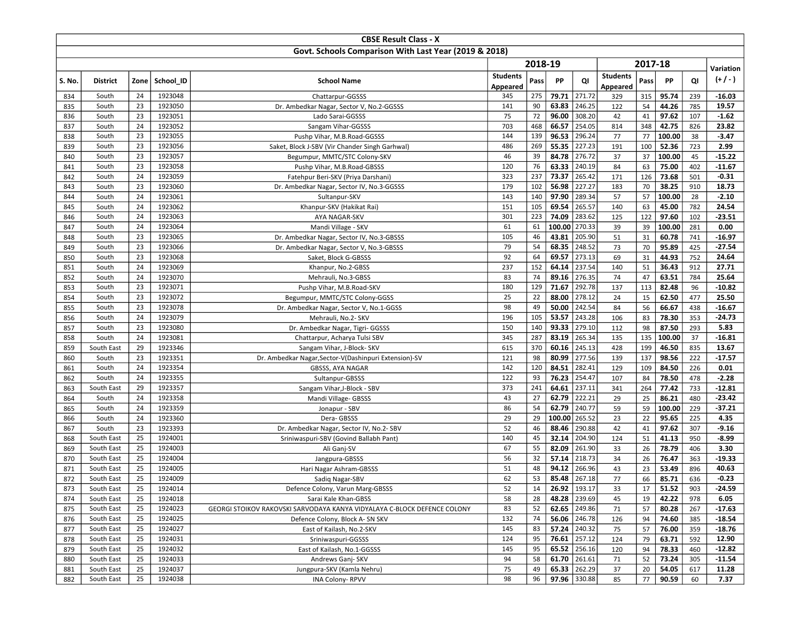|                                                       |                     |          |                    | <b>CBSE Result Class - X</b>                                             |                 |           |                |                  |                 |           |                |            |                      |
|-------------------------------------------------------|---------------------|----------|--------------------|--------------------------------------------------------------------------|-----------------|-----------|----------------|------------------|-----------------|-----------|----------------|------------|----------------------|
| Govt. Schools Comparison With Last Year (2019 & 2018) |                     |          |                    |                                                                          |                 |           |                |                  |                 |           |                |            |                      |
|                                                       |                     |          |                    |                                                                          |                 | 2018-19   |                |                  |                 | 2017-18   |                |            |                      |
|                                                       |                     |          |                    |                                                                          | <b>Students</b> |           |                |                  | <b>Students</b> |           |                |            | Variation            |
| S. No.                                                | <b>District</b>     | Zone     | School ID          | <b>School Name</b>                                                       | Appeared        | Pass      | PP             | QI               | Appeared        | Pass      | <b>PP</b>      | QI         | $(+/-)$              |
| 834                                                   | South               | 24       | 1923048            | Chattarpur-GGSSS                                                         | 345             | 275       | 79.71          | 271.72           | 329             | 315       | 95.74          | 239        | $-16.03$             |
| 835                                                   | South               | 23       | 1923050            | Dr. Ambedkar Nagar, Sector V, No.2-GGSSS                                 | 141             | 90        | 63.83          | 246.25           | 122             | 54        | 44.26          | 785        | 19.57                |
| 836                                                   | South               | 23       | 1923051            | Lado Sarai-GGSSS                                                         | 75              | 72        | 96.00          | 308.20           | 42              | 41        | 97.62          | 107        | $-1.62$              |
| 837                                                   | South               | 24       | 1923052            | Sangam Vihar-GGSSS                                                       | 703             | 468       | 66.57          | 254.05           | 814             | 348       | 42.75          | 826        | 23.82                |
| 838                                                   | South               | 23       | 1923055            | Pushp Vihar, M.B.Road-GGSSS                                              | 144             | 139       | 96.53          | 296.24           | 77              | 77        | 100.00         | 38         | $-3.47$              |
| 839                                                   | South               | 23       | 1923056            | Saket, Block J-SBV (Vir Chander Singh Garhwal)                           | 486             | 269       | 55.35          | 227.23           | 191             | 100       | 52.36          | 723        | 2.99                 |
| 840                                                   | South               | 23       | 1923057            | Begumpur, MMTC/STC Colony-SKV                                            | 46              | 39        | 84.78          | 276.72           | 37              | 37        | 100.00         | 45         | $-15.22$             |
| 841                                                   | South               | 23       | 1923058            | Pushp Vihar, M.B.Road-GBSSS                                              | 120             | 76        | 63.33          | 240.19           | 84              | 63        | 75.00          | 402        | $-11.67$             |
| 842                                                   | South               | 24       | 1923059            | Fatehpur Beri-SKV (Priya Darshani)                                       | 323             | 237       | 73.37          | 265.42           | 171             | 126       | 73.68          | 501        | $-0.31$              |
| 843                                                   | South               | 23       | 1923060            | Dr. Ambedkar Nagar, Sector IV, No.3-GGSSS                                | 179             | 102       | 56.98          | 227.27           | 183             | 70        | 38.25          | 910        | 18.73                |
| 844                                                   | South               | 24       | 1923061            | Sultanpur-SKV                                                            | 143             | 140       | 97.90          | 289.34           | 57              | 57        | 100.00         | 28         | $-2.10$              |
| 845                                                   | South               | 24       | 1923062            | Khanpur-SKV (Hakikat Rai)                                                | 151             | 105       | 69.54          | 265.57           | 140             | 63        | 45.00          | 782        | 24.54                |
| 846                                                   | South               | 24       | 1923063            | AYA NAGAR-SKV                                                            | 301             | 223       | 74.09          | 283.62           | 125             | 122       | 97.60          | 102        | $-23.51$             |
| 847                                                   | South               | 24       | 1923064            | Mandi Village - SKV                                                      | 61              | 61        | 100.00         | 270.33           | 39              | 39        | 100.00         | 281        | 0.00                 |
| 848                                                   | South               | 23       | 1923065            | Dr. Ambedkar Nagar, Sector IV, No.3-GBSSS                                | 105             | 46        | 43.81          | 205.90           | 51              | 31        | 60.78          | 741        | $-16.97$             |
| 849                                                   | South               | 23       | 1923066            | Dr. Ambedkar Nagar, Sector V, No.3-GBSSS                                 | 79              | 54        | 68.35          | 248.52           | 73              | 70        | 95.89          | 425        | $-27.54$             |
| 850                                                   | South               | 23       | 1923068            | Saket, Block G-GBSSS                                                     | 92              | 64        | 69.57          | 273.13           | 69              | 31        | 44.93          | 752        | 24.64                |
| 851                                                   | South               | 24       | 1923069            | Khanpur, No.2-GBSS                                                       | 237             | 152       | 64.14          | 237.54           | 140             | 51        | 36.43          | 912        | 27.71                |
| 852                                                   | South               | 24       | 1923070            | Mehrauli, No.3-GBSS                                                      | 83              | 74        | 89.16          | 276.35           | 74              | 47        | 63.51          | 784        | 25.64                |
| 853                                                   | South               | 23       | 1923071            | Pushp Vihar, M.B.Road-SKV                                                | 180             | 129       | 71.67          | 292.78           | 137             | 113       | 82.48          | 96         | $-10.82$             |
| 854                                                   | South               | 23       | 1923072            | Begumpur, MMTC/STC Colony-GGSS                                           | 25              | 22        | 88.00          | 278.12           | 24              | 15        | 62.50          | 477        | 25.50                |
| 855                                                   | South               | 23       | 1923078            | Dr. Ambedkar Nagar, Sector V, No.1-GGSS                                  | 98              | 49        | 50.00          | 242.54           | 84              | 56        | 66.67          | 438        | $-16.67$             |
| 856                                                   | South               | 24       | 1923079            | Mehrauli, No.2- SKV                                                      | 196             | 105       | 53.57          | 243.28           | 106             | 83        | 78.30          | 353        | $-24.73$             |
| 857                                                   | South               | 23       | 1923080            | Dr. Ambedkar Nagar, Tigri- GGSSS                                         | 150             | 140       | 93.33          | 279.10           | 112             | 98        | 87.50          | 293        | 5.83                 |
| 858                                                   | South               | 24       | 1923081            | Chattarpur, Acharya Tulsi SBV                                            | 345             | 287       | 83.19          | 265.34           | 135             | 135       | 100.00         | 37         | $-16.81$             |
| 859                                                   | South East          | 29       | 1923346            | Sangam Vihar, J-Block- SKV                                               | 615             | 370       | 60.16          | 245.13           | 428             | 199       | 46.50          | 835        | 13.67                |
| 860                                                   | South               | 23       | 1923351            | Dr. Ambedkar Nagar, Sector-V(Dashinpuri Extension)-SV                    | 121             | 98        | 80.99          | 277.56           | 139             | 137       | 98.56          | 222        | $-17.57$             |
| 861                                                   | South               | 24       | 1923354            | GBSSS, AYA NAGAR                                                         | 142             | 120       | 84.51          | 282.41           | 129             | 109       | 84.50          | 226        | 0.01                 |
| 862                                                   | South               | 24<br>29 | 1923355<br>1923357 | Sultanpur-GBSSS                                                          | 122             | 93<br>241 | 76.23<br>64.61 | 254.47<br>237.11 | 107             | 84        | 78.50          | 478        | $-2.28$              |
| 863                                                   | South East<br>South | 24       |                    | Sangam Vihar, J-Block - SBV                                              | 373<br>43       | 27        | 62.79          | 222.21           | 341             | 264<br>25 | 77.42<br>86.21 | 733        | $-12.81$<br>$-23.42$ |
| 864<br>865                                            | South               | 24       | 1923358<br>1923359 | Mandi Village- GBSSS                                                     | 86              | 54        | 62.79          | 240.77           | 29<br>59        | 59        | 100.00         | 480<br>229 | $-37.21$             |
| 866                                                   | South               | 24       | 1923360            | Jonapur - SBV<br>Dera-GBSSS                                              | 29              | 29        | 100.00         | 265.52           | 23              | 22        | 95.65          | 225        | 4.35                 |
| 867                                                   | South               | 23       | 1923393            | Dr. Ambedkar Nagar, Sector IV, No.2- SBV                                 | 52              | 46        | 88.46          | 290.88           | 42              | 41        | 97.62          | 307        | $-9.16$              |
| 868                                                   | South East          | 25       | 1924001            | Sriniwaspuri-SBV (Govind Ballabh Pant)                                   | 140             | 45        | 32.14          | 204.90           | 124             | 51        | 41.13          | 950        | $-8.99$              |
| 869                                                   | South East          | 25       | 1924003            | Ali Ganj-SV                                                              | 67              | 55        | 82.09          | 261.90           | 33              | 26        | 78.79          | 406        | 3.30                 |
| 870                                                   | South East          | 25       | 1924004            | Jangpura-GBSSS                                                           | 56              | 32        | 57.14          | 218.73           | 34              | 26        | 76.47          | 363        | $-19.33$             |
| 871                                                   | South East          | 25       | 1924005            | Hari Nagar Ashram-GBSSS                                                  | 51              | 48        | 94.12          | 266.96           | 43              | 23        | 53.49          | 896        | 40.63                |
| 872                                                   | South East          | 25       | 1924009            | Sadiq Nagar-SBV                                                          | 62              | 53        | 85.48          | 267.18           | 77              | 66        | 85.71          | 636        | $-0.23$              |
| 873                                                   | South East          | 25       | 1924014            | Defence Colony, Varun Marg-GBSSS                                         | 52              | 14        |                | $26.92$   193.17 | 33              | 17        | 51.52          | 903        | -24.59               |
| 874                                                   | South East          | 25       | 1924018            | Sarai Kale Khan-GBSS                                                     | 58              | 28        |                | 48.28 239.69     | 45              | 19        | 42.22          | 978        | 6.05                 |
| 875                                                   | South East          | 25       | 1924023            | GEORGI STOIKOV RAKOVSKI SARVODAYA KANYA VIDYALAYA C-BLOCK DEFENCE COLONY | 83              | 52        |                | 62.65 249.86     | 71              | 57        | 80.28          | 267        | $-17.63$             |
| 876                                                   | South East          | 25       | 1924025            | Defence Colony, Block A- SN SKV                                          | 132             | 74        |                | 56.06 246.78     | 126             | 94        | 74.60          | 385        | $-18.54$             |
| 877                                                   | South East          | 25       | 1924027            | East of Kailash, No.2-SKV                                                | 145             | 83        |                | 57.24 240.32     | 75              | 57        | 76.00          | 359        | $-18.76$             |
| 878                                                   | South East          | 25       | 1924031            | Sriniwaspuri-GGSSS                                                       | 124             | 95        |                | 76.61 257.12     | 124             | 79        | 63.71          | 592        | 12.90                |
| 879                                                   | South East          | 25       | 1924032            | East of Kailash, No.1-GGSSS                                              | 145             | 95        |                | 65.52 256.16     | 120             | 94        | 78.33          | 460        | -12.82               |
| 880                                                   | South East          | 25       | 1924033            | Andrews Ganj-SKV                                                         | 94              | 58        |                | 61.70 261.61     | 71              | 52        | 73.24          | 305        | $-11.54$             |
| 881                                                   | South East          | 25       | 1924037            | Jungpura-SKV (Kamla Nehru)                                               | 75              | 49        |                | 65.33 262.29     | 37              | 20        | 54.05          | 617        | 11.28                |
| 882                                                   | South East          | 25       | 1924038            | <b>INA Colony-RPVV</b>                                                   | 98              | 96        |                | 97.96 330.88     | 85              | 77        | 90.59          | 60         | 7.37                 |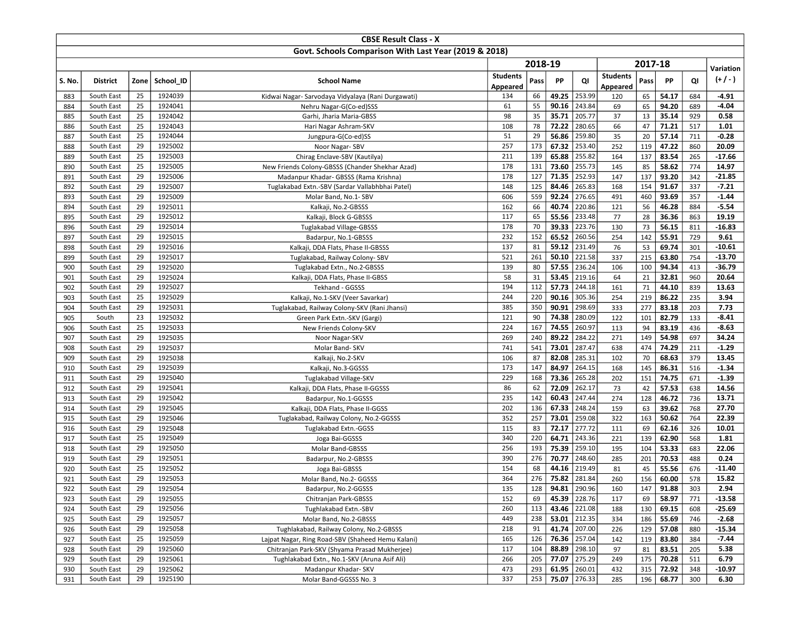|            |                          |          |                    | <b>CBSE Result Class - X</b>                          |                    |            |                |                  |                 |            |                |            |                    |  |  |
|------------|--------------------------|----------|--------------------|-------------------------------------------------------|--------------------|------------|----------------|------------------|-----------------|------------|----------------|------------|--------------------|--|--|
|            |                          |          |                    | Govt. Schools Comparison With Last Year (2019 & 2018) |                    |            |                |                  |                 |            |                |            |                    |  |  |
|            |                          |          |                    |                                                       | 2018-19<br>2017-18 |            |                |                  |                 |            |                |            |                    |  |  |
|            |                          |          |                    |                                                       | <b>Students</b>    |            |                |                  | <b>Students</b> |            |                |            | Variation          |  |  |
| S. No.     | <b>District</b>          | Zone     | School ID          | <b>School Name</b>                                    | Appeared           | Pass       | PP             | QI               | Appeared        | Pass       | PP             | QI         | $(+/-)$            |  |  |
| 883        | South East               | 25       | 1924039            | Kidwai Nagar- Sarvodaya Vidyalaya (Rani Durgawati)    | 134                | 66         | 49.25          | 253.99           | 120             | 65         | 54.17          | 684        | -4.91              |  |  |
| 884        | South East               | 25       | 1924041            | Nehru Nagar-G(Co-ed)SSS                               | 61                 | 55         | 90.16          | 243.84           | 69              | 65         | 94.20          | 689        | $-4.04$            |  |  |
| 885        | South East               | 25       | 1924042            | Garhi, Jharia Maria-GBSS                              | 98                 | 35         | 35.71          | 205.77           | 37              | 13         | 35.14          | 929        | 0.58               |  |  |
| 886        | South East               | 25       | 1924043            | Hari Nagar Ashram-SKV                                 | 108                | 78         | 72.22          | 280.65           | 66              | 47         | 71.21          | 517        | 1.01               |  |  |
| 887        | South East               | 25       | 1924044            | Jungpura-G(Co-ed)SS                                   | 51                 | 29         | 56.86          | 259.80           | 35              | 20         | 57.14          | 711        | $-0.28$            |  |  |
| 888        | South East               | 29       | 1925002            | Noor Nagar-SBV                                        | 257                | 173        | 67.32          | 253.40           | 252             | 119        | 47.22          | 860        | 20.09              |  |  |
| 889        | South East               | 25       | 1925003            | Chirag Enclave-SBV (Kautilya)                         | 211                | 139        | 65.88          | 255.82           | 164             | 137        | 83.54          | 265        | $-17.66$           |  |  |
| 890        | South East               | 25       | 1925005            | New Friends Colony-GBSSS (Chander Shekhar Azad)       | 178                | 131        | 73.60          | 255.73           | 145             | 85         | 58.62          | 774        | 14.97              |  |  |
| 891        | South East               | 29       | 1925006            | Madanpur Khadar- GBSSS (Rama Krishna)                 | 178                | 127        | 71.35          | 252.93           | 147             | 137        | 93.20          | 342        | $-21.85$           |  |  |
| 892        | South East               | 29       | 1925007            | Tuglakabad Extn.-SBV (Sardar Vallabhbhai Patel)       | 148                | 125        | 84.46          | 265.83           | 168             | 154        | 91.67          | 337        | $-7.21$            |  |  |
| 893        | South East               | 29       | 1925009            | Molar Band, No.1- SBV                                 | 606                | 559        | 92.24          | 276.65           | 491             | 460        | 93.69          | 357        | $-1.44$            |  |  |
| 894        | South East               | 29       | 1925011            | Kalkaji, No.2-GBSSS                                   | 162                | 66         | 40.74          | 220.86           | 121             | 56         | 46.28          | 884        | $-5.54$            |  |  |
| 895        | South East               | 29       | 1925012            | Kalkaji, Block G-GBSSS                                | 117                | 65         | 55.56          | 233.48           | 77              | 28         | 36.36          | 863        | 19.19              |  |  |
| 896        | South East               | 29       | 1925014            | Tuglakabad Village-GBSSS                              | 178                | 70         | 39.33          | 223.76           | 130             | 73         | 56.15          | 811        | $-16.83$           |  |  |
| 897        | South East               | 29       | 1925015            | Badarpur, No.1-GBSSS                                  | 232                | 152        | 65.52          | 260.56           | 254             | 142        | 55.91          | 729        | 9.61               |  |  |
| 898        | South East               | 29       | 1925016            | Kalkaji, DDA Flats, Phase II-GBSSS                    | 137                | 81         | 59.12          | 231.49           | 76              | 53         | 69.74          | 301        | $-10.61$           |  |  |
| 899        | South East               | 29       | 1925017            | Tuglakabad, Railway Colony- SBV                       | 521                | 261        | 50.10          | 221.58           | 337             | 215        | 63.80          | 754        | $-13.70$           |  |  |
| 900        | South East               | 29       | 1925020            | Tuglakabad Extn., No.2-GBSSS                          | 139                | 80         | 57.55          | 236.24           | 106             | 100        | 94.34          | 413        | $-36.79$           |  |  |
| 901        | South East               | 29       | 1925024            | Kalkaji, DDA Flats, Phase II-GBSS                     | 58                 | 31         | 53.45          | 219.16           | 64              | 21         | 32.81          | 960        | 20.64              |  |  |
| 902        | South East               | 29       | 1925027            | Tekhand - GGSSS                                       | 194                | 112        | 57.73          | 244.18           | 161             | 71         | 44.10          | 839        | 13.63              |  |  |
| 903        | South East               | 25       | 1925029            | Kalkaji, No.1-SKV (Veer Savarkar)                     | 244                | 220        | 90.16          | 305.36           | 254             | 219        | 86.22          | 235        | 3.94               |  |  |
| 904        | South East               | 29       | 1925031            | Tuglakabad, Railway Colony-SKV (Rani Jhansi)          | 385                | 350        | 90.91          | 298.69           | 333             | 277        | 83.18          | 203        | 7.73               |  |  |
| 905        | South                    | 23       | 1925032            | Green Park Extn.-SKV (Gargi)                          | 121                | 90         | 74.38<br>74.55 | 280.09<br>260.97 | 122             | 101        | 82.79          | 133        | $-8.41$<br>$-8.63$ |  |  |
| 906        | South East               | 25<br>29 | 1925033<br>1925035 | New Friends Colony-SKV                                | 224<br>269         | 167<br>240 | 89.22          | 284.22           | 113<br>271      | 94         | 83.19          | 436        |                    |  |  |
| 907<br>908 | South East<br>South East | 29       | 1925037            | Noor Nagar-SKV                                        | 741                | 541        | 73.01          | 287.47           | 638             | 149<br>474 | 54.98<br>74.29 | 697<br>211 | 34.24<br>$-1.29$   |  |  |
| 909        | South East               | 29       | 1925038            | Molar Band-SKV<br>Kalkaji, No.2-SKV                   | 106                | 87         | 82.08          | 285.31           | 102             | 70         | 68.63          | 379        | 13.45              |  |  |
| 910        | South East               | 29       | 1925039            | Kalkaji, No.3-GGSSS                                   | 173                | 147        | 84.97          | 264.15           | 168             | 145        | 86.31          | 516        | $-1.34$            |  |  |
| 911        | South East               | 29       | 1925040            | Tuglakabad Village-SKV                                | 229                | 168        | 73.36          | 265.28           | 202             | 151        | 74.75          | 671        | $-1.39$            |  |  |
| 912        | South East               | 29       | 1925041            | Kalkaji, DDA Flats, Phase II-GGSSS                    | 86                 | 62         | 72.09          | 262.17           | 73              | 42         | 57.53          | 638        | 14.56              |  |  |
| 913        | South East               | 29       | 1925042            | Badarpur, No.1-GGSSS                                  | 235                | 142        | 60.43          | 247.44           | 274             | 128        | 46.72          | 736        | 13.71              |  |  |
| 914        | South East               | 29       | 1925045            | Kalkaji, DDA Flats, Phase II-GGSS                     | 202                | 136        | 67.33          | 248.24           | 159             | 63         | 39.62          | 768        | 27.70              |  |  |
| 915        | South East               | 29       | 1925046            | Tuglakabad, Railway Colony, No.2-GGSSS                | 352                | 257        | 73.01          | 259.08           | 322             | 163        | 50.62          | 764        | 22.39              |  |  |
| 916        | South East               | 29       | 1925048            | Tuglakabad Extn.-GGSS                                 | 115                | 83         | 72.17          | 277.72           | 111             | 69         | 62.16          | 326        | 10.01              |  |  |
| 917        | South East               | 25       | 1925049            | Joga Bai-GGSSS                                        | 340                | 220        | 64.71          | 243.36           | 221             | 139        | 62.90          | 568        | 1.81               |  |  |
| 918        | South East               | 29       | 1925050            | Molar Band-GBSSS                                      | 256                | 193        | 75.39          | 259.10           | 195             | 104        | 53.33          | 683        | 22.06              |  |  |
| 919        | South East               | 29       | 1925051            | Badarpur, No.2-GBSSS                                  | 390                | 276        | 70.77          | 248.60           | 285             | 201        | 70.53          | 488        | 0.24               |  |  |
| 920        | South East               | 25       | 1925052            | Joga Bai-GBSSS                                        | 154                | 68         | 44.16          | 219.49           | 81              | 45         | 55.56          | 676        | $-11.40$           |  |  |
| 921        | South East               | 29       | 1925053            | Molar Band, No.2- GGSSS                               | 364                | 276        | 75.82          | 281.84           | 260             | 156        | 60.00          | 578        | 15.82              |  |  |
| 922        | South East               | 29       | 1925054            | Badarpur, No.2-GGSSS                                  | 135                | 128        |                | 94.81 290.96     | 160             | 147        | 91.88          | 303        | 2.94               |  |  |
| 923        | South East               | 29       | 1925055            | Chitranjan Park-GBSSS                                 | 152                | 69         |                | 45.39 228.76     | 117             | 69         | 58.97          | 771        | $-13.58$           |  |  |
| 924        | South East               | 29       | 1925056            | Tughlakabad Extn.-SBV                                 | 260                | 113        |                | 43.46 221.08     | 188             | 130        | 69.15          | 608        | $-25.69$           |  |  |
| 925        | South East               | 29       | 1925057            | Molar Band, No.2-GBSSS                                | 449                | 238        |                | 53.01 212.35     | 334             | 186        | 55.69          | 746        | $-2.68$            |  |  |
| 926        | South East               | 29       | 1925058            | Tughlakabad, Railway Colony, No.2-GBSSS               | 218                | 91         | 41.74          | 207.00           | 226             | 129        | 57.08          | 880        | $-15.34$           |  |  |
| 927        | South East               | 25       | 1925059            | Lajpat Nagar, Ring Road-SBV (Shaheed Hemu Kalani)     | 165                | 126        |                | 76.36 257.04     | 142             | 119        | 83.80          | 384        | $-7.44$            |  |  |
| 928        | South East               | 29       | 1925060            | Chitranjan Park-SKV (Shyama Prasad Mukherjee)         | 117                | 104        |                | 88.89 298.10     | 97              | 81         | 83.51          | 205        | 5.38               |  |  |
| 929        | South East               | 29       | 1925061            | Tughlakabad Extn., No.1-SKV (Aruna Asif Ali)          | 266                | 205        | 77.07          | 275.29           | 249             | 175        | 70.28          | 511        | 6.79               |  |  |
| 930        | South East               | 29       | 1925062            | Madanpur Khadar- SKV                                  | 473                | 293        |                | 61.95 260.01     | 432             | 315        | 72.92          | 348        | $-10.97$           |  |  |
| 931        | South East               | 29       | 1925190            | Molar Band-GGSSS No. 3                                | 337                | 253        |                | $75.07$ 276.33   | 285             | 196        | 68.77          | 300        | 6.30               |  |  |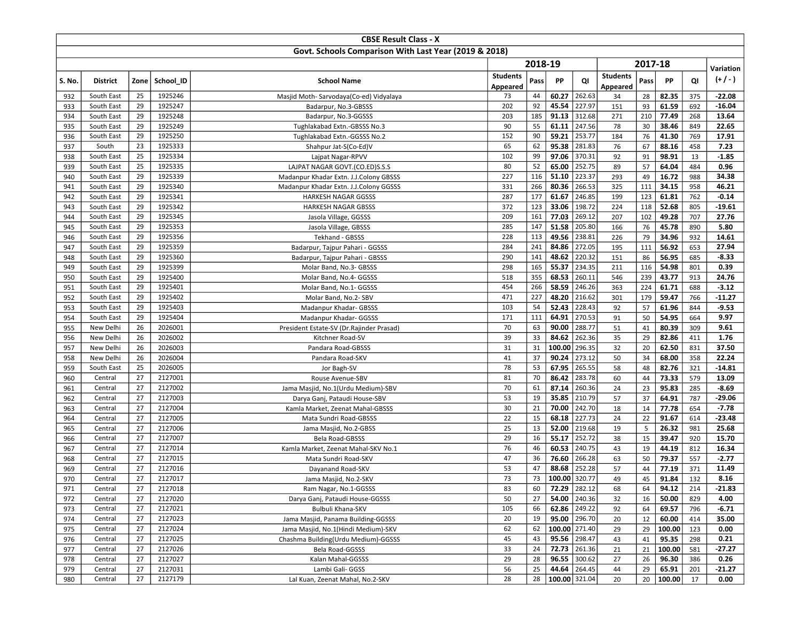|                                                       |                         |          |                    | <b>CBSE Result Class - X</b>              |                 |          |                 |                     |                 |          |                |            |                   |  |  |  |  |
|-------------------------------------------------------|-------------------------|----------|--------------------|-------------------------------------------|-----------------|----------|-----------------|---------------------|-----------------|----------|----------------|------------|-------------------|--|--|--|--|
| Govt. Schools Comparison With Last Year (2019 & 2018) |                         |          |                    |                                           |                 |          |                 |                     |                 |          |                |            |                   |  |  |  |  |
|                                                       |                         |          |                    |                                           |                 | 2018-19  |                 |                     |                 | 2017-18  |                |            |                   |  |  |  |  |
|                                                       |                         |          |                    |                                           | <b>Students</b> |          |                 |                     | <b>Students</b> |          |                |            | Variation         |  |  |  |  |
| S. No.                                                | <b>District</b>         | Zone     | School ID          | <b>School Name</b>                        | Appeared        | Pass     | PP              | QI                  | Appeared        | Pass     | PP             | QI         | $(+/-)$           |  |  |  |  |
| 932                                                   | South East              | 25       | 1925246            | Masjid Moth-Sarvodaya(Co-ed) Vidyalaya    | 73              | 44       | 60.27           | 262.63              | 34              | 28       | 82.35          | 375        | $-22.08$          |  |  |  |  |
| 933                                                   | South East              | 29       | 1925247            | Badarpur, No.3-GBSSS                      | 202             | 92       | 45.54           | 227.97              | 151             | 93       | 61.59          | 692        | $-16.04$          |  |  |  |  |
| 934                                                   | South East              | 29       | 1925248            | Badarpur, No.3-GGSSS                      | 203             | 185      | 91.13           | 312.68              | 271             | 210      | 77.49          | 268        | 13.64             |  |  |  |  |
| 935                                                   | South East              | 29       | 1925249            | Tughlakabad Extn.-GBSSS No.3              | 90              | 55       | 61.11           | 247.56              | 78              | 30       | 38.46          | 849        | 22.65             |  |  |  |  |
| 936                                                   | South East              | 29       | 1925250            | Tughlakabad Extn.-GGSSS No.2              | 152             | 90       | 59.21           | 253.77              | 184             | 76       | 41.30          | 769        | 17.91             |  |  |  |  |
| 937                                                   | South                   | 23       | 1925333            | Shahpur Jat-S(Co-Ed)V                     | 65              | 62       | 95.38           | 281.83              | 76              | 67       | 88.16          | 458        | 7.23              |  |  |  |  |
| 938                                                   | South East              | 25       | 1925334            | Lajpat Nagar-RPVV                         | 102             | 99       | 97.06           | 370.31              | 92              | 91       | 98.91          | 13         | $-1.85$           |  |  |  |  |
| 939                                                   | South East              | 25       | 1925335            | LAJPAT NAGAR GOVT.(CO.ED)S.S.S            | 80              | 52       | 65.00           | 252.75              | 89              | 57       | 64.04          | 484        | 0.96              |  |  |  |  |
| 940                                                   | South East              | 29       | 1925339            | Madanpur Khadar Extn. J.J.Colony GBSSS    | 227             | 116      | 51.10           | 223.37              | 293             | 49       | 16.72          | 988        | 34.38             |  |  |  |  |
| 941                                                   | South East              | 29       | 1925340            | Madanpur Khadar Extn. J.J.Colony GGSSS    | 331             | 266      | 80.36           | 266.53              | 325             | 111      | 34.15          | 958        | 46.21             |  |  |  |  |
| 942                                                   | South East              | 29       | 1925341            | <b>HARKESH NAGAR GGSSS</b>                | 287             | 177      | 61.67           | 246.85              | 199             | 123      | 61.81          | 762        | $-0.14$           |  |  |  |  |
| 943                                                   | South East              | 29       | 1925342            | <b>HARKESH NAGAR GBSSS</b>                | 372             | 123      | 33.06           | 198.72              | 224             | 118      | 52.68          | 805        | $-19.61$          |  |  |  |  |
| 944                                                   | South East              | 29       | 1925345            | Jasola Village, GGSSS                     | 209             | 161      | 77.03           | 269.12              | 207             | 102      | 49.28          | 707        | 27.76             |  |  |  |  |
| 945                                                   | South East              | 29       | 1925353            | Jasola Village, GBSSS                     | 285             | 147      | 31.58           | 205.80              | 166             | 76       | 45.78          | 890        | 5.80              |  |  |  |  |
| 946                                                   | South East              | 29       | 1925356            | Tekhand - GBSSS                           | 228             | 113      | 49.56           | 238.81              | 226             | 79       | 34.96          | 932        | 14.61             |  |  |  |  |
| 947                                                   | South East              | 29       | 1925359            | Badarpur, Tajpur Pahari - GGSSS           | 284             | 241      | 84.86           | 272.05              | 195             | 111      | 56.92          | 653        | 27.94             |  |  |  |  |
| 948                                                   | South East              | 29       | 1925360            | Badarpur, Tajpur Pahari - GBSSS           | 290             | 141      | 48.62           | 220.32              | 151             | 86       | 56.95          | 685        | $-8.33$           |  |  |  |  |
| 949                                                   | South East              | 29       | 1925399            | Molar Band, No.3- GBSSS                   | 298             | 165      | 55.37           | 234.35              | 211             | 116      | 54.98          | 801        | 0.39              |  |  |  |  |
| 950                                                   | South East              | 29       | 1925400            | Molar Band, No.4- GGSSS                   | 518             | 355      | 68.53           | 260.11              | 546             | 239      | 43.77          | 913        | 24.76             |  |  |  |  |
| 951                                                   | South East              | 29       | 1925401            | Molar Band, No.1- GGSSS                   | 454             | 266      | 58.59           | 246.26              | 363             | 224      | 61.71          | 688        | $-3.12$           |  |  |  |  |
| 952                                                   | South East              | 29       | 1925402            | Molar Band, No.2- SBV                     | 471             | 227      | 48.20           | 216.62              | 301             | 179      | 59.47          | 766        | $-11.27$          |  |  |  |  |
| 953                                                   | South East              | 29       | 1925403            | Madanpur Khadar- GBSSS                    | 103             | 54       | 52.43           | 228.43              | 92              | 57       | 61.96          | 844        | $-9.53$           |  |  |  |  |
| 954                                                   | South East              | 29       | 1925404            | Madanpur Khadar- GGSSS                    | 171             | 111      | 64.91           | 270.53              | 91              | 50       | 54.95          | 664        | 9.97              |  |  |  |  |
| 955                                                   | New Delhi               | 26       | 2026001            | President Estate-SV (Dr. Rajinder Prasad) | 70              | 63       | 90.00           | 288.77              | 51              | 41       | 80.39          | 309        | 9.61              |  |  |  |  |
| 956                                                   | New Delhi               | 26       | 2026002            | Kitchner Road-SV                          | 39              | 33       | 84.62           | 262.36              | 35              | 29       | 82.86          | 411        | 1.76              |  |  |  |  |
| 957                                                   | New Delhi               | 26<br>26 | 2026003<br>2026004 | Pandara Road-GBSSS                        | 31<br>41        | 31<br>37 | 100.00<br>90.24 | 296.35<br>273.12    | 32              | 20<br>34 | 62.50<br>68.00 | 831        | 37.50<br>22.24    |  |  |  |  |
| 958                                                   | New Delhi<br>South East | 25       | 2026005            | Pandara Road-SKV                          | 78              | 53       | 67.95           | 265.55              | 50<br>58        | 48       |                | 358<br>321 |                   |  |  |  |  |
| 959<br>960                                            | Central                 | 27       | 2127001            | Jor Bagh-SV<br>Rouse Avenue-SBV           | 81              | 70       | 86.42           | 283.78              | 60              | 44       | 82.76<br>73.33 | 579        | $-14.81$<br>13.09 |  |  |  |  |
| 961                                                   | Central                 | 27       | 2127002            | Jama Masjid, No.1(Urdu Medium)-SBV        | 70              | 61       | 87.14           | 260.36              | 24              | 23       | 95.83          | 285        | $-8.69$           |  |  |  |  |
| 962                                                   | Central                 | 27       | 2127003            | Darya Ganj, Pataudi House-SBV             | 53              | 19       | 35.85           | 210.79              | 57              | 37       | 64.91          | 787        | -29.06            |  |  |  |  |
| 963                                                   | Central                 | 27       | 2127004            | Kamla Market, Zeenat Mahal-GBSSS          | 30              | 21       | 70.00           | 242.70              | 18              | 14       | 77.78          | 654        | $-7.78$           |  |  |  |  |
| 964                                                   | Central                 | 27       | 2127005            | Mata Sundri Road-GBSSS                    | 22              | 15       | 68.18           | 227.73              | 24              | 22       | 91.67          | 614        | $-23.48$          |  |  |  |  |
| 965                                                   | Central                 | 27       | 2127006            | Jama Masjid, No.2-GBSS                    | 25              | 13       | 52.00           | 219.68              | 19              | 5        | 26.32          | 981        | 25.68             |  |  |  |  |
| 966                                                   | Central                 | 27       | 2127007            | <b>Bela Road-GBSSS</b>                    | 29              | 16       | 55.17           | 252.72              | 38              | 15       | 39.47          | 920        | 15.70             |  |  |  |  |
| 967                                                   | Central                 | 27       | 2127014            | Kamla Market, Zeenat Mahal-SKV No.1       | 76              | 46       | 60.53           | 240.75              | 43              | 19       | 44.19          | 812        | 16.34             |  |  |  |  |
| 968                                                   | Central                 | 27       | 2127015            | Mata Sundri Road-SKV                      | 47              | 36       | 76.60           | 266.28              | 63              | 50       | 79.37          | 557        | $-2.77$           |  |  |  |  |
| 969                                                   | Central                 | 27       | 2127016            | Dayanand Road-SKV                         | 53              | 47       | 88.68           | 252.28              | 57              | 44       | 77.19          | 371        | 11.49             |  |  |  |  |
| 970                                                   | Central                 | 27       | 2127017            | Jama Masjid, No.2-SKV                     | 73              | 73       | 100.00          | 320.77              | 49              | 45       | 91.84          | 132        | 8.16              |  |  |  |  |
| 971                                                   | Central                 | 27       | 2127018            | Ram Nagar, No.1-GGSSS                     | 83              | 60       |                 | <b>72.29</b> 282.12 | 68              | 64       | 94.12          | 214        | -21.83            |  |  |  |  |
| 972                                                   | Central                 | 27       | 2127020            | Darya Ganj, Pataudi House-GGSSS           | 50              | 27       |                 | 54.00 240.36        | 32              | 16       | 50.00          | 829        | 4.00              |  |  |  |  |
| 973                                                   | Central                 | 27       | 2127021            | Bulbuli Khana-SKV                         | 105             | 66       |                 | 62.86 249.22        | 92              | 64       | 69.57          | 796        | $-6.71$           |  |  |  |  |
| 974                                                   | Central                 | 27       | 2127023            | Jama Masjid, Panama Building-GGSSS        | 20              | 19       |                 | 95.00 296.70        | 20              | 12       | 60.00          | 414        | 35.00             |  |  |  |  |
| 975                                                   | Central                 | 27       | 2127024            | Jama Masjid, No.1(Hindi Medium)-SKV       | 62              | 62       | 100.00 271.40   |                     | 29              | 29       | 100.00         | 123        | 0.00              |  |  |  |  |
| 976                                                   | Central                 | 27       | 2127025            | Chashma Building(Urdu Medium)-GGSSS       | 45              | 43       |                 | 95.56 298.47        | 43              | 41       | 95.35          | 298        | 0.21              |  |  |  |  |
| 977                                                   | Central                 | 27       | 2127026            | Bela Road-GGSSS                           | 33              | 24       |                 | 72.73 261.36        | 21              | 21       | 100.00         | 581        | $-27.27$          |  |  |  |  |
| 978                                                   | Central                 | 27       | 2127027            | Kalan Mahal-GGSSS                         | 29              | 28       | 96.55           | 300.62              | 27              | 26       | 96.30          | 386        | 0.26              |  |  |  |  |
| 979                                                   | Central                 | 27       | 2127031            | Lambi Gali- GGSS                          | 56              | 25       |                 | 44.64 264.45        | 44              | 29       | 65.91          | 201        | $-21.27$          |  |  |  |  |
| 980                                                   | Central                 | 27       | 2127179            | Lal Kuan, Zeenat Mahal, No.2-SKV          | 28              | 28       | 100.00 321.04   |                     | 20              |          | 20 100.00      | 17         | 0.00              |  |  |  |  |